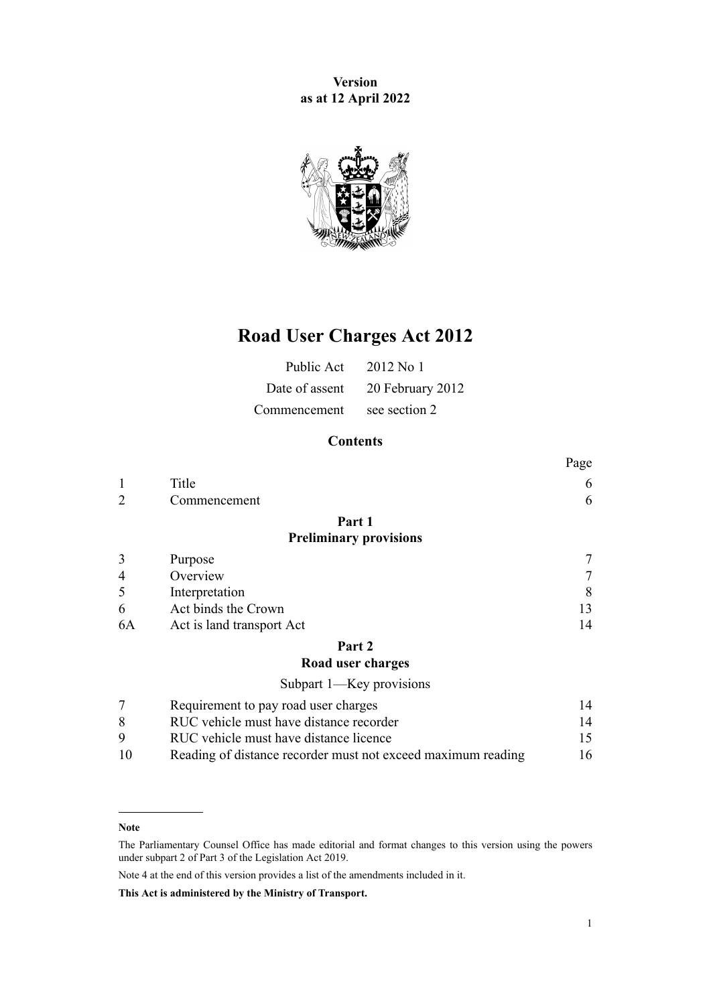**Version as at 12 April 2022**



# **Road User Charges Act 2012**

| Public Act $2012$ No 1     |                                 |
|----------------------------|---------------------------------|
|                            | Date of assent 20 February 2012 |
| Commencement see section 2 |                                 |

## **Contents**

|                |                                         | Page |
|----------------|-----------------------------------------|------|
| 1              | Title                                   | 6    |
| $\overline{2}$ | Commencement                            | 6    |
|                | Part 1                                  |      |
|                | <b>Preliminary provisions</b>           |      |
| 3              | Purpose                                 |      |
| 4              | Overview                                | 7    |
| 5              | Interpretation                          | 8    |
| 6              | Act binds the Crown                     | 13   |
| 6A             | Act is land transport Act               | 14   |
|                | Part 2                                  |      |
|                | Road user charges                       |      |
|                | Subpart 1-Key provisions                |      |
| 7              | Requirement to pay road user charges    | 14   |
| 8              | RUC vehicle must have distance recorder | 14   |
| 9              | RUC vehicle must have distance licence  | 15   |

[<sup>10</sup>](#page-15-0) [Reading of distance recorder must not exceed maximum reading](#page-15-0) [16](#page-15-0)

**Note**

The Parliamentary Counsel Office has made editorial and format changes to this version using the powers under [subpart 2](http://legislation.govt.nz/pdflink.aspx?id=DLM7298371) of Part 3 of the Legislation Act 2019.

Note 4 at the end of this version provides a list of the amendments included in it.

**This Act is administered by the Ministry of Transport.**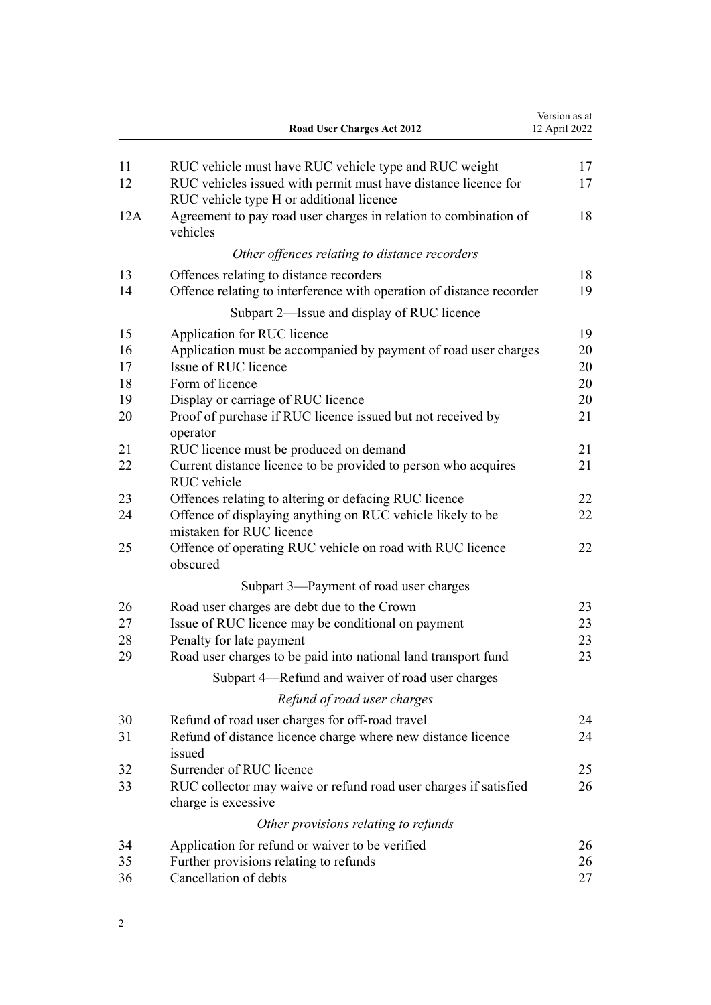|          | Road User Charges Act 2012                                                                                 | Version as at<br>12 April 2022 |
|----------|------------------------------------------------------------------------------------------------------------|--------------------------------|
| 11       | RUC vehicle must have RUC vehicle type and RUC weight                                                      | 17                             |
| 12       | RUC vehicles issued with permit must have distance licence for<br>RUC vehicle type H or additional licence | 17                             |
| 12A      | Agreement to pay road user charges in relation to combination of<br>vehicles                               | 18                             |
|          | Other offences relating to distance recorders                                                              |                                |
| 13       | Offences relating to distance recorders                                                                    | 18                             |
| 14       | Offence relating to interference with operation of distance recorder                                       | 19                             |
|          | Subpart 2-Issue and display of RUC licence                                                                 |                                |
| 15       | Application for RUC licence                                                                                | 19                             |
| 16       | Application must be accompanied by payment of road user charges                                            | 20                             |
| 17       | Issue of RUC licence                                                                                       | 20                             |
| 18       | Form of licence                                                                                            | 20                             |
| 19<br>20 | Display or carriage of RUC licence<br>Proof of purchase if RUC licence issued but not received by          | 20<br>21                       |
|          | operator                                                                                                   |                                |
| 21       | RUC licence must be produced on demand                                                                     | 21                             |
| 22       | Current distance licence to be provided to person who acquires                                             | 21                             |
|          | RUC vehicle                                                                                                |                                |
| 23       | Offences relating to altering or defacing RUC licence                                                      | 22                             |
| 24       | Offence of displaying anything on RUC vehicle likely to be<br>mistaken for RUC licence                     | 22                             |
| 25       | Offence of operating RUC vehicle on road with RUC licence<br>obscured                                      | 22                             |
|          | Subpart 3—Payment of road user charges                                                                     |                                |
| 26       | Road user charges are debt due to the Crown                                                                | 23                             |
| 27       | Issue of RUC licence may be conditional on payment                                                         | 23                             |
| 28       | Penalty for late payment                                                                                   | 23                             |
| 29       | Road user charges to be paid into national land transport fund                                             | 23                             |
|          | Subpart 4—Refund and waiver of road user charges                                                           |                                |
|          | Refund of road user charges                                                                                |                                |
| 30       | Refund of road user charges for off-road travel                                                            | 24                             |
| 31       | Refund of distance licence charge where new distance licence<br>issued                                     | 24                             |
| 32       | Surrender of RUC licence                                                                                   | 25                             |
| 33       | RUC collector may waive or refund road user charges if satisfied                                           | 26                             |
|          | charge is excessive                                                                                        |                                |
|          | Other provisions relating to refunds                                                                       |                                |
| 34       | Application for refund or waiver to be verified                                                            | 26                             |
| 35       | Further provisions relating to refunds                                                                     | 26                             |
| 36       | Cancellation of debts                                                                                      | 27                             |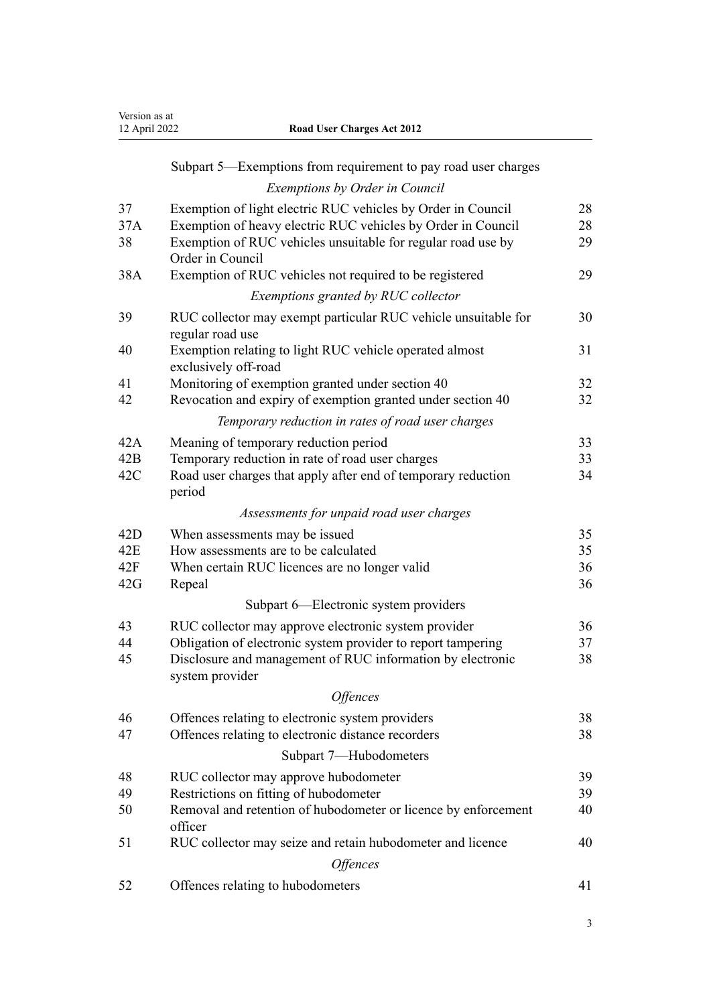| Version as at |
|---------------|
| 12 April 2022 |

| 12 April 2022 | <b>Road User Charges Act 2012</b> |
|---------------|-----------------------------------|
|               |                                   |

## [Subpart 5—Exemptions from requirement to pay road user charges](#page-27-0) *[Exemptions by Order in Council](#page-27-0)* [37](#page-27-0) [Exemption of light electric RUC vehicles by Order in Council](#page-27-0) [28](#page-27-0) [37A](#page-27-0) [Exemption of heavy electric RUC vehicles by Order in Council](#page-27-0) [28](#page-27-0) [38](#page-28-0) [Exemption of RUC vehicles unsuitable for regular road use by](#page-28-0) [Order in Council](#page-28-0) [29](#page-28-0) [38A](#page-28-0) [Exemption of RUC vehicles not required to be registered](#page-28-0) [29](#page-28-0) *[Exemptions granted by RUC collector](#page-29-0)* [39](#page-29-0) [RUC collector may exempt particular RUC vehicle unsuitable for](#page-29-0) [regular road use](#page-29-0) [30](#page-29-0) [40](#page-30-0) [Exemption relating to light RUC vehicle operated almost](#page-30-0) [exclusively off-road](#page-30-0) [31](#page-30-0) [41](#page-31-0) [Monitoring of exemption granted under section 40](#page-31-0) [32](#page-31-0) [42](#page-31-0) [Revocation and expiry of exemption granted under section 40](#page-31-0) [32](#page-31-0) *[Temporary reduction in rates of road user charges](#page-32-0)* [42A](#page-32-0) [Meaning of temporary reduction period](#page-32-0) [33](#page-32-0) [42B](#page-32-0) [Temporary reduction in rate of road user charges](#page-32-0) [33](#page-32-0) [42C](#page-33-0) [Road user charges that apply after end of temporary reduction](#page-33-0) [period](#page-33-0) [34](#page-33-0) *[Assessments for unpaid road user charges](#page-34-0)* [42D](#page-34-0) [When assessments may be issued](#page-34-0) [35](#page-34-0) [42E](#page-34-0) [How assessments are to be calculated](#page-34-0) [35](#page-34-0) [42F](#page-35-0) [When certain RUC licences are no longer valid](#page-35-0) [36](#page-35-0) [42G](#page-35-0) [Repeal](#page-35-0) [36](#page-35-0) [Subpart 6—Electronic system providers](#page-35-0) [43](#page-35-0) [RUC collector may approve electronic system provider](#page-35-0) [36](#page-35-0) [44](#page-36-0) [Obligation of electronic system provider to report tampering](#page-36-0) [37](#page-36-0) [45](#page-37-0) [Disclosure and management of RUC information by electronic](#page-37-0) [system provider](#page-37-0) [38](#page-37-0) *[Offences](#page-37-0)* [46](#page-37-0) [Offences relating to electronic system providers](#page-37-0) [38](#page-37-0) [47](#page-37-0) [Offences relating to electronic distance recorders](#page-37-0) [38](#page-37-0) [Subpart 7—Hubodometers](#page-38-0) [48](#page-38-0) [RUC collector may approve hubodometer](#page-38-0) [39](#page-38-0) [49](#page-38-0) [Restrictions on fitting of hubodometer](#page-38-0) [39](#page-38-0) [50](#page-39-0) [Removal and retention of hubodometer or licence by enforcement](#page-39-0) [officer](#page-39-0) [40](#page-39-0) [51](#page-39-0) [RUC collector may seize and retain hubodometer and licence](#page-39-0) [40](#page-39-0)

*[Offences](#page-40-0)* [52](#page-40-0) [Offences relating to hubodometers](#page-40-0) [41](#page-40-0)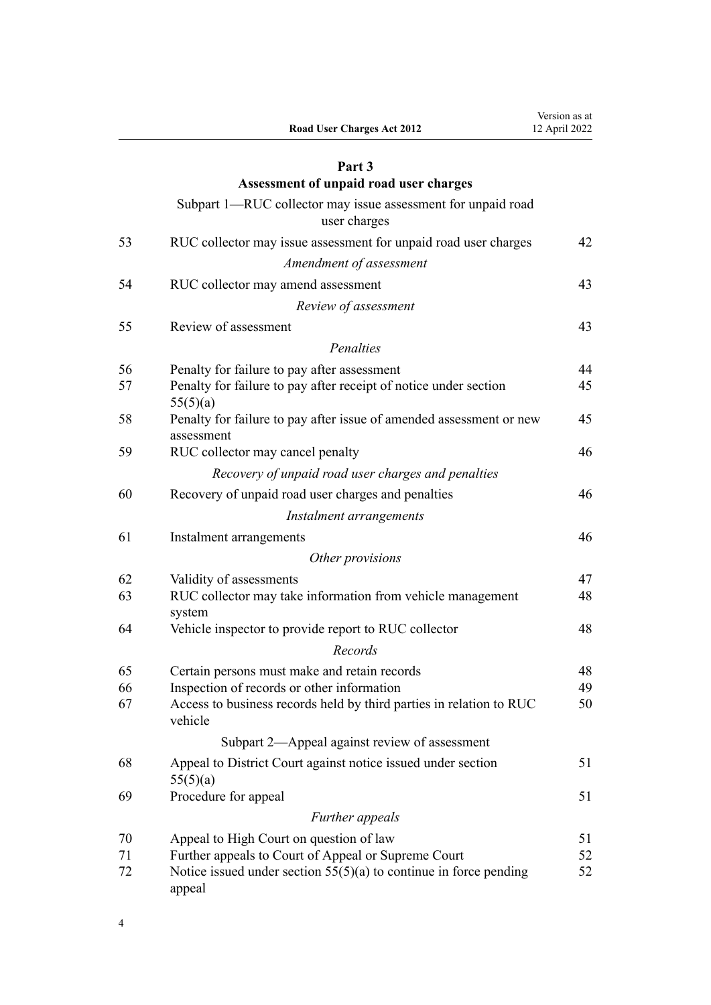|    | Road User Charges Act 2012                                                        | vüsiüli as at<br>12 April 2022 |
|----|-----------------------------------------------------------------------------------|--------------------------------|
|    | Part 3                                                                            |                                |
|    | Assessment of unpaid road user charges                                            |                                |
|    | Subpart 1—RUC collector may issue assessment for unpaid road<br>user charges      |                                |
| 53 | RUC collector may issue assessment for unpaid road user charges                   | 42                             |
|    | Amendment of assessment                                                           |                                |
| 54 | RUC collector may amend assessment                                                | 43                             |
|    | Review of assessment                                                              |                                |
| 55 | Review of assessment                                                              | 43                             |
|    | Penalties                                                                         |                                |
| 56 | Penalty for failure to pay after assessment                                       | 44                             |
| 57 | Penalty for failure to pay after receipt of notice under section<br>55(5)(a)      | 45                             |
| 58 | Penalty for failure to pay after issue of amended assessment or new<br>assessment | 45                             |
| 59 | RUC collector may cancel penalty                                                  | 46                             |
|    | Recovery of unpaid road user charges and penalties                                |                                |
| 60 | Recovery of unpaid road user charges and penalties                                | 46                             |
|    | Instalment arrangements                                                           |                                |
| 61 | Instalment arrangements                                                           | 46                             |
|    | Other provisions                                                                  |                                |
| 62 | Validity of assessments                                                           | 47                             |
| 63 | RUC collector may take information from vehicle management<br>system              | 48                             |
| 64 | Vehicle inspector to provide report to RUC collector                              | 48                             |
|    | Records                                                                           |                                |
| 65 | Certain persons must make and retain records                                      | 48                             |
| 66 | Inspection of records or other information                                        | 49                             |
| 67 | Access to business records held by third parties in relation to RUC<br>vehicle    | 50                             |
|    | Subpart 2—Appeal against review of assessment                                     |                                |
| 68 | Appeal to District Court against notice issued under section<br>55(5)(a)          | 51                             |
| 69 | Procedure for appeal                                                              | 51                             |
|    | Further appeals                                                                   |                                |
| 70 | Appeal to High Court on question of law                                           | 51                             |
| 71 | Further appeals to Court of Appeal or Supreme Court                               | 52                             |
| 72 | Notice issued under section $55(5)(a)$ to continue in force pending<br>appeal     | 52                             |

4

Version as at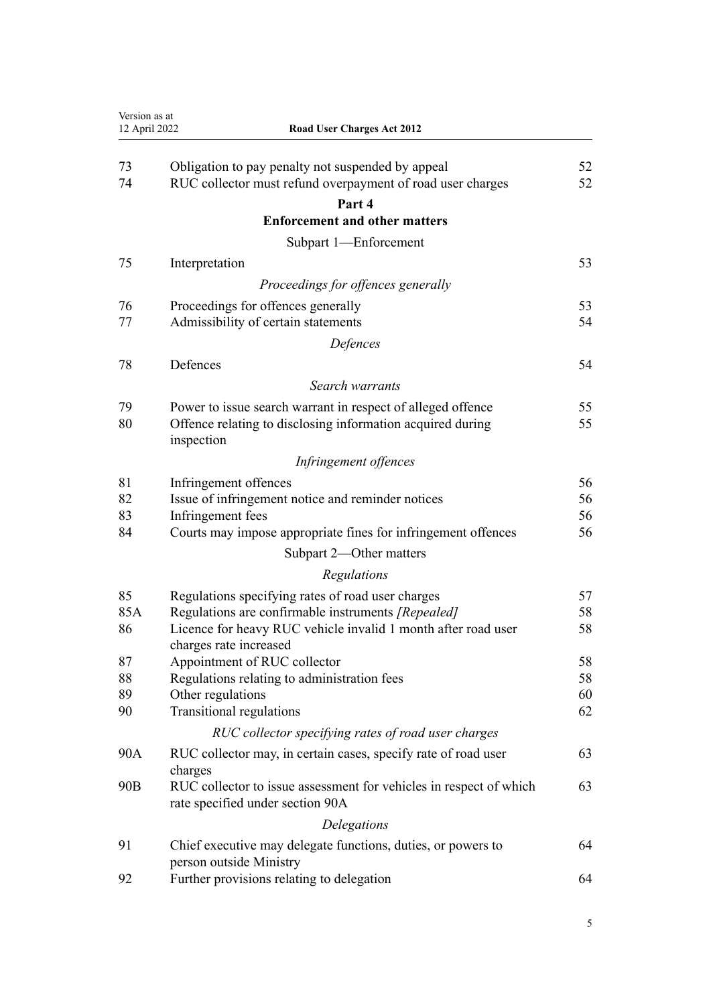| Version as at<br>12 April 2022 | <b>Road User Charges Act 2012</b>                                                                               |          |
|--------------------------------|-----------------------------------------------------------------------------------------------------------------|----------|
|                                |                                                                                                                 |          |
| 73<br>74                       | Obligation to pay penalty not suspended by appeal<br>RUC collector must refund overpayment of road user charges | 52<br>52 |
|                                | Part 4                                                                                                          |          |
|                                | <b>Enforcement and other matters</b>                                                                            |          |
|                                | Subpart 1-Enforcement                                                                                           |          |
| 75                             | Interpretation                                                                                                  | 53       |
|                                | Proceedings for offences generally                                                                              |          |
| 76                             | Proceedings for offences generally                                                                              | 53       |
| 77                             | Admissibility of certain statements                                                                             | 54       |
|                                | Defences                                                                                                        |          |
| 78                             | Defences                                                                                                        | 54       |
|                                | Search warrants                                                                                                 |          |
| 79                             | Power to issue search warrant in respect of alleged offence                                                     | 55       |
| 80                             | Offence relating to disclosing information acquired during<br>inspection                                        | 55       |
|                                | Infringement offences                                                                                           |          |
| 81                             | Infringement offences                                                                                           | 56       |
| 82                             | Issue of infringement notice and reminder notices                                                               | 56       |
| 83                             | Infringement fees                                                                                               | 56       |
| 84                             | Courts may impose appropriate fines for infringement offences                                                   | 56       |
|                                | Subpart 2—Other matters                                                                                         |          |
|                                | Regulations                                                                                                     |          |
| 85                             | Regulations specifying rates of road user charges                                                               | 57       |
| 85A                            | Regulations are confirmable instruments [Repealed]                                                              | 58       |
| 86                             | Licence for heavy RUC vehicle invalid 1 month after road user                                                   | 58       |
| 87                             | charges rate increased<br>Appointment of RUC collector                                                          | 58       |
| 88                             | Regulations relating to administration fees                                                                     | 58       |
| 89                             | Other regulations                                                                                               | 60       |
| 90                             | Transitional regulations                                                                                        | 62       |
|                                | RUC collector specifying rates of road user charges                                                             |          |
| 90A                            | RUC collector may, in certain cases, specify rate of road user<br>charges                                       | 63       |
| 90B                            | RUC collector to issue assessment for vehicles in respect of which<br>rate specified under section 90A          | 63       |
|                                | Delegations                                                                                                     |          |
| 91                             | Chief executive may delegate functions, duties, or powers to<br>person outside Ministry                         | 64       |
| 92                             | Further provisions relating to delegation                                                                       | 64       |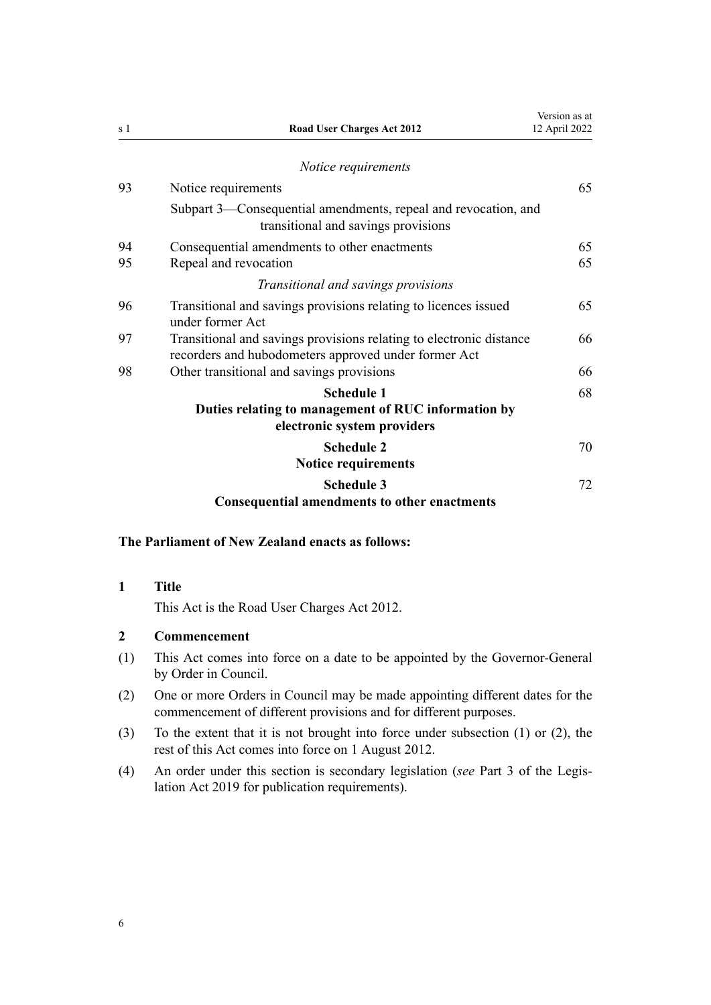<span id="page-5-0"></span>

| s 1 | <b>Road User Charges Act 2012</b>                                                                                           | Version as at<br>12 April 2022 |
|-----|-----------------------------------------------------------------------------------------------------------------------------|--------------------------------|
|     | Notice requirements                                                                                                         |                                |
| 93  | Notice requirements                                                                                                         | 65                             |
|     | Subpart 3—Consequential amendments, repeal and revocation, and<br>transitional and savings provisions                       |                                |
| 94  | Consequential amendments to other enactments                                                                                | 65                             |
| 95  | Repeal and revocation                                                                                                       | 65                             |
|     | Transitional and savings provisions                                                                                         |                                |
| 96  | Transitional and savings provisions relating to licences issued<br>under former Act                                         | 65                             |
| 97  | Transitional and savings provisions relating to electronic distance<br>recorders and hubodometers approved under former Act | 66                             |
| 98  | Other transitional and savings provisions                                                                                   | 66                             |
|     | <b>Schedule 1</b>                                                                                                           | 68                             |
|     | Duties relating to management of RUC information by<br>electronic system providers                                          |                                |
|     | <b>Schedule 2</b><br><b>Notice requirements</b>                                                                             | 70                             |
|     | <b>Schedule 3</b><br><b>Consequential amendments to other enactments</b>                                                    | 72                             |

## **The Parliament of New Zealand enacts as follows:**

### **1 Title**

This Act is the Road User Charges Act 2012.

## **2 Commencement**

- (1) This Act comes into force on a date to be appointed by the Governor-General by Order in Council.
- (2) One or more Orders in Council may be made appointing different dates for the commencement of different provisions and for different purposes.
- (3) To the extent that it is not brought into force under subsection (1) or (2), the rest of this Act comes into force on 1 August 2012.
- (4) An order under this section is secondary legislation (*see* [Part 3](http://legislation.govt.nz/pdflink.aspx?id=DLM7298343) of the Legis‐ lation Act 2019 for publication requirements).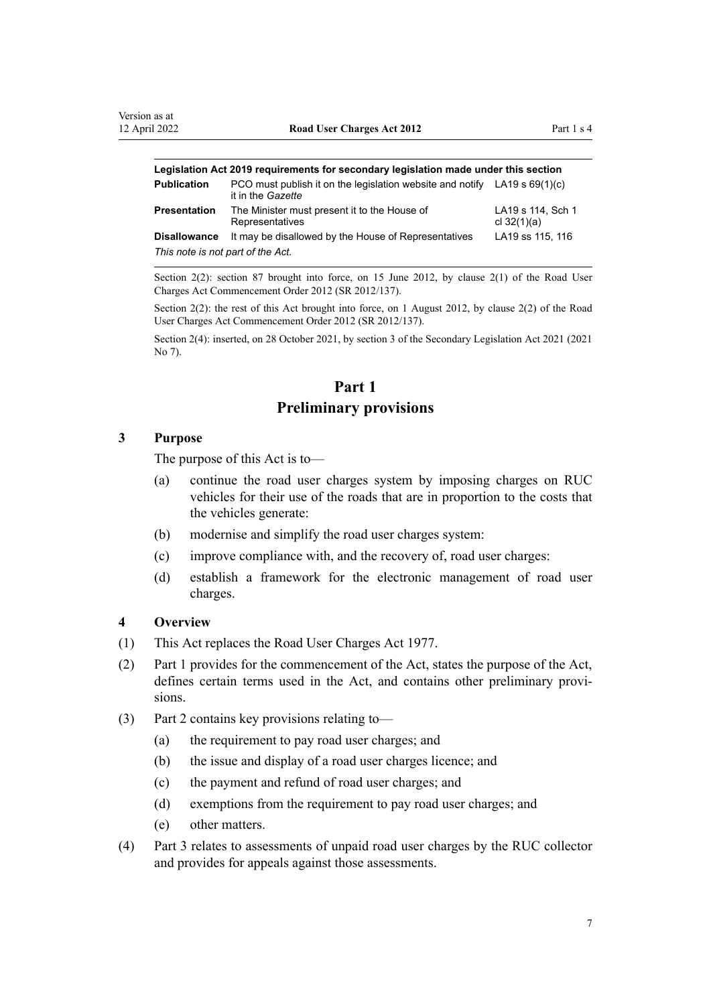<span id="page-6-0"></span>

| Legislation Act 2019 requirements for secondary legislation made under this section |                                                                                                  |                                    |  |
|-------------------------------------------------------------------------------------|--------------------------------------------------------------------------------------------------|------------------------------------|--|
| <b>Publication</b>                                                                  | PCO must publish it on the legislation website and notify LA19 s $69(1)(c)$<br>it in the Gazette |                                    |  |
| <b>Presentation</b>                                                                 | The Minister must present it to the House of<br>Representatives                                  | LA19 s 114, Sch 1<br>cl $32(1)(a)$ |  |
| <b>Disallowance</b>                                                                 | It may be disallowed by the House of Representatives                                             | LA19 ss 115, 116                   |  |
| This note is not part of the Act.                                                   |                                                                                                  |                                    |  |

Section 2(2): section 87 brought into force, on 15 June 2012, by [clause 2\(1\)](http://legislation.govt.nz/pdflink.aspx?id=DLM4503811) of the Road User Charges Act Commencement Order 2012 (SR 2012/137).

Section 2(2): the rest of this Act brought into force, on 1 August 2012, by [clause 2\(2\)](http://legislation.govt.nz/pdflink.aspx?id=DLM4503811) of the Road User Charges Act Commencement Order 2012 (SR 2012/137).

Section 2(4): inserted, on 28 October 2021, by [section 3](http://legislation.govt.nz/pdflink.aspx?id=LMS268932) of the Secondary Legislation Act 2021 (2021 No 7).

## **Part 1 Preliminary provisions**

#### **3 Purpose**

The purpose of this Act is to—

- (a) continue the road user charges system by imposing charges on RUC vehicles for their use of the roads that are in proportion to the costs that the vehicles generate:
- (b) modernise and simplify the road user charges system:
- (c) improve compliance with, and the recovery of, road user charges:
- (d) establish a framework for the electronic management of road user charges.

## **4 Overview**

- (1) This Act replaces the [Road User Charges Act 1977](http://legislation.govt.nz/pdflink.aspx?id=DLM18599).
- (2) Part 1 provides for the commencement of the Act, states the purpose of the Act, defines certain terms used in the Act, and contains other preliminary provisions.
- (3) [Part 2](#page-13-0) contains key provisions relating to—
	- (a) the requirement to pay road user charges; and
	- (b) the issue and display of a road user charges licence; and
	- (c) the payment and refund of road user charges; and
	- (d) exemptions from the requirement to pay road user charges; and
	- (e) other matters.
- (4) [Part 3](#page-41-0) relates to assessments of unpaid road user charges by the RUC collector and provides for appeals against those assessments.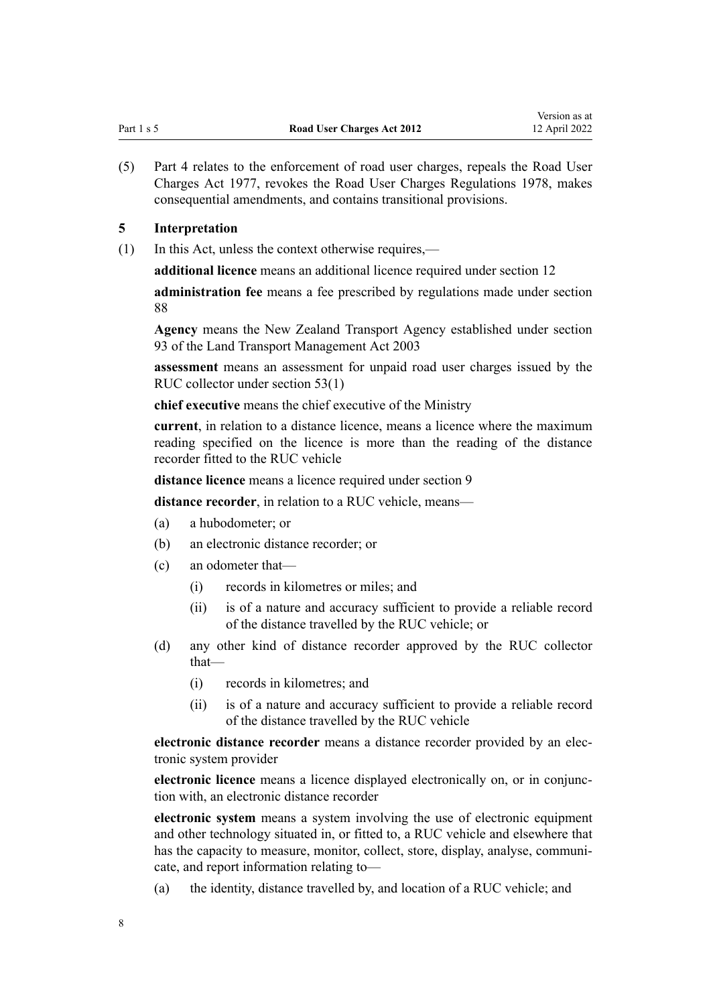<span id="page-7-0"></span>(5) [Part 4](#page-52-0) relates to the enforcement of road user charges, repeals the [Road User](http://legislation.govt.nz/pdflink.aspx?id=DLM18599) [Charges Act 1977,](http://legislation.govt.nz/pdflink.aspx?id=DLM18599) revokes the [Road User Charges Regulations 1978](http://legislation.govt.nz/pdflink.aspx?id=DLM61045), makes consequential amendments, and contains transitional provisions.

### **5 Interpretation**

(1) In this Act, unless the context otherwise requires,—

**additional licence** means an additional licence required under [section 12](#page-16-0)

**administration fee** means a fee prescribed by regulations made under [section](#page-57-0) [88](#page-57-0)

**Agency** means the New Zealand Transport Agency established under [section](http://legislation.govt.nz/pdflink.aspx?id=DLM228044) [93](http://legislation.govt.nz/pdflink.aspx?id=DLM228044) of the Land Transport Management Act 2003

**assessment** means an assessment for unpaid road user charges issued by the RUC collector under [section 53\(1\)](#page-41-0)

**chief executive** means the chief executive of the Ministry

**current**, in relation to a distance licence, means a licence where the maximum reading specified on the licence is more than the reading of the distance recorder fitted to the RUC vehicle

**distance licence** means a licence required under [section 9](#page-14-0)

**distance recorder**, in relation to a RUC vehicle, means—

- (a) a hubodometer; or
- (b) an electronic distance recorder; or
- (c) an odometer that—
	- (i) records in kilometres or miles; and
	- (ii) is of a nature and accuracy sufficient to provide a reliable record of the distance travelled by the RUC vehicle; or
- (d) any other kind of distance recorder approved by the RUC collector that—
	- (i) records in kilometres; and
	- (ii) is of a nature and accuracy sufficient to provide a reliable record of the distance travelled by the RUC vehicle

**electronic distance recorder** means a distance recorder provided by an elec‐ tronic system provider

**electronic licence** means a licence displayed electronically on, or in conjunction with, an electronic distance recorder

**electronic system** means a system involving the use of electronic equipment and other technology situated in, or fitted to, a RUC vehicle and elsewhere that has the capacity to measure, monitor, collect, store, display, analyse, communicate, and report information relating to—

(a) the identity, distance travelled by, and location of a RUC vehicle; and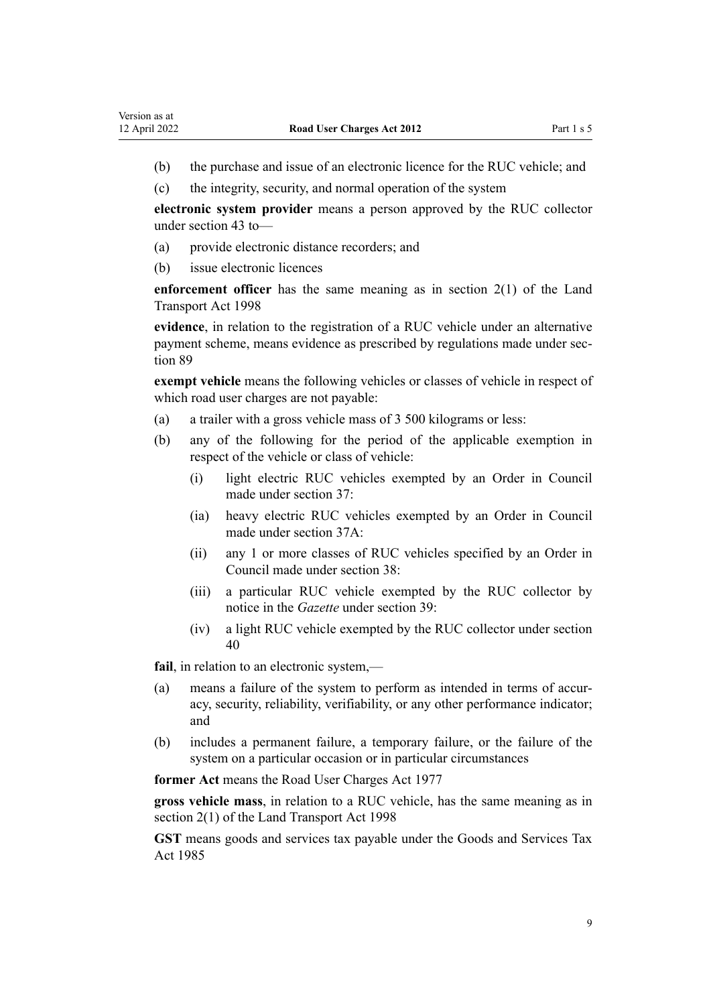- (b) the purchase and issue of an electronic licence for the RUC vehicle; and
- (c) the integrity, security, and normal operation of the system

**electronic system provider** means a person approved by the RUC collector under [section 43](#page-35-0) to—

- (a) provide electronic distance recorders; and
- (b) issue electronic licences

**enforcement officer** has the same meaning as in [section 2\(1\)](http://legislation.govt.nz/pdflink.aspx?id=DLM433619) of the Land Transport Act 1998

**evidence**, in relation to the registration of a RUC vehicle under an alternative payment scheme, means evidence as prescribed by regulations made under sec[tion 89](#page-59-0)

**exempt vehicle** means the following vehicles or classes of vehicle in respect of which road user charges are not payable:

- (a) a trailer with a gross vehicle mass of 3 500 kilograms or less:
- (b) any of the following for the period of the applicable exemption in respect of the vehicle or class of vehicle:
	- (i) light electric RUC vehicles exempted by an Order in Council made under [section 37](#page-27-0):
	- (ia) heavy electric RUC vehicles exempted by an Order in Council made under [section 37A](#page-27-0):
	- (ii) any 1 or more classes of RUC vehicles specified by an Order in Council made under [section 38](#page-28-0):
	- (iii) a particular RUC vehicle exempted by the RUC collector by notice in the *Gazette* under [section 39:](#page-29-0)
	- (iv) a light RUC vehicle exempted by the RUC collector under [section](#page-30-0) [40](#page-30-0)

**fail**, in relation to an electronic system,—

- (a) means a failure of the system to perform as intended in terms of accuracy, security, reliability, verifiability, or any other performance indicator; and
- (b) includes a permanent failure, a temporary failure, or the failure of the system on a particular occasion or in particular circumstances

**former Act** means the [Road User Charges Act 1977](http://legislation.govt.nz/pdflink.aspx?id=DLM18599)

**gross vehicle mass**, in relation to a RUC vehicle, has the same meaning as in [section 2\(1\)](http://legislation.govt.nz/pdflink.aspx?id=DLM433619) of the Land Transport Act 1998

**GST** means goods and services tax payable under the [Goods and Services Tax](http://legislation.govt.nz/pdflink.aspx?id=DLM81034) [Act 1985](http://legislation.govt.nz/pdflink.aspx?id=DLM81034)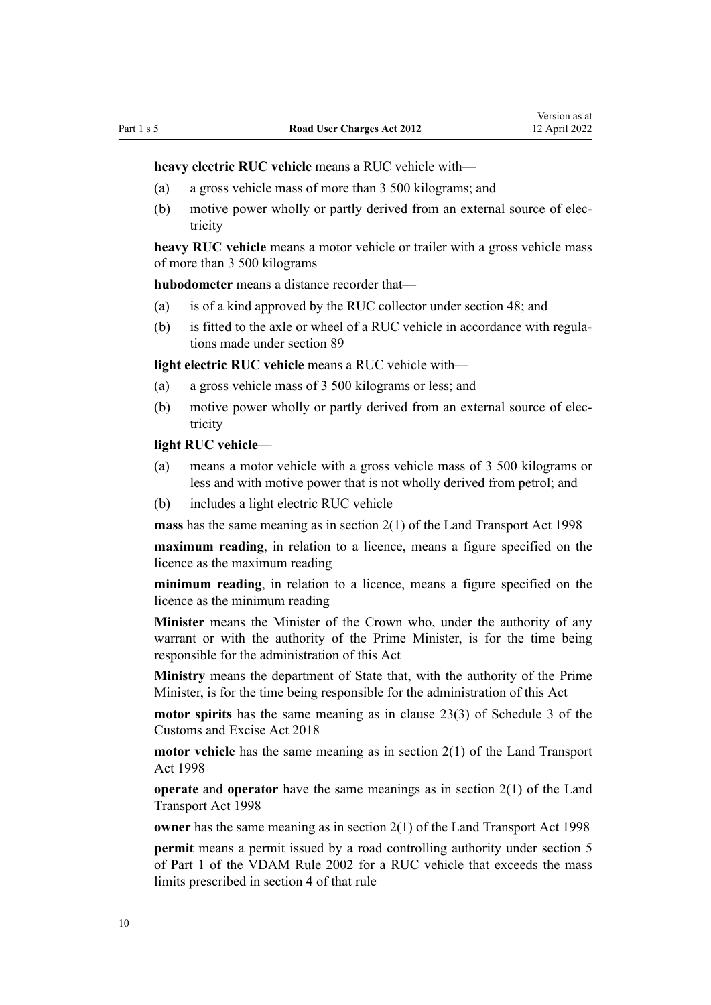**heavy electric RUC vehicle** means a RUC vehicle with—

- (a) a gross vehicle mass of more than 3 500 kilograms; and
- (b) motive power wholly or partly derived from an external source of electricity

**heavy RUC vehicle** means a motor vehicle or trailer with a gross vehicle mass of more than 3 500 kilograms

**hubodometer** means a distance recorder that—

- (a) is of a kind approved by the RUC collector under [section 48](#page-38-0); and
- (b) is fitted to the axle or wheel of a RUC vehicle in accordance with regulations made under [section 89](#page-59-0)

**light electric RUC vehicle** means a RUC vehicle with—

- (a) a gross vehicle mass of 3 500 kilograms or less; and
- (b) motive power wholly or partly derived from an external source of electricity

#### **light RUC vehicle**—

- (a) means a motor vehicle with a gross vehicle mass of 3 500 kilograms or less and with motive power that is not wholly derived from petrol; and
- (b) includes a light electric RUC vehicle

**mass** has the same meaning as in [section 2\(1\)](http://legislation.govt.nz/pdflink.aspx?id=DLM433619) of the Land Transport Act 1998

**maximum reading**, in relation to a licence, means a figure specified on the licence as the maximum reading

**minimum reading**, in relation to a licence, means a figure specified on the licence as the minimum reading

**Minister** means the Minister of the Crown who, under the authority of any warrant or with the authority of the Prime Minister, is for the time being responsible for the administration of this Act

**Ministry** means the department of State that, with the authority of the Prime Minister, is for the time being responsible for the administration of this Act

**motor spirits** has the same meaning as in [clause 23\(3\)](http://legislation.govt.nz/pdflink.aspx?id=DLM7040047) of Schedule 3 of the Customs and Excise Act 2018

**motor vehicle** has the same meaning as in [section 2\(1\)](http://legislation.govt.nz/pdflink.aspx?id=DLM433619) of the Land Transport Act 1998

**operate** and **operator** have the same meanings as in [section 2\(1\)](http://legislation.govt.nz/pdflink.aspx?id=DLM433619) of the Land Transport Act 1998

**owner** has the same meaning as in [section 2\(1\)](http://legislation.govt.nz/pdflink.aspx?id=DLM433619) of the Land Transport Act 1998

**permit** means a permit issued by a road controlling authority under section 5 of Part 1 of the VDAM Rule 2002 for a RUC vehicle that exceeds the mass limits prescribed in section 4 of that rule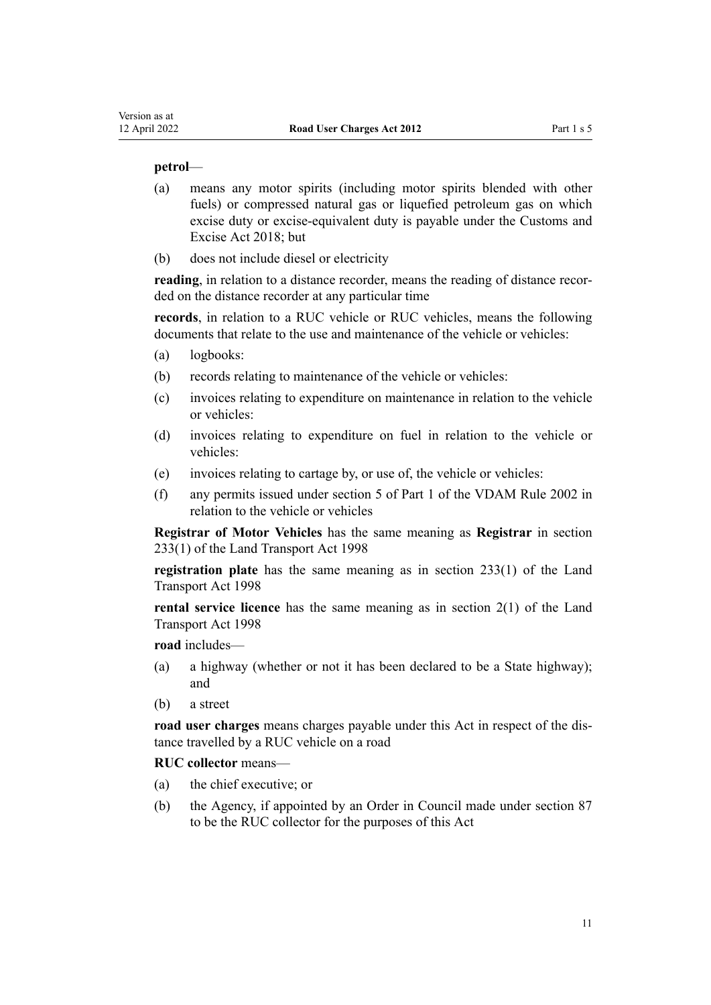#### **petrol**—

- (a) means any motor spirits (including motor spirits blended with other fuels) or compressed natural gas or liquefied petroleum gas on which excise duty or excise-equivalent duty is payable under the [Customs and](http://legislation.govt.nz/pdflink.aspx?id=DLM7038920) [Excise Act 2018](http://legislation.govt.nz/pdflink.aspx?id=DLM7038920); but
- (b) does not include diesel or electricity

**reading**, in relation to a distance recorder, means the reading of distance recor‐ ded on the distance recorder at any particular time

**records**, in relation to a RUC vehicle or RUC vehicles, means the following documents that relate to the use and maintenance of the vehicle or vehicles:

- (a) logbooks:
- (b) records relating to maintenance of the vehicle or vehicles:
- (c) invoices relating to expenditure on maintenance in relation to the vehicle or vehicles:
- (d) invoices relating to expenditure on fuel in relation to the vehicle or vehicles:
- (e) invoices relating to cartage by, or use of, the vehicle or vehicles:
- (f) any permits issued under section 5 of Part 1 of the VDAM Rule 2002 in relation to the vehicle or vehicles

**Registrar of Motor Vehicles** has the same meaning as **Registrar** in [section](http://legislation.govt.nz/pdflink.aspx?id=DLM2214228) [233\(1\)](http://legislation.govt.nz/pdflink.aspx?id=DLM2214228) of the Land Transport Act 1998

**registration plate** has the same meaning as in [section 233\(1\)](http://legislation.govt.nz/pdflink.aspx?id=DLM2214228) of the Land Transport Act 1998

**rental service licence** has the same meaning as in [section 2\(1\)](http://legislation.govt.nz/pdflink.aspx?id=DLM433619) of the Land Transport Act 1998

**road** includes—

- (a) a highway (whether or not it has been declared to be a State highway); and
- (b) a street

**road user charges** means charges payable under this Act in respect of the dis‐ tance travelled by a RUC vehicle on a road

**RUC collector** means—

- (a) the chief executive; or
- (b) the Agency, if appointed by an Order in Council made under [section 87](#page-57-0) to be the RUC collector for the purposes of this Act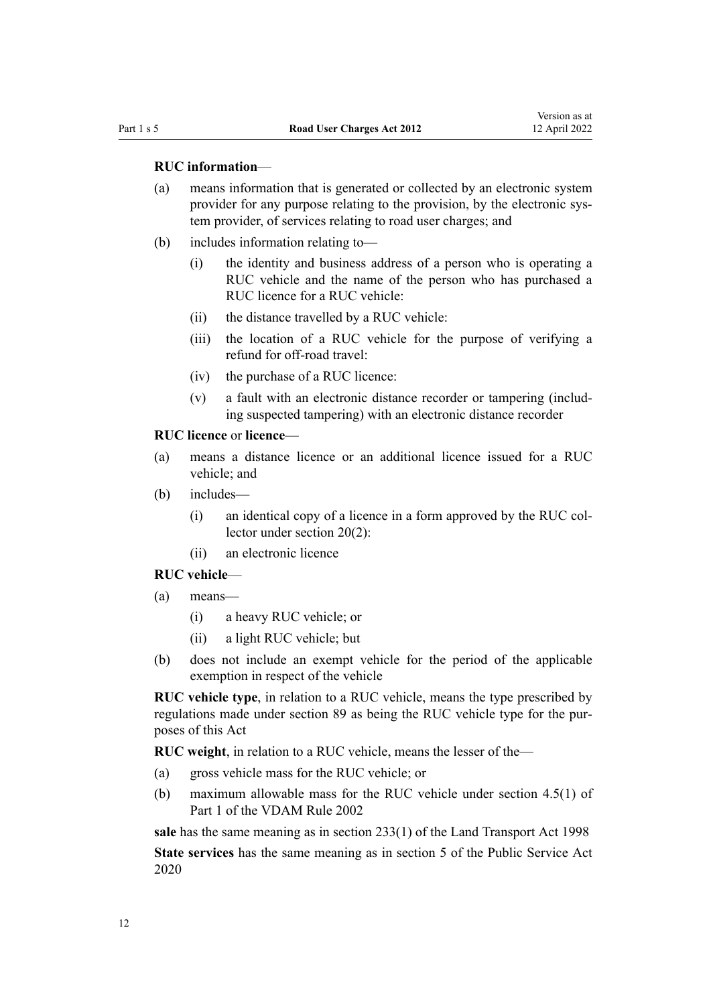#### **RUC information**—

- (a) means information that is generated or collected by an electronic system provider for any purpose relating to the provision, by the electronic system provider, of services relating to road user charges; and
- (b) includes information relating to—
	- (i) the identity and business address of a person who is operating a RUC vehicle and the name of the person who has purchased a RUC licence for a RUC vehicle:
	- (ii) the distance travelled by a RUC vehicle:
	- (iii) the location of a RUC vehicle for the purpose of verifying a refund for off-road travel:
	- (iv) the purchase of a RUC licence:
	- (v) a fault with an electronic distance recorder or tampering (includ‐ ing suspected tampering) with an electronic distance recorder

#### **RUC licence** or **licence**—

- (a) means a distance licence or an additional licence issued for a RUC vehicle; and
- (b) includes—
	- (i) an identical copy of a licence in a form approved by the RUC col‐ lector under [section 20\(2\):](#page-20-0)
	- (ii) an electronic licence

## **RUC vehicle**—

- (a) means—
	- (i) a heavy RUC vehicle; or
	- (ii) a light RUC vehicle; but
- (b) does not include an exempt vehicle for the period of the applicable exemption in respect of the vehicle

**RUC vehicle type**, in relation to a RUC vehicle, means the type prescribed by regulations made under [section 89](#page-59-0) as being the RUC vehicle type for the purposes of this Act

**RUC weight**, in relation to a RUC vehicle, means the lesser of the—

- (a) gross vehicle mass for the RUC vehicle; or
- (b) maximum allowable mass for the RUC vehicle under section 4.5(1) of Part 1 of the VDAM Rule 2002

**sale** has the same meaning as in [section 233\(1\)](http://legislation.govt.nz/pdflink.aspx?id=DLM2214228) of the Land Transport Act 1998 **State services** has the same meaning as in [section 5](http://legislation.govt.nz/pdflink.aspx?id=LMS356868) of the Public Service Act 2020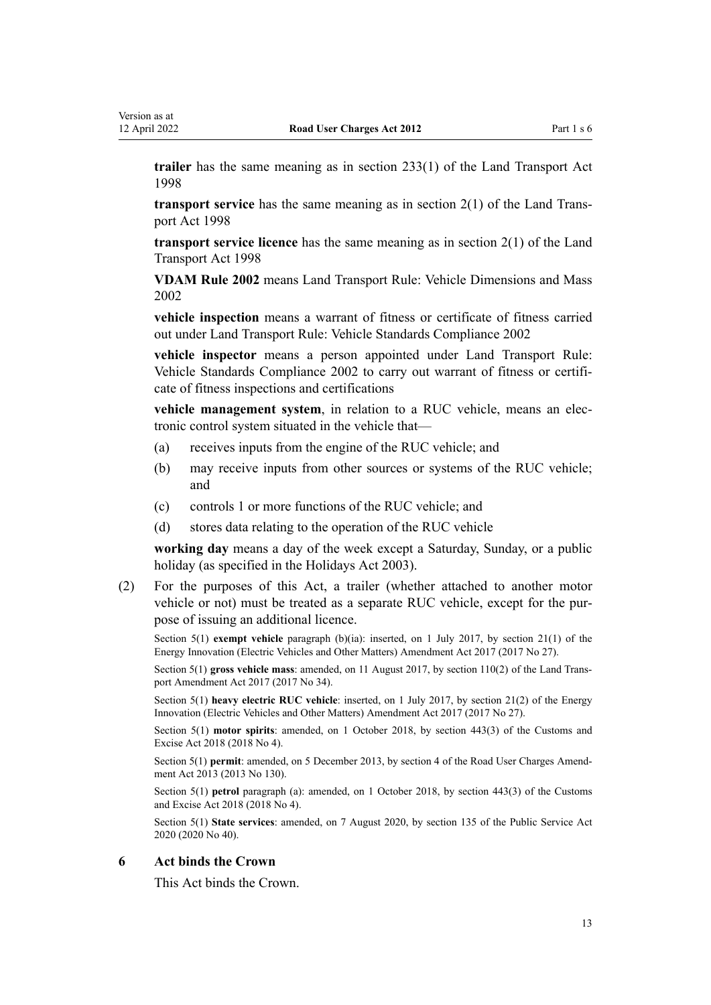<span id="page-12-0"></span>**trailer** has the same meaning as in [section 233\(1\)](http://legislation.govt.nz/pdflink.aspx?id=DLM2214228) of the Land Transport Act 1998

**transport service** has the same meaning as in [section 2\(1\)](http://legislation.govt.nz/pdflink.aspx?id=DLM433619) of the Land Trans‐ port Act 1998

**transport service licence** has the same meaning as in [section 2\(1\)](http://legislation.govt.nz/pdflink.aspx?id=DLM433619) of the Land Transport Act 1998

**VDAM Rule 2002** means Land Transport Rule: Vehicle Dimensions and Mass 2002

**vehicle inspection** means a warrant of fitness or certificate of fitness carried out under Land Transport Rule: Vehicle Standards Compliance 2002

**vehicle inspector** means a person appointed under Land Transport Rule: Vehicle Standards Compliance 2002 to carry out warrant of fitness or certifi‐ cate of fitness inspections and certifications

**vehicle management system**, in relation to a RUC vehicle, means an elec‐ tronic control system situated in the vehicle that—

- (a) receives inputs from the engine of the RUC vehicle; and
- (b) may receive inputs from other sources or systems of the RUC vehicle; and
- (c) controls 1 or more functions of the RUC vehicle; and
- (d) stores data relating to the operation of the RUC vehicle

**working day** means a day of the week except a Saturday, Sunday, or a public holiday (as specified in the [Holidays Act 2003\)](http://legislation.govt.nz/pdflink.aspx?id=DLM236386).

(2) For the purposes of this Act, a trailer (whether attached to another motor vehicle or not) must be treated as a separate RUC vehicle, except for the pur‐ pose of issuing an additional licence.

Section 5(1) **exempt vehicle** paragraph (b)(ia): inserted, on 1 July 2017, by [section 21\(1\)](http://legislation.govt.nz/pdflink.aspx?id=DLM7005050) of the Energy Innovation (Electric Vehicles and Other Matters) Amendment Act 2017 (2017 No 27).

Section 5(1) **gross vehicle mass**: amended, on 11 August 2017, by [section 110\(2\)](http://legislation.govt.nz/pdflink.aspx?id=DLM6960929) of the Land Trans‐ port Amendment Act 2017 (2017 No 34).

Section 5(1) **heavy electric RUC vehicle**: inserted, on 1 July 2017, by [section 21\(2\)](http://legislation.govt.nz/pdflink.aspx?id=DLM7005050) of the Energy Innovation (Electric Vehicles and Other Matters) Amendment Act 2017 (2017 No 27).

Section 5(1) **motor spirits**: amended, on 1 October 2018, by [section 443\(3\)](http://legislation.govt.nz/pdflink.aspx?id=DLM7039957) of the Customs and Excise Act 2018 (2018 No 4).

Section 5(1) **permit**: amended, on 5 December 2013, by [section 4](http://legislation.govt.nz/pdflink.aspx?id=DLM5624208) of the Road User Charges Amendment Act 2013 (2013 No 130).

Section 5(1) **petrol** paragraph (a): amended, on 1 October 2018, by [section 443\(3\)](http://legislation.govt.nz/pdflink.aspx?id=DLM7039957) of the Customs and Excise Act 2018 (2018 No 4).

Section 5(1) **State services**: amended, on 7 August 2020, by [section 135](http://legislation.govt.nz/pdflink.aspx?id=LMS176959) of the Public Service Act 2020 (2020 No 40).

#### **6 Act binds the Crown**

This Act binds the Crown.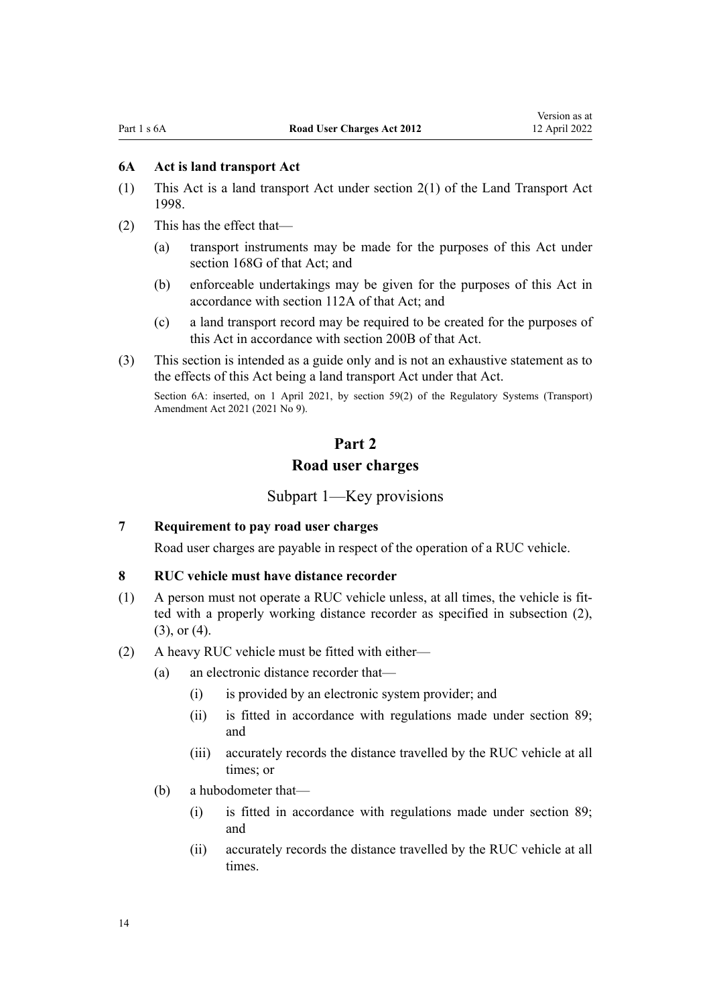#### <span id="page-13-0"></span>**6A Act is land transport Act**

- (1) This Act is a land transport Act under [section 2\(1\)](http://legislation.govt.nz/pdflink.aspx?id=DLM433619) of the Land Transport Act 1998.
- (2) This has the effect that—
	- (a) transport instruments may be made for the purposes of this Act under [section 168G](http://legislation.govt.nz/pdflink.aspx?id=LMS481883) of that Act; and
	- (b) enforceable undertakings may be given for the purposes of this Act in accordance with [section 112A](http://legislation.govt.nz/pdflink.aspx?id=LMS411520) of that Act; and
	- (c) a land transport record may be required to be created for the purposes of this Act in accordance with [section 200B](http://legislation.govt.nz/pdflink.aspx?id=LMS411536) of that Act.
- (3) This section is intended as a guide only and is not an exhaustive statement as to the effects of this Act being a land transport Act under that Act.

Section 6A: inserted, on 1 April 2021, by [section 59\(2\)](http://legislation.govt.nz/pdflink.aspx?id=LMS290405) of the Regulatory Systems (Transport) Amendment Act 2021 (2021 No 9).

## **Part 2**

## **Road user charges**

## Subpart 1—Key provisions

#### **7 Requirement to pay road user charges**

Road user charges are payable in respect of the operation of a RUC vehicle.

#### **8 RUC vehicle must have distance recorder**

- $(1)$  A person must not operate a RUC vehicle unless, at all times, the vehicle is fitted with a properly working distance recorder as specified in subsection (2), (3), or (4).
- (2) A heavy RUC vehicle must be fitted with either—
	- (a) an electronic distance recorder that—
		- (i) is provided by an electronic system provider; and
		- (ii) is fitted in accordance with regulations made under [section 89;](#page-59-0) and
		- (iii) accurately records the distance travelled by the RUC vehicle at all times; or
	- (b) a hubodometer that—
		- (i) is fitted in accordance with regulations made under [section 89;](#page-59-0) and
		- (ii) accurately records the distance travelled by the RUC vehicle at all times.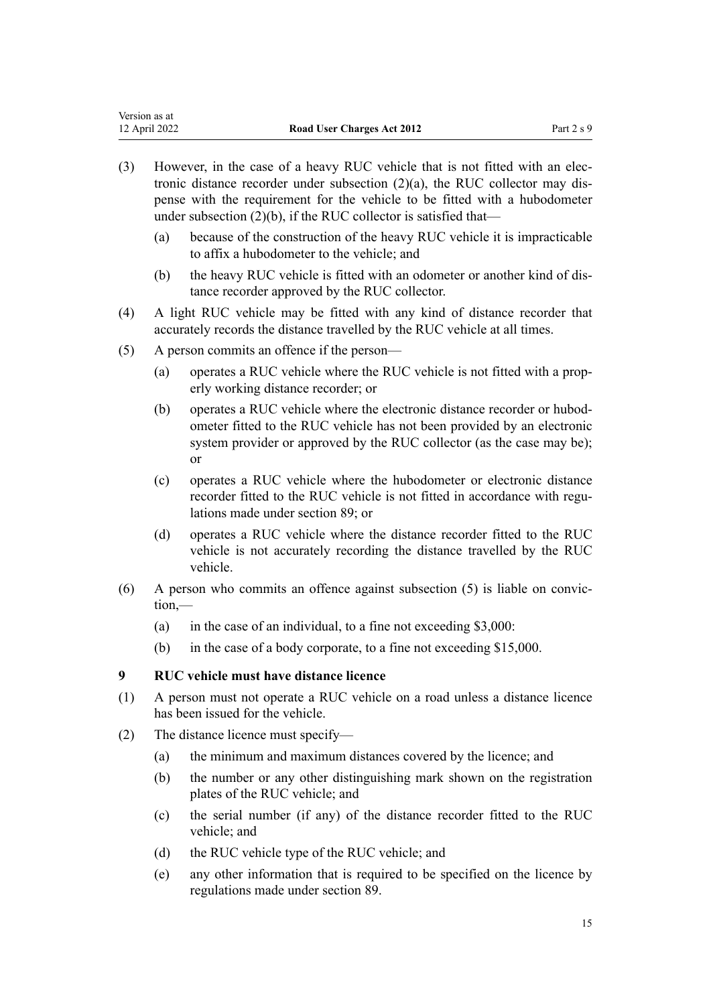- <span id="page-14-0"></span>(3) However, in the case of a heavy RUC vehicle that is not fitted with an elec‐ tronic distance recorder under subsection  $(2)(a)$ , the RUC collector may dispense with the requirement for the vehicle to be fitted with a hubodometer under subsection (2)(b), if the RUC collector is satisfied that—
	- (a) because of the construction of the heavy RUC vehicle it is impracticable to affix a hubodometer to the vehicle; and
	- (b) the heavy RUC vehicle is fitted with an odometer or another kind of distance recorder approved by the RUC collector.
- (4) A light RUC vehicle may be fitted with any kind of distance recorder that accurately records the distance travelled by the RUC vehicle at all times.
- (5) A person commits an offence if the person—
	- (a) operates a RUC vehicle where the RUC vehicle is not fitted with a prop‐ erly working distance recorder; or
	- (b) operates a RUC vehicle where the electronic distance recorder or hubod‐ ometer fitted to the RUC vehicle has not been provided by an electronic system provider or approved by the RUC collector (as the case may be); or
	- (c) operates a RUC vehicle where the hubodometer or electronic distance recorder fitted to the RUC vehicle is not fitted in accordance with regulations made under [section 89;](#page-59-0) or
	- (d) operates a RUC vehicle where the distance recorder fitted to the RUC vehicle is not accurately recording the distance travelled by the RUC vehicle.
- $(6)$  A person who commits an offence against subsection  $(5)$  is liable on conviction,—
	- (a) in the case of an individual, to a fine not exceeding  $$3,000$ :
	- (b) in the case of a body corporate, to a fine not exceeding \$15,000.

## **9 RUC vehicle must have distance licence**

- (1) A person must not operate a RUC vehicle on a road unless a distance licence has been issued for the vehicle.
- (2) The distance licence must specify—
	- (a) the minimum and maximum distances covered by the licence; and
	- (b) the number or any other distinguishing mark shown on the registration plates of the RUC vehicle; and
	- (c) the serial number (if any) of the distance recorder fitted to the RUC vehicle; and
	- (d) the RUC vehicle type of the RUC vehicle; and
	- (e) any other information that is required to be specified on the licence by regulations made under [section 89.](#page-59-0)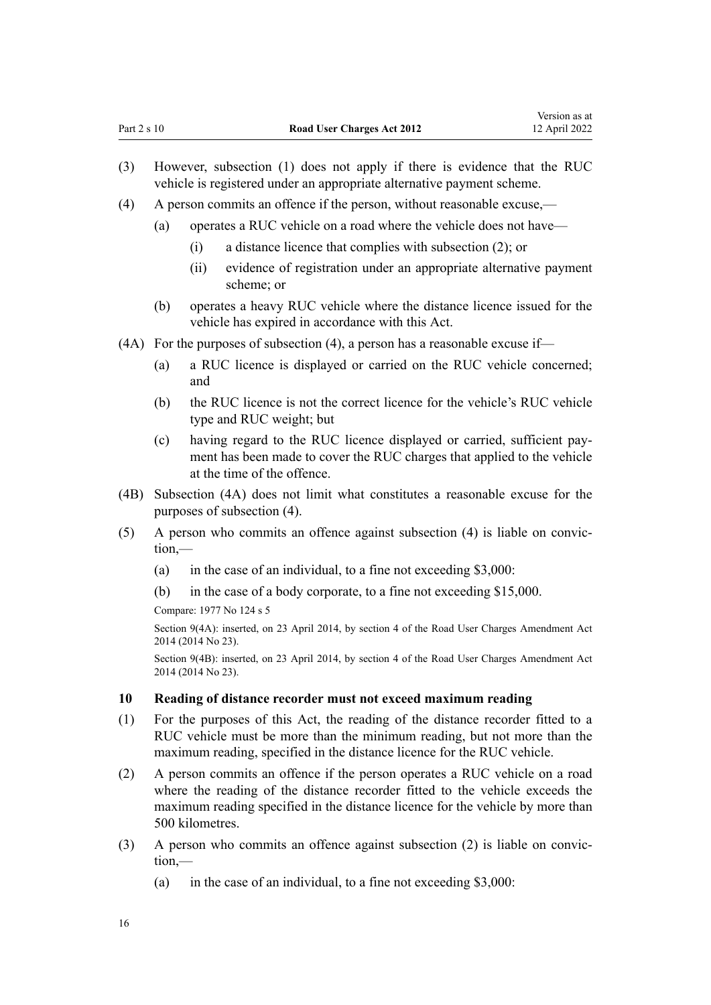- <span id="page-15-0"></span>(3) However, subsection (1) does not apply if there is evidence that the RUC vehicle is registered under an appropriate alternative payment scheme.
- (4) A person commits an offence if the person, without reasonable excuse,—
	- (a) operates a RUC vehicle on a road where the vehicle does not have—
		- (i) a distance licence that complies with subsection (2); or
		- (ii) evidence of registration under an appropriate alternative payment scheme; or
	- (b) operates a heavy RUC vehicle where the distance licence issued for the vehicle has expired in accordance with this Act.
- (4A) For the purposes of subsection (4), a person has a reasonable excuse if—
	- (a) a RUC licence is displayed or carried on the RUC vehicle concerned; and
	- (b) the RUC licence is not the correct licence for the vehicle's RUC vehicle type and RUC weight; but
	- (c) having regard to the RUC licence displayed or carried, sufficient pay‐ ment has been made to cover the RUC charges that applied to the vehicle at the time of the offence.
- (4B) Subsection (4A) does not limit what constitutes a reasonable excuse for the purposes of subsection (4).
- (5) A person who commits an offence against subsection (4) is liable on convic‐ tion,—
	- (a) in the case of an individual, to a fine not exceeding \$3,000:
	- (b) in the case of a body corporate, to a fine not exceeding \$15,000.

Compare: 1977 No 124 s 5

Section 9(4A): inserted, on 23 April 2014, by [section 4](http://legislation.govt.nz/pdflink.aspx?id=DLM6040508) of the Road User Charges Amendment Act 2014 (2014 No 23).

Section 9(4B): inserted, on 23 April 2014, by [section 4](http://legislation.govt.nz/pdflink.aspx?id=DLM6040508) of the Road User Charges Amendment Act 2014 (2014 No 23).

#### **10 Reading of distance recorder must not exceed maximum reading**

- (1) For the purposes of this Act, the reading of the distance recorder fitted to a RUC vehicle must be more than the minimum reading, but not more than the maximum reading, specified in the distance licence for the RUC vehicle.
- (2) A person commits an offence if the person operates a RUC vehicle on a road where the reading of the distance recorder fitted to the vehicle exceeds the maximum reading specified in the distance licence for the vehicle by more than 500 kilometres.
- (3) A person who commits an offence against subsection (2) is liable on convic‐ tion,—
	- (a) in the case of an individual, to a fine not exceeding  $$3,000$ :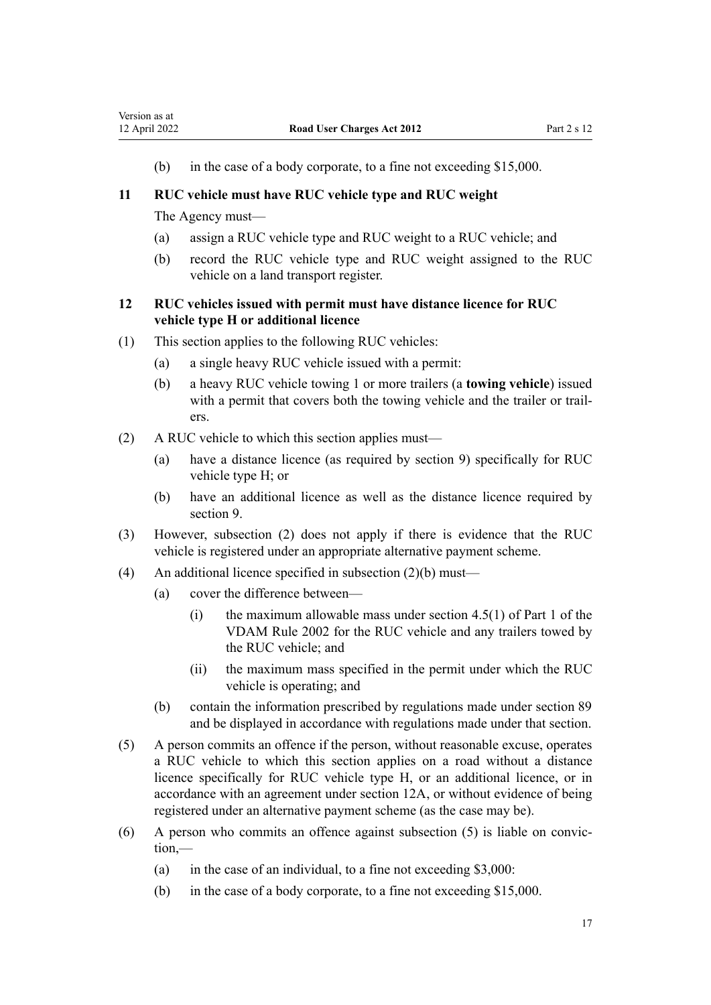<span id="page-16-0"></span>(b) in the case of a body corporate, to a fine not exceeding \$15,000.

## **11 RUC vehicle must have RUC vehicle type and RUC weight**

The Agency must—

- (a) assign a RUC vehicle type and RUC weight to a RUC vehicle; and
- (b) record the RUC vehicle type and RUC weight assigned to the RUC vehicle on a land transport register.

## **12 RUC vehicles issued with permit must have distance licence for RUC vehicle type H or additional licence**

- (1) This section applies to the following RUC vehicles:
	- (a) a single heavy RUC vehicle issued with a permit:
	- (b) a heavy RUC vehicle towing 1 or more trailers (a **towing vehicle**) issued with a permit that covers both the towing vehicle and the trailer or trailers.
- (2) A RUC vehicle to which this section applies must—
	- (a) have a distance licence (as required by [section 9](#page-14-0)) specifically for RUC vehicle type H; or
	- (b) have an additional licence as well as the distance licence required by section 9.
- (3) However, subsection (2) does not apply if there is evidence that the RUC vehicle is registered under an appropriate alternative payment scheme.
- (4) An additional licence specified in subsection (2)(b) must—
	- (a) cover the difference between—
		- (i) the maximum allowable mass under section 4.5(1) of Part 1 of the VDAM Rule 2002 for the RUC vehicle and any trailers towed by the RUC vehicle; and
		- (ii) the maximum mass specified in the permit under which the RUC vehicle is operating; and
	- (b) contain the information prescribed by regulations made under [section 89](#page-59-0) and be displayed in accordance with regulations made under that section.
- (5) A person commits an offence if the person, without reasonable excuse, operates a RUC vehicle to which this section applies on a road without a distance licence specifically for RUC vehicle type H, or an additional licence, or in accordance with an agreement under [section 12A](#page-17-0), or without evidence of being registered under an alternative payment scheme (as the case may be).
- (6) A person who commits an offence against subsection (5) is liable on convic‐ tion,—
	- (a) in the case of an individual, to a fine not exceeding  $$3,000$ :
	- (b) in the case of a body corporate, to a fine not exceeding \$15,000.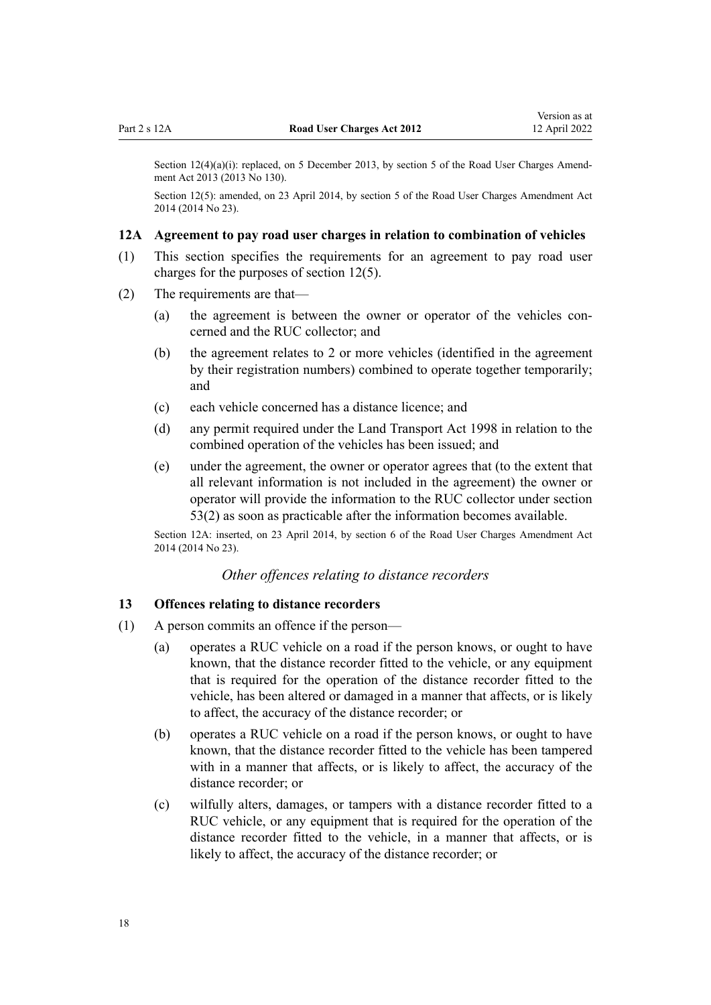<span id="page-17-0"></span>Section  $12(4)(a)(i)$ : replaced, on 5 December 2013, by [section 5](http://legislation.govt.nz/pdflink.aspx?id=DLM5624210) of the Road User Charges Amendment Act 2013 (2013 No 130).

Section 12(5): amended, on 23 April 2014, by [section 5](http://legislation.govt.nz/pdflink.aspx?id=DLM6040509) of the Road User Charges Amendment Act 2014 (2014 No 23).

#### **12A Agreement to pay road user charges in relation to combination of vehicles**

- (1) This section specifies the requirements for an agreement to pay road user charges for the purposes of [section 12\(5\).](#page-16-0)
- (2) The requirements are that—
	- (a) the agreement is between the owner or operator of the vehicles concerned and the RUC collector; and
	- (b) the agreement relates to 2 or more vehicles (identified in the agreement by their registration numbers) combined to operate together temporarily; and
	- (c) each vehicle concerned has a distance licence; and
	- (d) any permit required under the [Land Transport Act 1998](http://legislation.govt.nz/pdflink.aspx?id=DLM433612) in relation to the combined operation of the vehicles has been issued; and
	- (e) under the agreement, the owner or operator agrees that (to the extent that all relevant information is not included in the agreement) the owner or operator will provide the information to the RUC collector under [section](#page-41-0) [53\(2\)](#page-41-0) as soon as practicable after the information becomes available.

Section 12A: inserted, on 23 April 2014, by [section 6](http://legislation.govt.nz/pdflink.aspx?id=DLM6040510) of the Road User Charges Amendment Act 2014 (2014 No 23).

#### *Other offences relating to distance recorders*

#### **13 Offences relating to distance recorders**

- (1) A person commits an offence if the person—
	- (a) operates a RUC vehicle on a road if the person knows, or ought to have known, that the distance recorder fitted to the vehicle, or any equipment that is required for the operation of the distance recorder fitted to the vehicle, has been altered or damaged in a manner that affects, or is likely to affect, the accuracy of the distance recorder; or
	- (b) operates a RUC vehicle on a road if the person knows, or ought to have known, that the distance recorder fitted to the vehicle has been tampered with in a manner that affects, or is likely to affect, the accuracy of the distance recorder; or
	- (c) wilfully alters, damages, or tampers with a distance recorder fitted to a RUC vehicle, or any equipment that is required for the operation of the distance recorder fitted to the vehicle, in a manner that affects, or is likely to affect, the accuracy of the distance recorder; or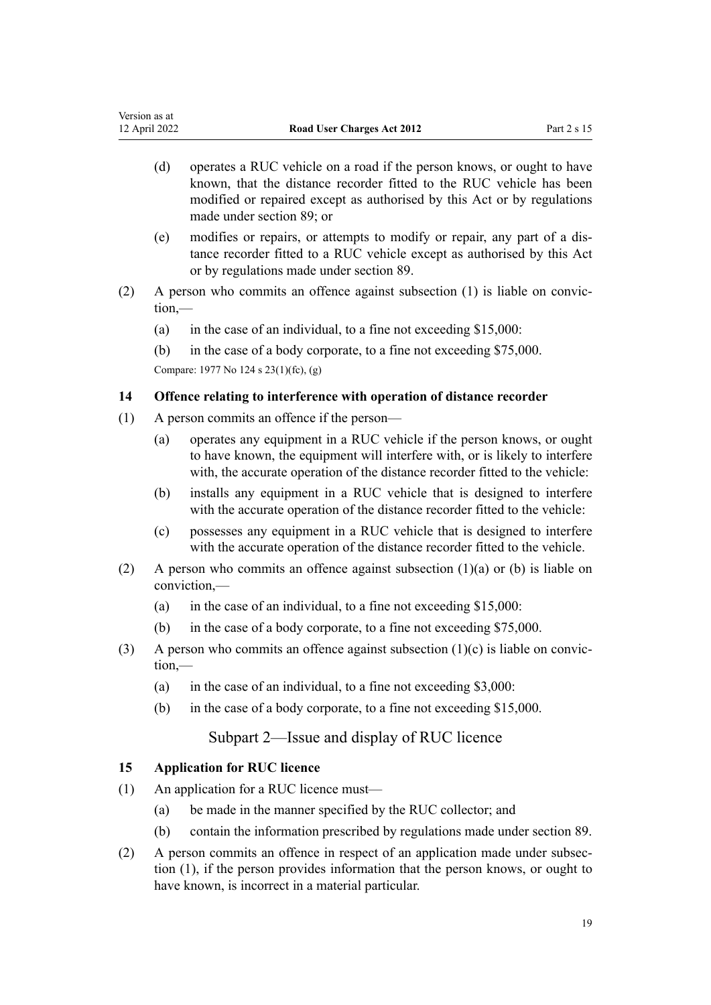- <span id="page-18-0"></span>(d) operates a RUC vehicle on a road if the person knows, or ought to have known, that the distance recorder fitted to the RUC vehicle has been modified or repaired except as authorised by this Act or by regulations made under [section 89;](#page-59-0) or
- (e) modifies or repairs, or attempts to modify or repair, any part of a dis‐ tance recorder fitted to a RUC vehicle except as authorised by this Act or by regulations made under [section 89.](#page-59-0)
- $(2)$  A person who commits an offence against subsection  $(1)$  is liable on conviction,—
	- (a) in the case of an individual, to a fine not exceeding \$15,000:

(b) in the case of a body corporate, to a fine not exceeding \$75,000. Compare: 1977 No 124 [s 23\(1\)\(fc\), \(g\)](http://legislation.govt.nz/pdflink.aspx?id=DLM19625)

## **14 Offence relating to interference with operation of distance recorder**

- (1) A person commits an offence if the person—
	- (a) operates any equipment in a RUC vehicle if the person knows, or ought to have known, the equipment will interfere with, or is likely to interfere with, the accurate operation of the distance recorder fitted to the vehicle:
	- (b) installs any equipment in a RUC vehicle that is designed to interfere with the accurate operation of the distance recorder fitted to the vehicle:
	- (c) possesses any equipment in a RUC vehicle that is designed to interfere with the accurate operation of the distance recorder fitted to the vehicle.
- (2) A person who commits an offence against subsection  $(1)(a)$  or (b) is liable on conviction,—
	- (a) in the case of an individual, to a fine not exceeding  $$15,000$ :
	- (b) in the case of a body corporate, to a fine not exceeding \$75,000.
- (3) A person who commits an offence against subsection (1)(c) is liable on conviction,—
	- (a) in the case of an individual, to a fine not exceeding \$3,000:
	- (b) in the case of a body corporate, to a fine not exceeding \$15,000.

## Subpart 2—Issue and display of RUC licence

## **15 Application for RUC licence**

- (1) An application for a RUC licence must—
	- (a) be made in the manner specified by the RUC collector; and
	- (b) contain the information prescribed by regulations made under [section 89.](#page-59-0)
- (2) A person commits an offence in respect of an application made under subsec‐ tion (1), if the person provides information that the person knows, or ought to have known, is incorrect in a material particular.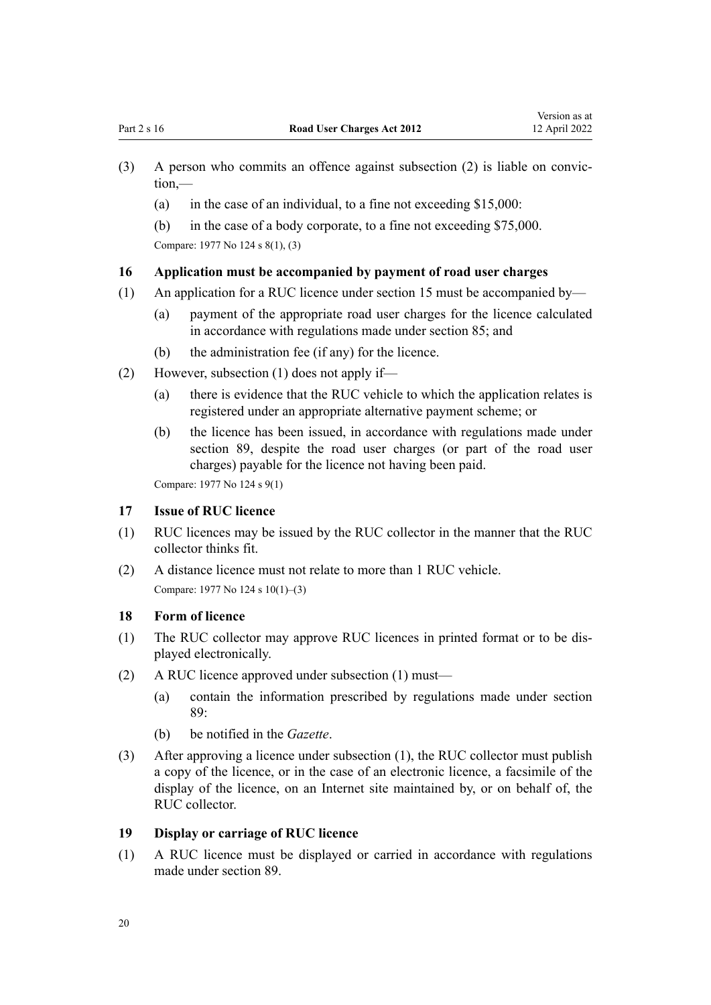- <span id="page-19-0"></span>(3) A person who commits an offence against subsection (2) is liable on convic‐ tion,—
	- (a) in the case of an individual, to a fine not exceeding  $$15,000$ :
	- (b) in the case of a body corporate, to a fine not exceeding \$75,000. Compare: 1977 No 124 [s 8\(1\), \(3\)](http://legislation.govt.nz/pdflink.aspx?id=DLM19119)

#### **16 Application must be accompanied by payment of road user charges**

- (1) An application for a RUC licence under [section 15](#page-18-0) must be accompanied by—
	- (a) payment of the appropriate road user charges for the licence calculated in accordance with regulations made under [section 85;](#page-56-0) and
	- (b) the administration fee (if any) for the licence.
- (2) However, subsection (1) does not apply if—
	- (a) there is evidence that the RUC vehicle to which the application relates is registered under an appropriate alternative payment scheme; or
	- (b) the licence has been issued, in accordance with regulations made under [section 89](#page-59-0), despite the road user charges (or part of the road user charges) payable for the licence not having been paid.

Compare: 1977 No 124 [s 9\(1\)](http://legislation.govt.nz/pdflink.aspx?id=DLM19124)

#### **17 Issue of RUC licence**

- (1) RUC licences may be issued by the RUC collector in the manner that the RUC collector thinks fit.
- (2) A distance licence must not relate to more than 1 RUC vehicle. Compare: 1977 No 124 [s 10\(1\)–\(3\)](http://legislation.govt.nz/pdflink.aspx?id=DLM19126)

#### **18 Form of licence**

- (1) The RUC collector may approve RUC licences in printed format or to be dis‐ played electronically.
- (2) A RUC licence approved under subsection (1) must—
	- (a) contain the information prescribed by regulations made under [section](#page-59-0) [89:](#page-59-0)
	- (b) be notified in the *Gazette*.
- (3) After approving a licence under subsection (1), the RUC collector must publish a copy of the licence, or in the case of an electronic licence, a facsimile of the display of the licence, on an Internet site maintained by, or on behalf of, the RUC collector.

#### **19 Display or carriage of RUC licence**

(1) A RUC licence must be displayed or carried in accordance with regulations made under [section 89.](#page-59-0)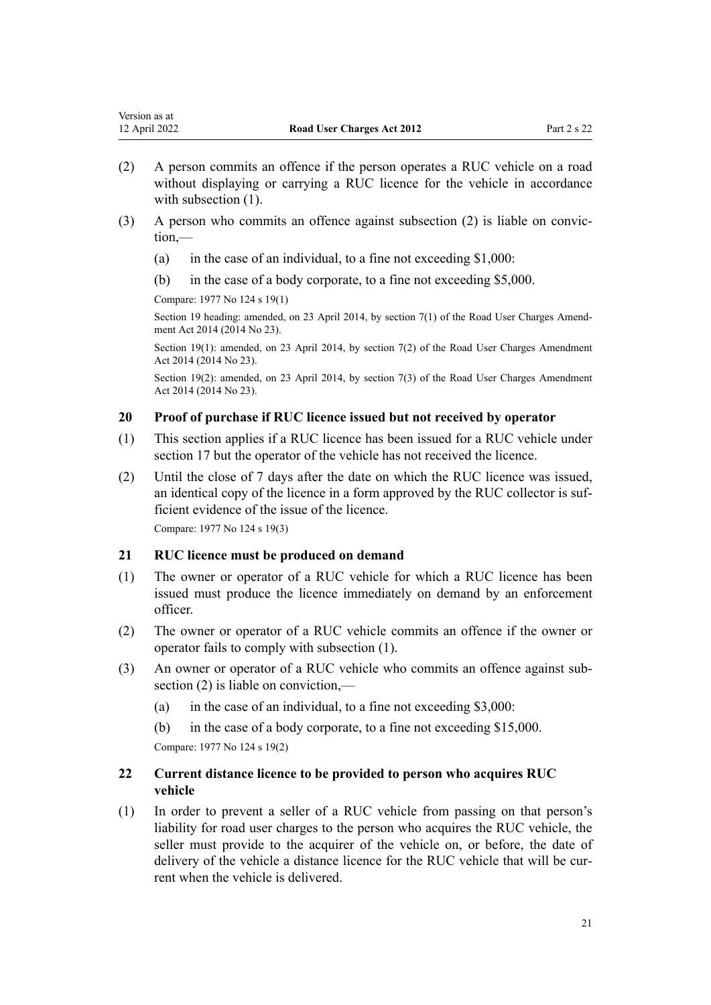- <span id="page-20-0"></span>(2) A person commits an offence if the person operates a RUC vehicle on a road without displaying or carrying a RUC licence for the vehicle in accordance with subsection  $(1)$ .
- (3) A person who commits an offence against subsection (2) is liable on convic‐ tion,—
	- (a) in the case of an individual, to a fine not exceeding  $$1,000$ :
	- (b) in the case of a body corporate, to a fine not exceeding \$5,000.

Compare: 1977 No 124 [s 19\(1\)](http://legislation.govt.nz/pdflink.aspx?id=DLM19183)

Section 19 heading: amended, on 23 April 2014, by [section 7\(1\)](http://legislation.govt.nz/pdflink.aspx?id=DLM6040512) of the Road User Charges Amendment Act 2014 (2014 No 23).

Section 19(1): amended, on 23 April 2014, by [section 7\(2\)](http://legislation.govt.nz/pdflink.aspx?id=DLM6040512) of the Road User Charges Amendment Act 2014 (2014 No 23).

Section 19(2): amended, on 23 April 2014, by [section 7\(3\)](http://legislation.govt.nz/pdflink.aspx?id=DLM6040512) of the Road User Charges Amendment Act 2014 (2014 No 23).

## **20 Proof of purchase if RUC licence issued but not received by operator**

- (1) This section applies if a RUC licence has been issued for a RUC vehicle under [section 17](#page-19-0) but the operator of the vehicle has not received the licence.
- (2) Until the close of 7 days after the date on which the RUC licence was issued, an identical copy of the licence in a form approved by the RUC collector is suf‐ ficient evidence of the issue of the licence.

Compare: 1977 No 124 [s 19\(3\)](http://legislation.govt.nz/pdflink.aspx?id=DLM19183)

### **21 RUC licence must be produced on demand**

- (1) The owner or operator of a RUC vehicle for which a RUC licence has been issued must produce the licence immediately on demand by an enforcement officer.
- (2) The owner or operator of a RUC vehicle commits an offence if the owner or operator fails to comply with subsection (1).
- (3) An owner or operator of a RUC vehicle who commits an offence against sub‐ section (2) is liable on conviction,—
	- (a) in the case of an individual, to a fine not exceeding \$3,000:
	- (b) in the case of a body corporate, to a fine not exceeding \$15,000.

Compare: 1977 No 124 [s 19\(2\)](http://legislation.govt.nz/pdflink.aspx?id=DLM19183)

## **22 Current distance licence to be provided to person who acquires RUC vehicle**

(1) In order to prevent a seller of a RUC vehicle from passing on that person's liability for road user charges to the person who acquires the RUC vehicle, the seller must provide to the acquirer of the vehicle on, or before, the date of delivery of the vehicle a distance licence for the RUC vehicle that will be current when the vehicle is delivered.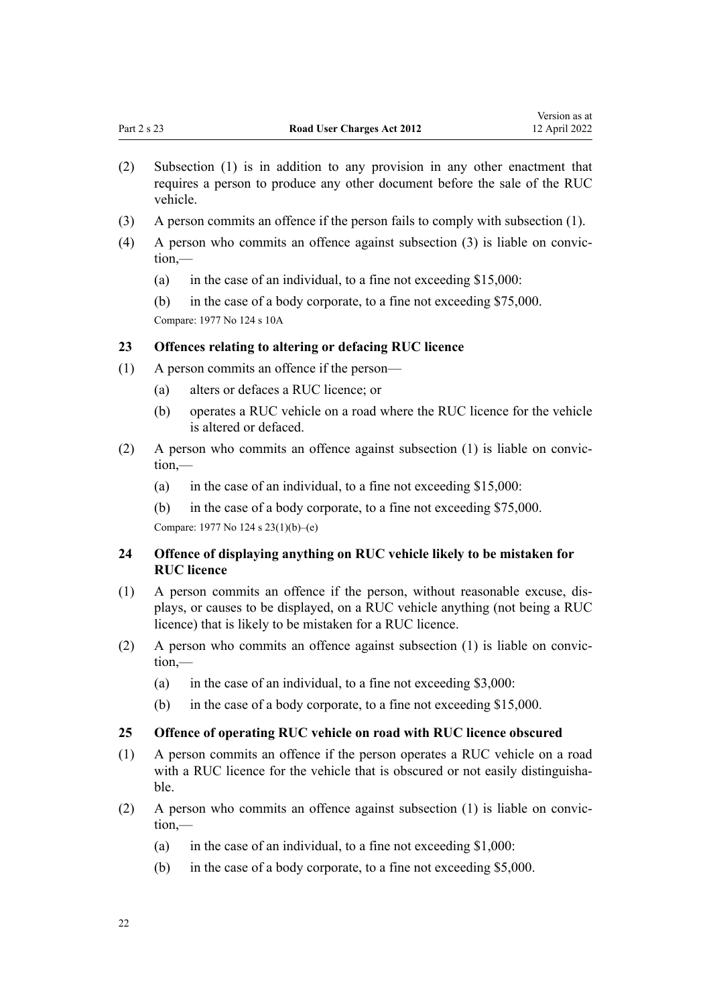- <span id="page-21-0"></span>(2) Subsection (1) is in addition to any provision in any other enactment that requires a person to produce any other document before the sale of the RUC vehicle.
- (3) A person commits an offence if the person fails to comply with subsection (1).
- $(4)$  A person who commits an offence against subsection  $(3)$  is liable on conviction,—
	- (a) in the case of an individual, to a fine not exceeding \$15,000:
	- (b) in the case of a body corporate, to a fine not exceeding \$75,000.

Compare: 1977 No 124 [s 10A](http://legislation.govt.nz/pdflink.aspx?id=DLM19128)

## **23 Offences relating to altering or defacing RUC licence**

- (1) A person commits an offence if the person—
	- (a) alters or defaces a RUC licence; or
	- (b) operates a RUC vehicle on a road where the RUC licence for the vehicle is altered or defaced.
- (2) A person who commits an offence against subsection  $(1)$  is liable on conviction,—
	- (a) in the case of an individual, to a fine not exceeding  $$15,000$ :
	- (b) in the case of a body corporate, to a fine not exceeding \$75,000.

Compare: 1977 No 124 [s 23\(1\)\(b\)–\(e\)](http://legislation.govt.nz/pdflink.aspx?id=DLM19625)

## **24 Offence of displaying anything on RUC vehicle likely to be mistaken for RUC licence**

- (1) A person commits an offence if the person, without reasonable excuse, dis‐ plays, or causes to be displayed, on a RUC vehicle anything (not being a RUC licence) that is likely to be mistaken for a RUC licence.
- (2) A person who commits an offence against subsection (1) is liable on convic‐ tion,—
	- (a) in the case of an individual, to a fine not exceeding  $$3,000$ :
	- (b) in the case of a body corporate, to a fine not exceeding \$15,000.

#### **25 Offence of operating RUC vehicle on road with RUC licence obscured**

- (1) A person commits an offence if the person operates a RUC vehicle on a road with a RUC licence for the vehicle that is obscured or not easily distinguishable.
- (2) A person who commits an offence against subsection (1) is liable on convic‐ tion,—
	- (a) in the case of an individual, to a fine not exceeding  $$1,000$ :
	- (b) in the case of a body corporate, to a fine not exceeding \$5,000.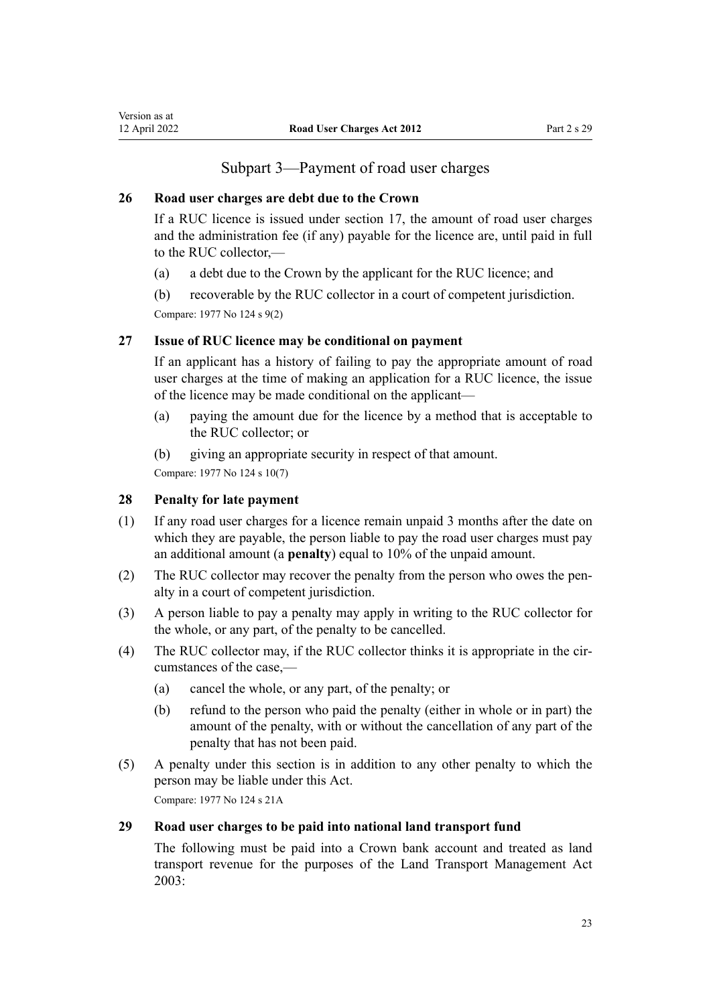## Subpart 3—Payment of road user charges

#### <span id="page-22-0"></span>**26 Road user charges are debt due to the Crown**

If a RUC licence is issued under [section 17,](#page-19-0) the amount of road user charges and the administration fee (if any) payable for the licence are, until paid in full to the RUC collector,-

- (a) a debt due to the Crown by the applicant for the RUC licence; and
- (b) recoverable by the RUC collector in a court of competent jurisdiction.

Compare: 1977 No 124 [s 9\(2\)](http://legislation.govt.nz/pdflink.aspx?id=DLM19124)

## **27 Issue of RUC licence may be conditional on payment**

If an applicant has a history of failing to pay the appropriate amount of road user charges at the time of making an application for a RUC licence, the issue of the licence may be made conditional on the applicant—

- (a) paying the amount due for the licence by a method that is acceptable to the RUC collector; or
- (b) giving an appropriate security in respect of that amount.

Compare: 1977 No 124 [s 10\(7\)](http://legislation.govt.nz/pdflink.aspx?id=DLM19126)

#### **28 Penalty for late payment**

- (1) If any road user charges for a licence remain unpaid 3 months after the date on which they are payable, the person liable to pay the road user charges must pay an additional amount (a **penalty**) equal to 10% of the unpaid amount.
- (2) The RUC collector may recover the penalty from the person who owes the pen‐ alty in a court of competent jurisdiction.
- (3) A person liable to pay a penalty may apply in writing to the RUC collector for the whole, or any part, of the penalty to be cancelled.
- (4) The RUC collector may, if the RUC collector thinks it is appropriate in the cir‐ cumstances of the case,—
	- (a) cancel the whole, or any part, of the penalty; or
	- (b) refund to the person who paid the penalty (either in whole or in part) the amount of the penalty, with or without the cancellation of any part of the penalty that has not been paid.
- (5) A penalty under this section is in addition to any other penalty to which the person may be liable under this Act.

Compare: 1977 No 124 [s 21A](http://legislation.govt.nz/pdflink.aspx?id=DLM19198)

#### **29 Road user charges to be paid into national land transport fund**

The following must be paid into a Crown bank account and treated as land transport revenue for the purposes of the [Land Transport Management Act](http://legislation.govt.nz/pdflink.aspx?id=DLM226229) [2003](http://legislation.govt.nz/pdflink.aspx?id=DLM226229):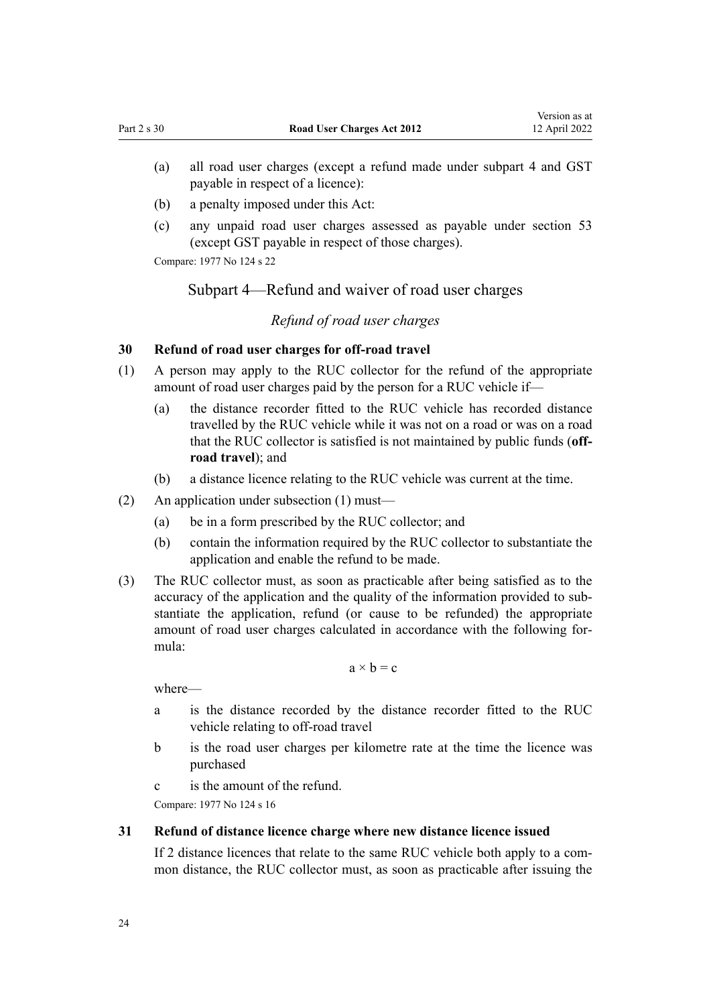- <span id="page-23-0"></span>(a) all road user charges (except a refund made under subpart 4 and GST payable in respect of a licence):
- (b) a penalty imposed under this Act:
- (c) any unpaid road user charges assessed as payable under [section 53](#page-41-0) (except GST payable in respect of those charges).

Compare: 1977 No 124 [s 22](http://legislation.govt.nz/pdflink.aspx?id=DLM19606)

## Subpart 4—Refund and waiver of road user charges

## *Refund of road user charges*

#### **30 Refund of road user charges for off-road travel**

- (1) A person may apply to the RUC collector for the refund of the appropriate amount of road user charges paid by the person for a RUC vehicle if—
	- (a) the distance recorder fitted to the RUC vehicle has recorded distance travelled by the RUC vehicle while it was not on a road or was on a road that the RUC collector is satisfied is not maintained by public funds (**offroad travel**); and
	- (b) a distance licence relating to the RUC vehicle was current at the time.
- (2) An application under subsection (1) must—
	- (a) be in a form prescribed by the RUC collector; and
	- (b) contain the information required by the RUC collector to substantiate the application and enable the refund to be made.
- (3) The RUC collector must, as soon as practicable after being satisfied as to the accuracy of the application and the quality of the information provided to sub‐ stantiate the application, refund (or cause to be refunded) the appropriate amount of road user charges calculated in accordance with the following for‐ mula:

 $a \times b = c$ 

where—

- a is the distance recorded by the distance recorder fitted to the RUC vehicle relating to off-road travel
- b is the road user charges per kilometre rate at the time the licence was purchased
- c is the amount of the refund.

Compare: 1977 No 124 [s 16](http://legislation.govt.nz/pdflink.aspx?id=DLM19144)

## **31 Refund of distance licence charge where new distance licence issued**

If 2 distance licences that relate to the same RUC vehicle both apply to a com‐ mon distance, the RUC collector must, as soon as practicable after issuing the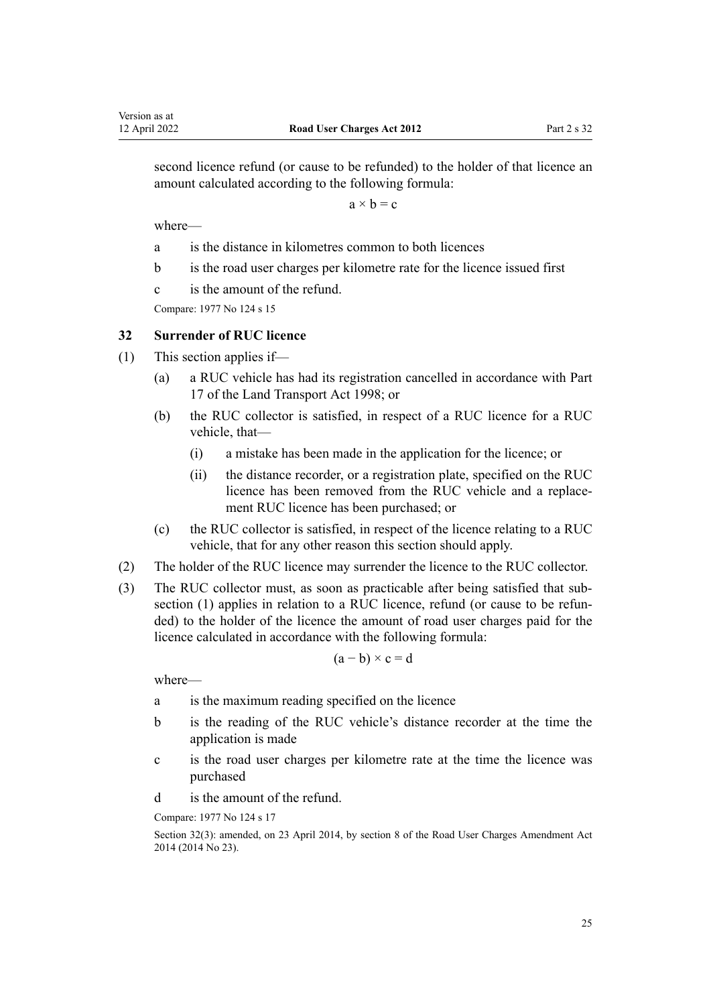<span id="page-24-0"></span>second licence refund (or cause to be refunded) to the holder of that licence an amount calculated according to the following formula:

 $a \times b = c$ 

where—

- a is the distance in kilometres common to both licences
- b is the road user charges per kilometre rate for the licence issued first
- c is the amount of the refund.

Compare: 1977 No 124 [s 15](http://legislation.govt.nz/pdflink.aspx?id=DLM19140)

## **32 Surrender of RUC licence**

- (1) This section applies if—
	- (a) a RUC vehicle has had its registration cancelled in accordance with [Part](http://legislation.govt.nz/pdflink.aspx?id=DLM2214226) [17](http://legislation.govt.nz/pdflink.aspx?id=DLM2214226) of the Land Transport Act 1998; or
	- (b) the RUC collector is satisfied, in respect of a RUC licence for a RUC vehicle, that—
		- (i) a mistake has been made in the application for the licence; or
		- (ii) the distance recorder, or a registration plate, specified on the RUC licence has been removed from the RUC vehicle and a replace‐ ment RUC licence has been purchased; or
	- (c) the RUC collector is satisfied, in respect of the licence relating to a RUC vehicle, that for any other reason this section should apply.
- (2) The holder of the RUC licence may surrender the licence to the RUC collector.
- (3) The RUC collector must, as soon as practicable after being satisfied that sub‐ section (1) applies in relation to a RUC licence, refund (or cause to be refunded) to the holder of the licence the amount of road user charges paid for the licence calculated in accordance with the following formula:

$$
(a - b) \times c = d
$$

where—

- a is the maximum reading specified on the licence
- b is the reading of the RUC vehicle's distance recorder at the time the application is made
- c is the road user charges per kilometre rate at the time the licence was purchased
- d is the amount of the refund.

Compare: 1977 No 124 [s 17](http://legislation.govt.nz/pdflink.aspx?id=DLM19149)

Section 32(3): amended, on 23 April 2014, by [section 8](http://legislation.govt.nz/pdflink.aspx?id=DLM6040513) of the Road User Charges Amendment Act 2014 (2014 No 23).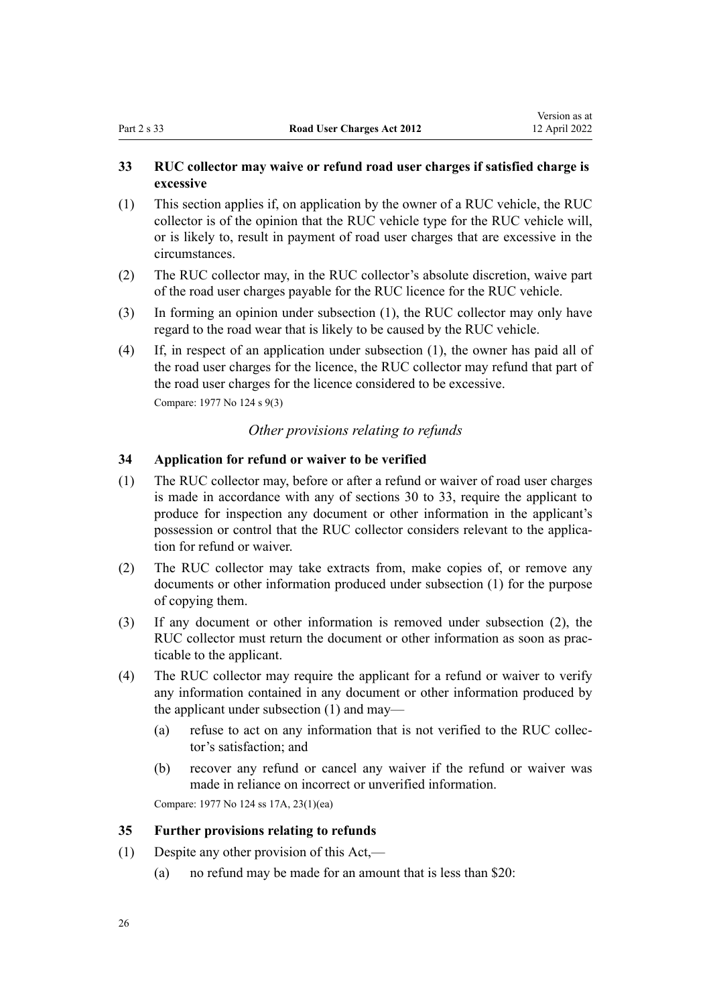## <span id="page-25-0"></span>**33 RUC collector may waive or refund road user charges if satisfied charge is excessive**

- (1) This section applies if, on application by the owner of a RUC vehicle, the RUC collector is of the opinion that the RUC vehicle type for the RUC vehicle will, or is likely to, result in payment of road user charges that are excessive in the circumstances.
- (2) The RUC collector may, in the RUC collector's absolute discretion, waive part of the road user charges payable for the RUC licence for the RUC vehicle.
- (3) In forming an opinion under subsection (1), the RUC collector may only have regard to the road wear that is likely to be caused by the RUC vehicle.
- (4) If, in respect of an application under subsection (1), the owner has paid all of the road user charges for the licence, the RUC collector may refund that part of the road user charges for the licence considered to be excessive. Compare: 1977 No 124 [s 9\(3\)](http://legislation.govt.nz/pdflink.aspx?id=DLM19124)

## *Other provisions relating to refunds*

### **34 Application for refund or waiver to be verified**

- (1) The RUC collector may, before or after a refund or waiver of road user charges is made in accordance with any of [sections 30 to 33](#page-23-0), require the applicant to produce for inspection any document or other information in the applicant's possession or control that the RUC collector considers relevant to the application for refund or waiver.
- (2) The RUC collector may take extracts from, make copies of, or remove any documents or other information produced under subsection (1) for the purpose of copying them.
- (3) If any document or other information is removed under subsection (2), the RUC collector must return the document or other information as soon as practicable to the applicant.
- (4) The RUC collector may require the applicant for a refund or waiver to verify any information contained in any document or other information produced by the applicant under subsection (1) and may—
	- (a) refuse to act on any information that is not verified to the RUC collec‐ tor's satisfaction; and
	- (b) recover any refund or cancel any waiver if the refund or waiver was made in reliance on incorrect or unverified information.

Compare: 1977 No 124 [ss 17A,](http://legislation.govt.nz/pdflink.aspx?id=DLM19162) [23\(1\)\(ea\)](http://legislation.govt.nz/pdflink.aspx?id=DLM19625)

## **35 Further provisions relating to refunds**

- (1) Despite any other provision of this Act,—
	- (a) no refund may be made for an amount that is less than \$20: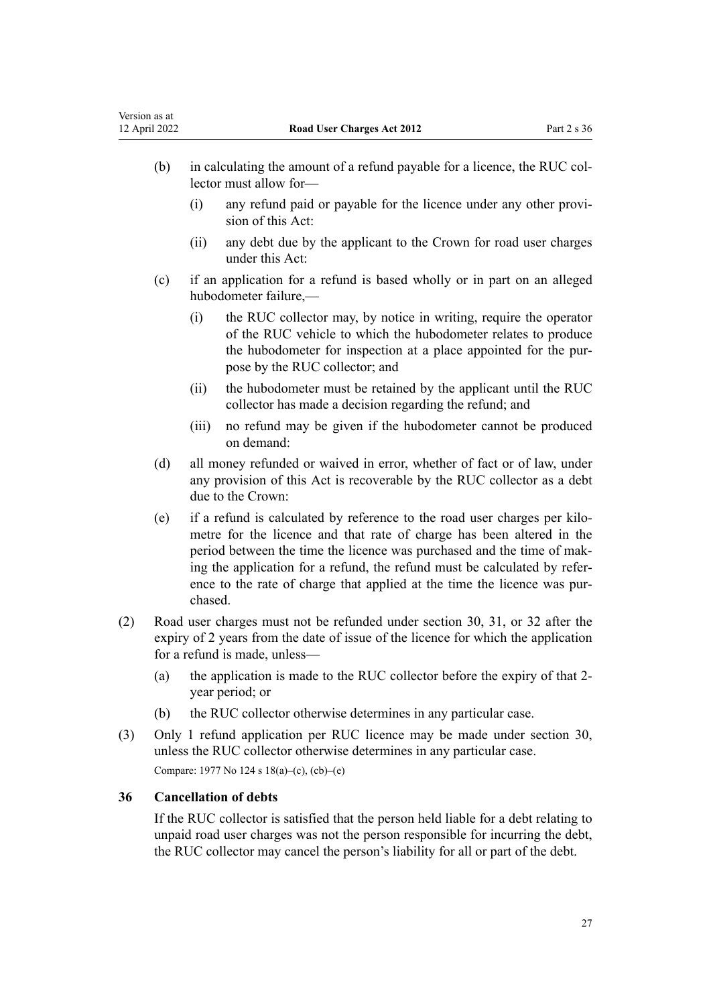- <span id="page-26-0"></span>(b) in calculating the amount of a refund payable for a licence, the RUC collector must allow for—
	- (i) any refund paid or payable for the licence under any other provi‐ sion of this Act:
	- (ii) any debt due by the applicant to the Crown for road user charges under this Act:
- (c) if an application for a refund is based wholly or in part on an alleged hubodometer failure,—
	- (i) the RUC collector may, by notice in writing, require the operator of the RUC vehicle to which the hubodometer relates to produce the hubodometer for inspection at a place appointed for the purpose by the RUC collector; and
	- (ii) the hubodometer must be retained by the applicant until the RUC collector has made a decision regarding the refund; and
	- (iii) no refund may be given if the hubodometer cannot be produced on demand:
- (d) all money refunded or waived in error, whether of fact or of law, under any provision of this Act is recoverable by the RUC collector as a debt due to the Crown:
- (e) if a refund is calculated by reference to the road user charges per kilo‐ metre for the licence and that rate of charge has been altered in the period between the time the licence was purchased and the time of making the application for a refund, the refund must be calculated by refer‐ ence to the rate of charge that applied at the time the licence was purchased.
- (2) Road user charges must not be refunded under [section 30,](#page-23-0) [31,](#page-23-0) or [32](#page-24-0) after the expiry of 2 years from the date of issue of the licence for which the application for a refund is made, unless—
	- (a) the application is made to the RUC collector before the expiry of that 2 year period; or
	- (b) the RUC collector otherwise determines in any particular case.
- (3) Only 1 refund application per RUC licence may be made under [section 30](#page-23-0), unless the RUC collector otherwise determines in any particular case. Compare: 1977 No 124 [s 18\(a\)–\(c\), \(cb\)–\(e\)](#page-19-0)

### **36 Cancellation of debts**

If the RUC collector is satisfied that the person held liable for a debt relating to unpaid road user charges was not the person responsible for incurring the debt, the RUC collector may cancel the person's liability for all or part of the debt.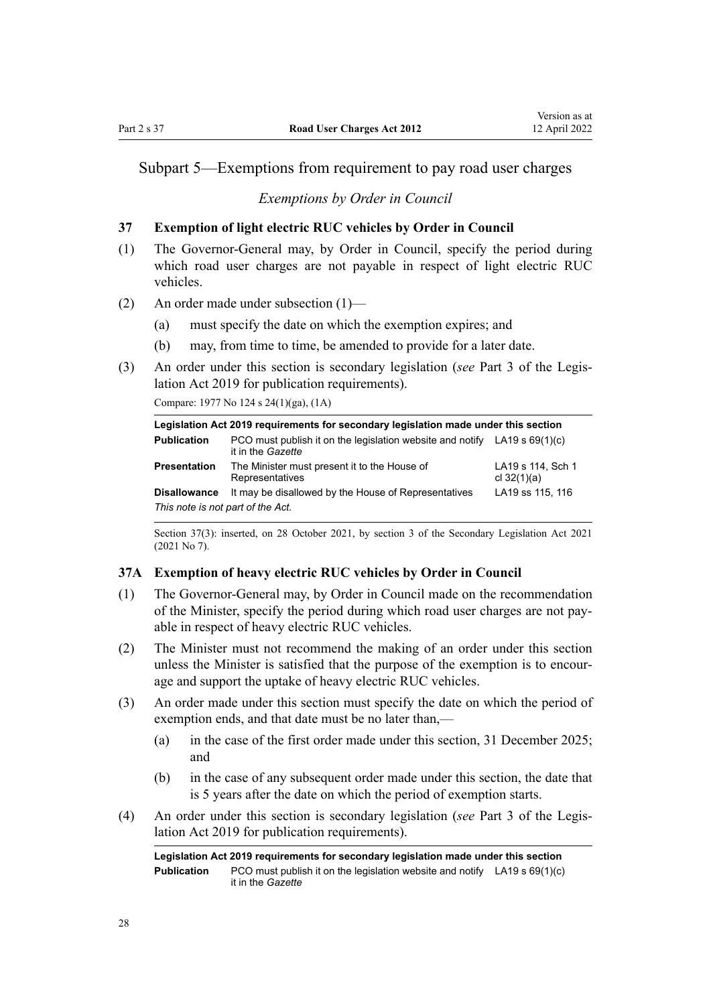## <span id="page-27-0"></span>Subpart 5—Exemptions from requirement to pay road user charges

#### *Exemptions by Order in Council*

#### **37 Exemption of light electric RUC vehicles by Order in Council**

- (1) The Governor-General may, by Order in Council, specify the period during which road user charges are not payable in respect of light electric RUC vehicles.
- (2) An order made under subsection (1)—
	- (a) must specify the date on which the exemption expires; and
	- (b) may, from time to time, be amended to provide for a later date.
- (3) An order under this section is secondary legislation (*see* [Part 3](http://legislation.govt.nz/pdflink.aspx?id=DLM7298343) of the Legis‐ lation Act 2019 for publication requirements).

Compare: 1977 No 124 [s 24\(1\)\(ga\), \(1A\)](http://legislation.govt.nz/pdflink.aspx?id=DLM19667)

| Legislation Act 2019 requirements for secondary legislation made under this section |                                                                                                  |                                    |  |
|-------------------------------------------------------------------------------------|--------------------------------------------------------------------------------------------------|------------------------------------|--|
| <b>Publication</b>                                                                  | PCO must publish it on the legislation website and notify LA19 s $69(1)(c)$<br>it in the Gazette |                                    |  |
| <b>Presentation</b>                                                                 | The Minister must present it to the House of<br>Representatives                                  | LA19 s 114, Sch 1<br>cl $32(1)(a)$ |  |
| <b>Disallowance</b>                                                                 | It may be disallowed by the House of Representatives                                             | LA19 ss 115, 116                   |  |
| This note is not part of the Act.                                                   |                                                                                                  |                                    |  |

Section 37(3): inserted, on 28 October 2021, by [section 3](http://legislation.govt.nz/pdflink.aspx?id=LMS268932) of the Secondary Legislation Act 2021 (2021 No 7).

#### **37A Exemption of heavy electric RUC vehicles by Order in Council**

- (1) The Governor-General may, by Order in Council made on the recommendation of the Minister, specify the period during which road user charges are not pay‐ able in respect of heavy electric RUC vehicles.
- (2) The Minister must not recommend the making of an order under this section unless the Minister is satisfied that the purpose of the exemption is to encourage and support the uptake of heavy electric RUC vehicles.
- (3) An order made under this section must specify the date on which the period of exemption ends, and that date must be no later than,—
	- (a) in the case of the first order made under this section, 31 December 2025; and
	- (b) in the case of any subsequent order made under this section, the date that is 5 years after the date on which the period of exemption starts.
- (4) An order under this section is secondary legislation (*see* [Part 3](http://legislation.govt.nz/pdflink.aspx?id=DLM7298343) of the Legis‐ lation Act 2019 for publication requirements).

**Legislation Act 2019 requirements for secondary legislation made under this section Publication** PCO must publish it on the legislation website and notify LA19 [s 69\(1\)\(c\)](http://legislation.govt.nz/pdflink.aspx?id=DLM7298353) it in the *Gazette*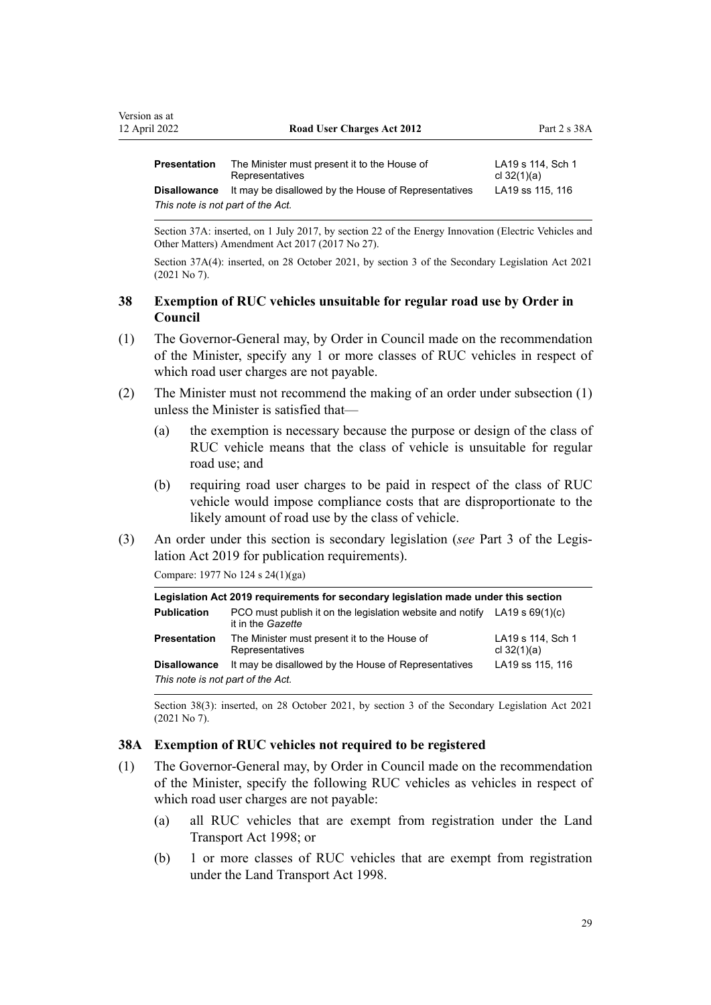<span id="page-28-0"></span>

| <b>Presentation</b>               | The Minister must present it to the House of<br>Representatives | LA19 s 114, Sch 1<br>cl $32(1)(a)$ |  |
|-----------------------------------|-----------------------------------------------------------------|------------------------------------|--|
| Disallowance                      | It may be disallowed by the House of Representatives            | LA19 ss 115, 116                   |  |
| This note is not part of the Act. |                                                                 |                                    |  |

Section 37A: inserted, on 1 July 2017, by [section 22](http://legislation.govt.nz/pdflink.aspx?id=DLM7005054) of the Energy Innovation (Electric Vehicles and Other Matters) Amendment Act 2017 (2017 No 27).

Section 37A(4): inserted, on 28 October 2021, by [section 3](http://legislation.govt.nz/pdflink.aspx?id=LMS268932) of the Secondary Legislation Act 2021 (2021 No 7).

## **38 Exemption of RUC vehicles unsuitable for regular road use by Order in Council**

- (1) The Governor-General may, by Order in Council made on the recommendation of the Minister, specify any 1 or more classes of RUC vehicles in respect of which road user charges are not payable.
- (2) The Minister must not recommend the making of an order under subsection (1) unless the Minister is satisfied that—
	- (a) the exemption is necessary because the purpose or design of the class of RUC vehicle means that the class of vehicle is unsuitable for regular road use; and
	- (b) requiring road user charges to be paid in respect of the class of RUC vehicle would impose compliance costs that are disproportionate to the likely amount of road use by the class of vehicle.
- (3) An order under this section is secondary legislation (*see* [Part 3](http://legislation.govt.nz/pdflink.aspx?id=DLM7298343) of the Legis‐ lation Act 2019 for publication requirements).

Compare: 1977 No 124 [s 24\(1\)\(ga\)](http://legislation.govt.nz/pdflink.aspx?id=DLM19667)

| Legislation Act 2019 requirements for secondary legislation made under this section |                                                                                                  |                                    |  |
|-------------------------------------------------------------------------------------|--------------------------------------------------------------------------------------------------|------------------------------------|--|
| <b>Publication</b>                                                                  | PCO must publish it on the legislation website and notify $LA19 s 69(1)(c)$<br>it in the Gazette |                                    |  |
| <b>Presentation</b>                                                                 | The Minister must present it to the House of<br>Representatives                                  | LA19 s 114, Sch 1<br>cl $32(1)(a)$ |  |
| <b>Disallowance</b><br>This note is not part of the Act.                            | It may be disallowed by the House of Representatives                                             | LA19 ss 115, 116                   |  |

Section 38(3): inserted, on 28 October 2021, by [section 3](http://legislation.govt.nz/pdflink.aspx?id=LMS268932) of the Secondary Legislation Act 2021 (2021 No 7).

### **38A Exemption of RUC vehicles not required to be registered**

- (1) The Governor-General may, by Order in Council made on the recommendation of the Minister, specify the following RUC vehicles as vehicles in respect of which road user charges are not payable:
	- (a) all RUC vehicles that are exempt from registration under the [Land](http://legislation.govt.nz/pdflink.aspx?id=DLM433612) [Transport Act 1998;](http://legislation.govt.nz/pdflink.aspx?id=DLM433612) or
	- (b) 1 or more classes of RUC vehicles that are exempt from registration under the [Land Transport Act 1998](http://legislation.govt.nz/pdflink.aspx?id=DLM433612).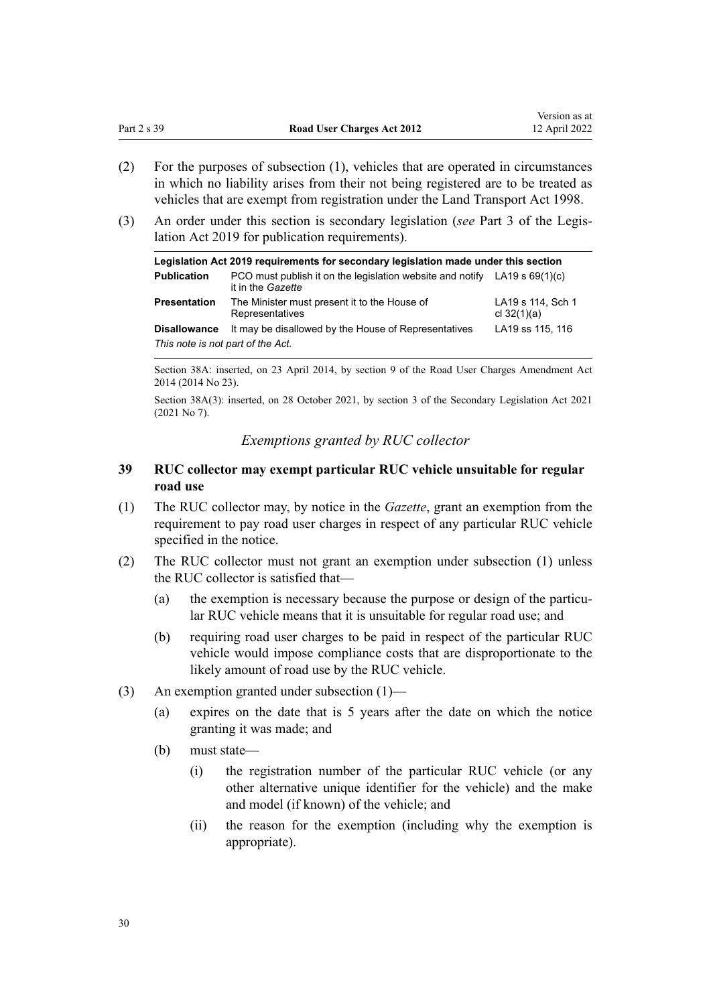Version as at

- <span id="page-29-0"></span>(2) For the purposes of subsection (1), vehicles that are operated in circumstances in which no liability arises from their not being registered are to be treated as vehicles that are exempt from registration under the [Land Transport Act 1998](http://legislation.govt.nz/pdflink.aspx?id=DLM433612).
- (3) An order under this section is secondary legislation (*see* [Part 3](http://legislation.govt.nz/pdflink.aspx?id=DLM7298343) of the Legis‐ lation Act 2019 for publication requirements).

| Legislation Act 2019 requirements for secondary legislation made under this section |                                                                                                  |                                    |  |  |
|-------------------------------------------------------------------------------------|--------------------------------------------------------------------------------------------------|------------------------------------|--|--|
| <b>Publication</b>                                                                  | PCO must publish it on the legislation website and notify LA19 s $69(1)(c)$<br>it in the Gazette |                                    |  |  |
| <b>Presentation</b>                                                                 | The Minister must present it to the House of<br>Representatives                                  | LA19 s 114, Sch 1<br>cl $32(1)(a)$ |  |  |
| <b>Disallowance</b>                                                                 | It may be disallowed by the House of Representatives                                             | LA19 ss 115, 116                   |  |  |
| This note is not part of the Act.                                                   |                                                                                                  |                                    |  |  |

Section 38A: inserted, on 23 April 2014, by [section 9](http://legislation.govt.nz/pdflink.aspx?id=DLM6040514) of the Road User Charges Amendment Act 2014 (2014 No 23).

Section 38A(3): inserted, on 28 October 2021, by [section 3](http://legislation.govt.nz/pdflink.aspx?id=LMS268932) of the Secondary Legislation Act 2021 (2021 No 7).

## *Exemptions granted by RUC collector*

## **39 RUC collector may exempt particular RUC vehicle unsuitable for regular road use**

- (1) The RUC collector may, by notice in the *Gazette*, grant an exemption from the requirement to pay road user charges in respect of any particular RUC vehicle specified in the notice.
- (2) The RUC collector must not grant an exemption under subsection (1) unless the RUC collector is satisfied that—
	- (a) the exemption is necessary because the purpose or design of the particular RUC vehicle means that it is unsuitable for regular road use; and
	- (b) requiring road user charges to be paid in respect of the particular RUC vehicle would impose compliance costs that are disproportionate to the likely amount of road use by the RUC vehicle.
- (3) An exemption granted under subsection (1)—
	- (a) expires on the date that is 5 years after the date on which the notice granting it was made; and
	- (b) must state—
		- (i) the registration number of the particular RUC vehicle (or any other alternative unique identifier for the vehicle) and the make and model (if known) of the vehicle; and
		- (ii) the reason for the exemption (including why the exemption is appropriate).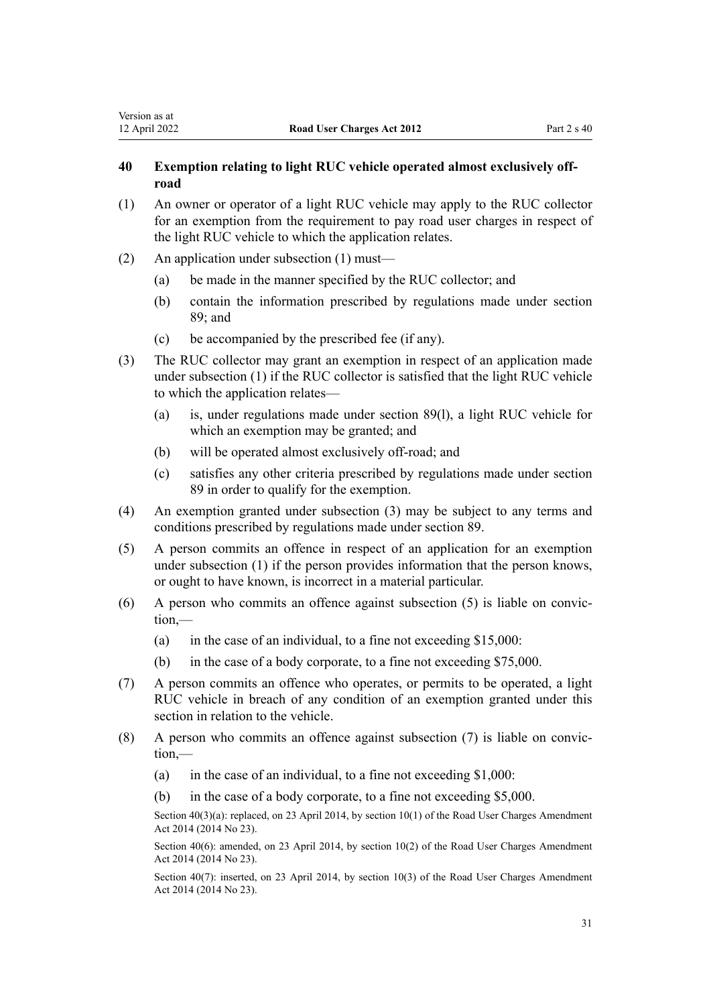## <span id="page-30-0"></span>**40 Exemption relating to light RUC vehicle operated almost exclusively offroad**

- (1) An owner or operator of a light RUC vehicle may apply to the RUC collector for an exemption from the requirement to pay road user charges in respect of the light RUC vehicle to which the application relates.
- (2) An application under subsection (1) must—
	- (a) be made in the manner specified by the RUC collector; and
	- (b) contain the information prescribed by regulations made under [section](#page-59-0) [89;](#page-59-0) and
	- (c) be accompanied by the prescribed fee (if any).
- (3) The RUC collector may grant an exemption in respect of an application made under subsection (1) if the RUC collector is satisfied that the light RUC vehicle to which the application relates—
	- (a) is, under regulations made under [section 89\(l\),](#page-59-0) a light RUC vehicle for which an exemption may be granted; and
	- (b) will be operated almost exclusively off-road; and
	- (c) satisfies any other criteria prescribed by regulations made under [section](#page-59-0) [89](#page-59-0) in order to qualify for the exemption.
- (4) An exemption granted under subsection (3) may be subject to any terms and conditions prescribed by regulations made under [section 89.](#page-59-0)
- (5) A person commits an offence in respect of an application for an exemption under subsection (1) if the person provides information that the person knows, or ought to have known, is incorrect in a material particular.
- (6) A person who commits an offence against subsection (5) is liable on convic‐ tion,—
	- (a) in the case of an individual, to a fine not exceeding \$15,000:
	- (b) in the case of a body corporate, to a fine not exceeding \$75,000.
- (7) A person commits an offence who operates, or permits to be operated, a light RUC vehicle in breach of any condition of an exemption granted under this section in relation to the vehicle.
- (8) A person who commits an offence against subsection (7) is liable on convic‐ tion,—
	- (a) in the case of an individual, to a fine not exceeding  $$1,000$ :
	- (b) in the case of a body corporate, to a fine not exceeding \$5,000.

Section 40(3)(a): replaced, on 23 April 2014, by [section 10\(1\)](http://legislation.govt.nz/pdflink.aspx?id=DLM6040516) of the Road User Charges Amendment Act 2014 (2014 No 23).

Section 40(6): amended, on 23 April 2014, by [section 10\(2\)](http://legislation.govt.nz/pdflink.aspx?id=DLM6040516) of the Road User Charges Amendment Act 2014 (2014 No 23).

Section 40(7): inserted, on 23 April 2014, by [section 10\(3\)](http://legislation.govt.nz/pdflink.aspx?id=DLM6040516) of the Road User Charges Amendment Act 2014 (2014 No 23).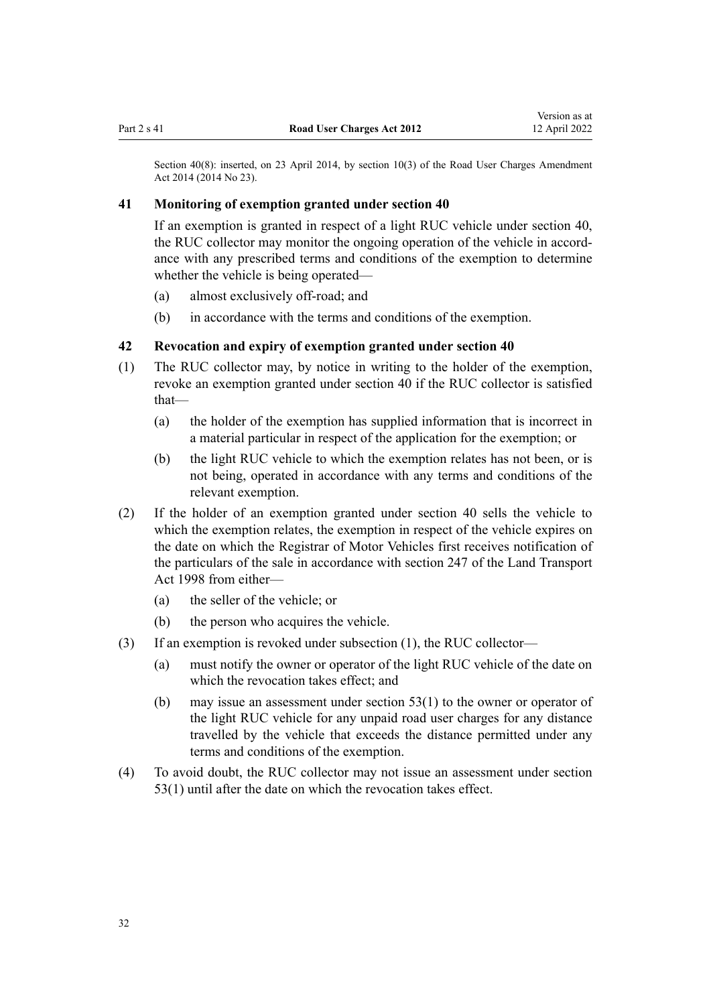<span id="page-31-0"></span>Section 40(8): inserted, on 23 April 2014, by [section 10\(3\)](http://legislation.govt.nz/pdflink.aspx?id=DLM6040516) of the Road User Charges Amendment Act 2014 (2014 No 23).

### **41 Monitoring of exemption granted under section 40**

If an exemption is granted in respect of a light RUC vehicle under [section 40](#page-30-0), the RUC collector may monitor the ongoing operation of the vehicle in accord‐ ance with any prescribed terms and conditions of the exemption to determine whether the vehicle is being operated—

- (a) almost exclusively off-road; and
- (b) in accordance with the terms and conditions of the exemption.

### **42 Revocation and expiry of exemption granted under section 40**

- (1) The RUC collector may, by notice in writing to the holder of the exemption, revoke an exemption granted under [section 40](#page-30-0) if the RUC collector is satisfied that—
	- (a) the holder of the exemption has supplied information that is incorrect in a material particular in respect of the application for the exemption; or
	- (b) the light RUC vehicle to which the exemption relates has not been, or is not being, operated in accordance with any terms and conditions of the relevant exemption.
- (2) If the holder of an exemption granted under [section 40](#page-30-0) sells the vehicle to which the exemption relates, the exemption in respect of the vehicle expires on the date on which the Registrar of Motor Vehicles first receives notification of the particulars of the sale in accordance with [section 247](http://legislation.govt.nz/pdflink.aspx?id=DLM3701446) of the Land Transport Act 1998 from either—
	- (a) the seller of the vehicle; or
	- (b) the person who acquires the vehicle.
- (3) If an exemption is revoked under subsection (1), the RUC collector—
	- (a) must notify the owner or operator of the light RUC vehicle of the date on which the revocation takes effect; and
	- (b) may issue an assessment under [section 53\(1\)](#page-41-0) to the owner or operator of the light RUC vehicle for any unpaid road user charges for any distance travelled by the vehicle that exceeds the distance permitted under any terms and conditions of the exemption.
- (4) To avoid doubt, the RUC collector may not issue an assessment under [section](#page-41-0) [53\(1\)](#page-41-0) until after the date on which the revocation takes effect.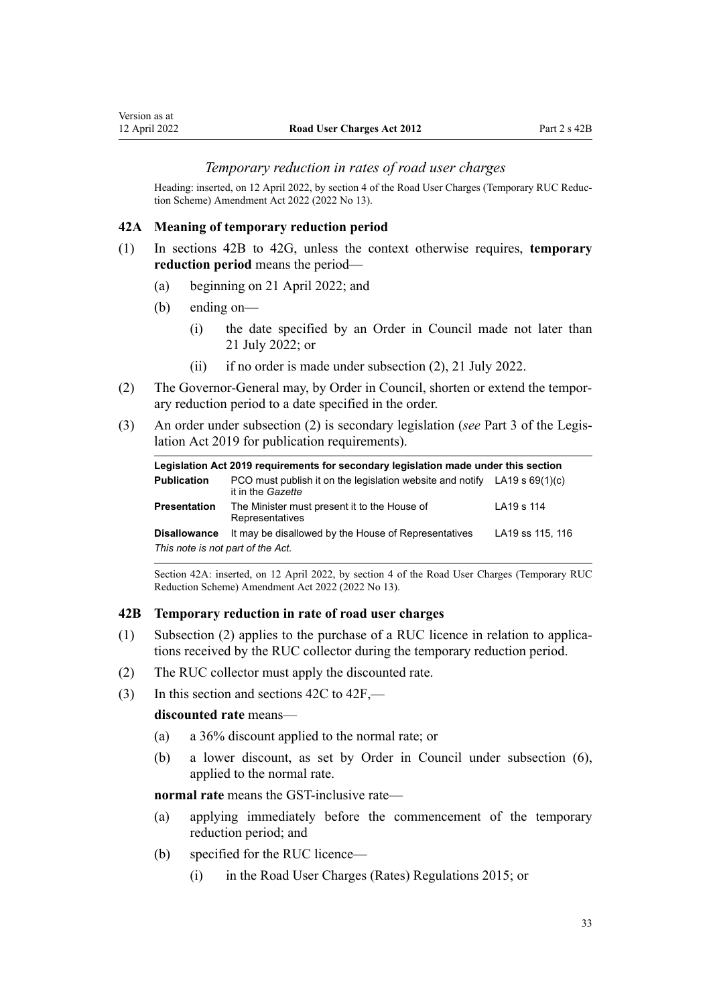#### *Temporary reduction in rates of road user charges*

Heading: inserted, on 12 April 2022, by [section 4](http://legislation.govt.nz/pdflink.aspx?id=LMS673289) of the Road User Charges (Temporary RUC Reduction Scheme) Amendment Act 2022 (2022 No 13).

#### **42A Meaning of temporary reduction period**

- (1) In sections 42B to 42G, unless the context otherwise requires, **temporary reduction period** means the period—
	- (a) beginning on 21 April 2022; and
	- (b) ending on—

<span id="page-32-0"></span>Version as at<br>12 April 2022

- (i) the date specified by an Order in Council made not later than 21 July 2022; or
- (ii) if no order is made under subsection (2), 21 July 2022.
- (2) The Governor-General may, by Order in Council, shorten or extend the tempor‐ ary reduction period to a date specified in the order.
- (3) An order under subsection (2) is secondary legislation (*see* [Part 3](http://legislation.govt.nz/pdflink.aspx?id=DLM7298343) of the Legis‐ lation Act 2019 for publication requirements).

| Legislation Act 2019 requirements for secondary legislation made under this section |                                                                                                  |                  |  |  |
|-------------------------------------------------------------------------------------|--------------------------------------------------------------------------------------------------|------------------|--|--|
| <b>Publication</b>                                                                  | PCO must publish it on the legislation website and notify LA19 s $69(1)(c)$<br>it in the Gazette |                  |  |  |
| <b>Presentation</b>                                                                 | The Minister must present it to the House of<br>Representatives                                  | LA19 s 114       |  |  |
| <b>Disallowance</b><br>This note is not part of the Act.                            | It may be disallowed by the House of Representatives                                             | LA19 ss 115, 116 |  |  |

Section 42A: inserted, on 12 April 2022, by [section 4](http://legislation.govt.nz/pdflink.aspx?id=LMS673289) of the Road User Charges (Temporary RUC Reduction Scheme) Amendment Act 2022 (2022 No 13).

## **42B Temporary reduction in rate of road user charges**

- (1) Subsection (2) applies to the purchase of a RUC licence in relation to applica‐ tions received by the RUC collector during the temporary reduction period.
- (2) The RUC collector must apply the discounted rate.
- (3) In this section and [sections 42C to 42F,](#page-33-0)—

#### **discounted rate** means—

- (a) a 36% discount applied to the normal rate; or
- (b) a lower discount, as set by Order in Council under subsection (6), applied to the normal rate.

**normal rate** means the GST-inclusive rate—

- (a) applying immediately before the commencement of the temporary reduction period; and
- (b) specified for the RUC licence—
	- (i) in the [Road User Charges \(Rates\) Regulations 2015;](http://legislation.govt.nz/pdflink.aspx?id=DLM6465720) or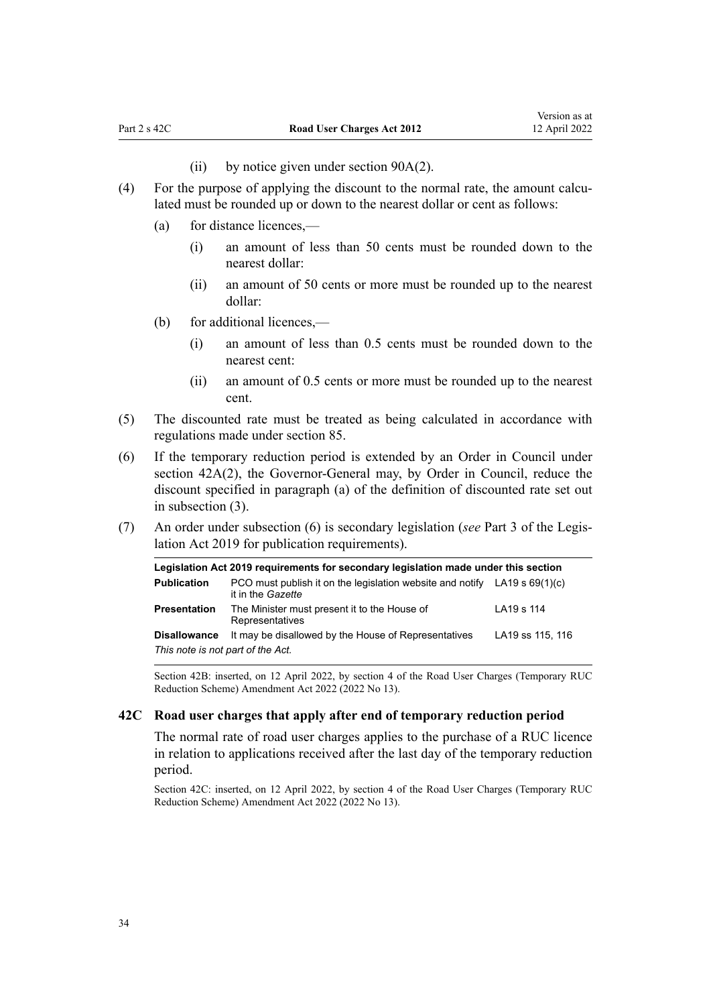- (ii) by notice given under section  $90A(2)$ .
- <span id="page-33-0"></span>(4) For the purpose of applying the discount to the normal rate, the amount calculated must be rounded up or down to the nearest dollar or cent as follows:
	- (a) for distance licences,—
		- (i) an amount of less than 50 cents must be rounded down to the nearest dollar:
		- (ii) an amount of 50 cents or more must be rounded up to the nearest dollar:
	- (b) for additional licences,—
		- (i) an amount of less than 0.5 cents must be rounded down to the nearest cent:
		- (ii) an amount of 0.5 cents or more must be rounded up to the nearest cent.
- (5) The discounted rate must be treated as being calculated in accordance with regulations made under [section 85.](#page-56-0)
- (6) If the temporary reduction period is extended by an Order in Council under [section 42A\(2\),](#page-32-0) the Governor-General may, by Order in Council, reduce the discount specified in paragraph (a) of the definition of discounted rate set out in subsection (3).
- (7) An order under subsection (6) is secondary legislation (*see* [Part 3](http://legislation.govt.nz/pdflink.aspx?id=DLM7298343) of the Legis‐ lation Act 2019 for publication requirements).

| Legislation Act 2019 requirements for secondary legislation made under this section |                                                                                                  |                  |  |  |
|-------------------------------------------------------------------------------------|--------------------------------------------------------------------------------------------------|------------------|--|--|
| <b>Publication</b>                                                                  | PCO must publish it on the legislation website and notify LA19 s $69(1)(c)$<br>it in the Gazette |                  |  |  |
| <b>Presentation</b>                                                                 | The Minister must present it to the House of<br>Representatives                                  | LA19 s 114       |  |  |
| <b>Disallowance</b><br>This note is not part of the Act.                            | It may be disallowed by the House of Representatives                                             | LA19 ss 115, 116 |  |  |

Section 42B: inserted, on 12 April 2022, by [section 4](http://legislation.govt.nz/pdflink.aspx?id=LMS673289) of the Road User Charges (Temporary RUC Reduction Scheme) Amendment Act 2022 (2022 No 13).

#### **42C Road user charges that apply after end of temporary reduction period**

The normal rate of road user charges applies to the purchase of a RUC licence in relation to applications received after the last day of the temporary reduction period.

Section 42C: inserted, on 12 April 2022, by [section 4](http://legislation.govt.nz/pdflink.aspx?id=LMS673289) of the Road User Charges (Temporary RUC Reduction Scheme) Amendment Act 2022 (2022 No 13).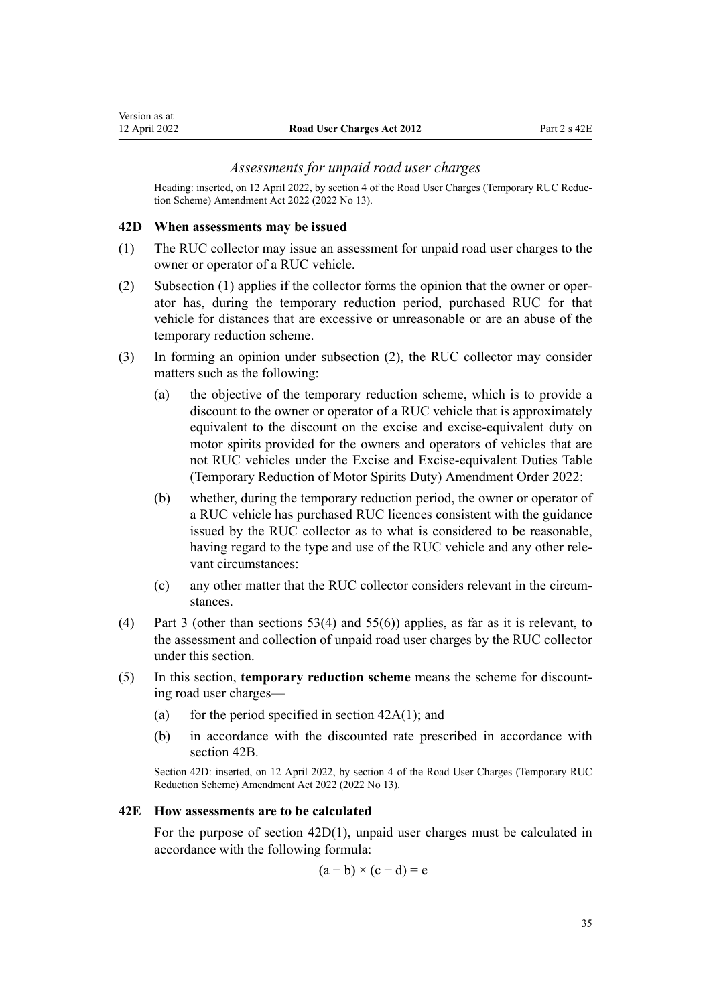#### *Assessments for unpaid road user charges*

<span id="page-34-0"></span>Heading: inserted, on 12 April 2022, by [section 4](http://legislation.govt.nz/pdflink.aspx?id=LMS673289) of the Road User Charges (Temporary RUC Reduc‐ tion Scheme) Amendment Act 2022 (2022 No 13).

#### **42D When assessments may be issued**

- (1) The RUC collector may issue an assessment for unpaid road user charges to the owner or operator of a RUC vehicle.
- (2) Subsection (1) applies if the collector forms the opinion that the owner or oper‐ ator has, during the temporary reduction period, purchased RUC for that vehicle for distances that are excessive or unreasonable or are an abuse of the temporary reduction scheme.
- (3) In forming an opinion under subsection (2), the RUC collector may consider matters such as the following:
	- (a) the objective of the temporary reduction scheme, which is to provide a discount to the owner or operator of a RUC vehicle that is approximately equivalent to the discount on the excise and excise-equivalent duty on motor spirits provided for the owners and operators of vehicles that are not RUC vehicles under the Excise and Excise-equivalent Duties Table (Temporary Reduction of Motor Spirits Duty) Amendment Order 2022:
	- (b) whether, during the temporary reduction period, the owner or operator of a RUC vehicle has purchased RUC licences consistent with the guidance issued by the RUC collector as to what is considered to be reasonable, having regard to the type and use of the RUC vehicle and any other rele‐ vant circumstances:
	- (c) any other matter that the RUC collector considers relevant in the circum‐ stances.
- (4) [Part 3](#page-41-0) (other than [sections 53\(4\)](#page-41-0) and [55\(6\)](#page-42-0)) applies, as far as it is relevant, to the assessment and collection of unpaid road user charges by the RUC collector under this section.
- (5) In this section, **temporary reduction scheme** means the scheme for discount‐ ing road user charges—
	- (a) for the period specified in section  $42A(1)$ ; and
	- (b) in accordance with the discounted rate prescribed in accordance with [section 42B.](#page-32-0)

Section 42D: inserted, on 12 April 2022, by [section 4](http://legislation.govt.nz/pdflink.aspx?id=LMS673289) of the Road User Charges (Temporary RUC Reduction Scheme) Amendment Act 2022 (2022 No 13).

#### **42E How assessments are to be calculated**

For the purpose of section 42D(1), unpaid user charges must be calculated in accordance with the following formula:

$$
(a - b) \times (c - d) = e
$$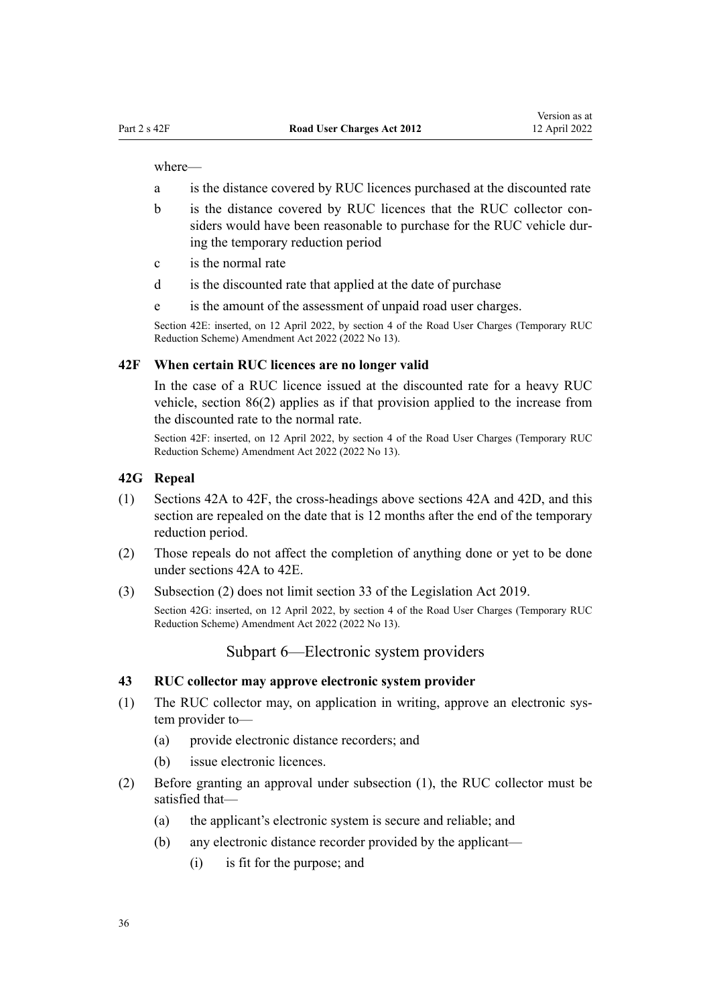<span id="page-35-0"></span>where—

- a is the distance covered by RUC licences purchased at the discounted rate
- b is the distance covered by RUC licences that the RUC collector considers would have been reasonable to purchase for the RUC vehicle dur‐ ing the temporary reduction period
- c is the normal rate
- d is the discounted rate that applied at the date of purchase
- e is the amount of the assessment of unpaid road user charges.

Section 42E: inserted, on 12 April 2022, by [section 4](http://legislation.govt.nz/pdflink.aspx?id=LMS673289) of the Road User Charges (Temporary RUC Reduction Scheme) Amendment Act 2022 (2022 No 13).

#### **42F When certain RUC licences are no longer valid**

In the case of a RUC licence issued at the discounted rate for a heavy RUC vehicle, [section 86\(2\)](#page-57-0) applies as if that provision applied to the increase from the discounted rate to the normal rate.

Section 42F: inserted, on 12 April 2022, by [section 4](http://legislation.govt.nz/pdflink.aspx?id=LMS673289) of the Road User Charges (Temporary RUC Reduction Scheme) Amendment Act 2022 (2022 No 13).

#### **42G Repeal**

- (1) [Sections 42A to 42F,](#page-32-0) the cross-headings above [sections 42A](#page-32-0) and [42D](#page-34-0), and this section are repealed on the date that is 12 months after the end of the temporary reduction period.
- (2) Those repeals do not affect the completion of anything done or yet to be done under [sections 42A to 42E](#page-32-0).
- (3) Subsection (2) does not limit [section 33](http://legislation.govt.nz/pdflink.aspx?id=DLM7298283) of the Legislation Act 2019.

Section 42G: inserted, on 12 April 2022, by [section 4](http://legislation.govt.nz/pdflink.aspx?id=LMS673289) of the Road User Charges (Temporary RUC Reduction Scheme) Amendment Act 2022 (2022 No 13).

Subpart 6—Electronic system providers

#### **43 RUC collector may approve electronic system provider**

- (1) The RUC collector may, on application in writing, approve an electronic sys‐ tem provider to—
	- (a) provide electronic distance recorders; and
	- (b) issue electronic licences.
- (2) Before granting an approval under subsection (1), the RUC collector must be satisfied that—
	- (a) the applicant's electronic system is secure and reliable; and
	- (b) any electronic distance recorder provided by the applicant—
		- (i) is fit for the purpose; and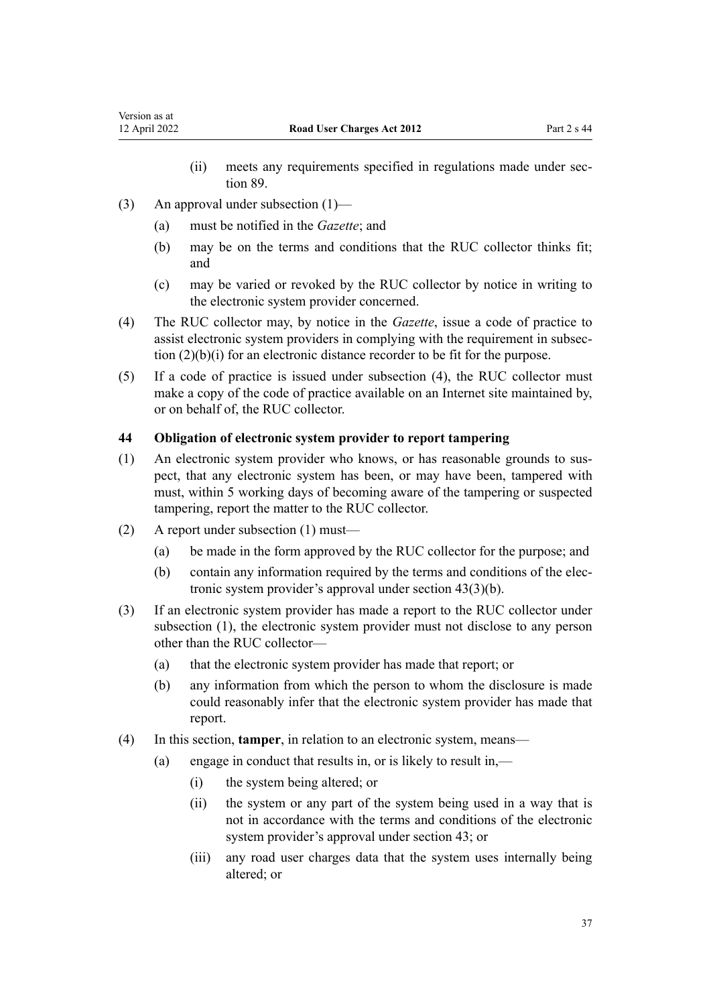- (ii) meets any requirements specified in regulations made under sec[tion 89](#page-59-0).
- <span id="page-36-0"></span>(3) An approval under subsection (1)—
	- (a) must be notified in the *Gazette*; and
	- (b) may be on the terms and conditions that the RUC collector thinks fit; and
	- (c) may be varied or revoked by the RUC collector by notice in writing to the electronic system provider concerned.
- (4) The RUC collector may, by notice in the *Gazette*, issue a code of practice to assist electronic system providers in complying with the requirement in subsec‐ tion (2)(b)(i) for an electronic distance recorder to be fit for the purpose.
- (5) If a code of practice is issued under subsection (4), the RUC collector must make a copy of the code of practice available on an Internet site maintained by, or on behalf of, the RUC collector.

# **44 Obligation of electronic system provider to report tampering**

- (1) An electronic system provider who knows, or has reasonable grounds to sus‐ pect, that any electronic system has been, or may have been, tampered with must, within 5 working days of becoming aware of the tampering or suspected tampering, report the matter to the RUC collector.
- (2) A report under subsection (1) must—
	- (a) be made in the form approved by the RUC collector for the purpose; and
	- (b) contain any information required by the terms and conditions of the elec‐ tronic system provider's approval under [section 43\(3\)\(b\).](#page-35-0)
- (3) If an electronic system provider has made a report to the RUC collector under subsection (1), the electronic system provider must not disclose to any person other than the RUC collector—
	- (a) that the electronic system provider has made that report; or
	- (b) any information from which the person to whom the disclosure is made could reasonably infer that the electronic system provider has made that report.
- (4) In this section, **tamper**, in relation to an electronic system, means—
	- (a) engage in conduct that results in, or is likely to result in,—
		- (i) the system being altered; or
		- (ii) the system or any part of the system being used in a way that is not in accordance with the terms and conditions of the electronic system provider's approval under [section 43](#page-35-0); or
		- (iii) any road user charges data that the system uses internally being altered; or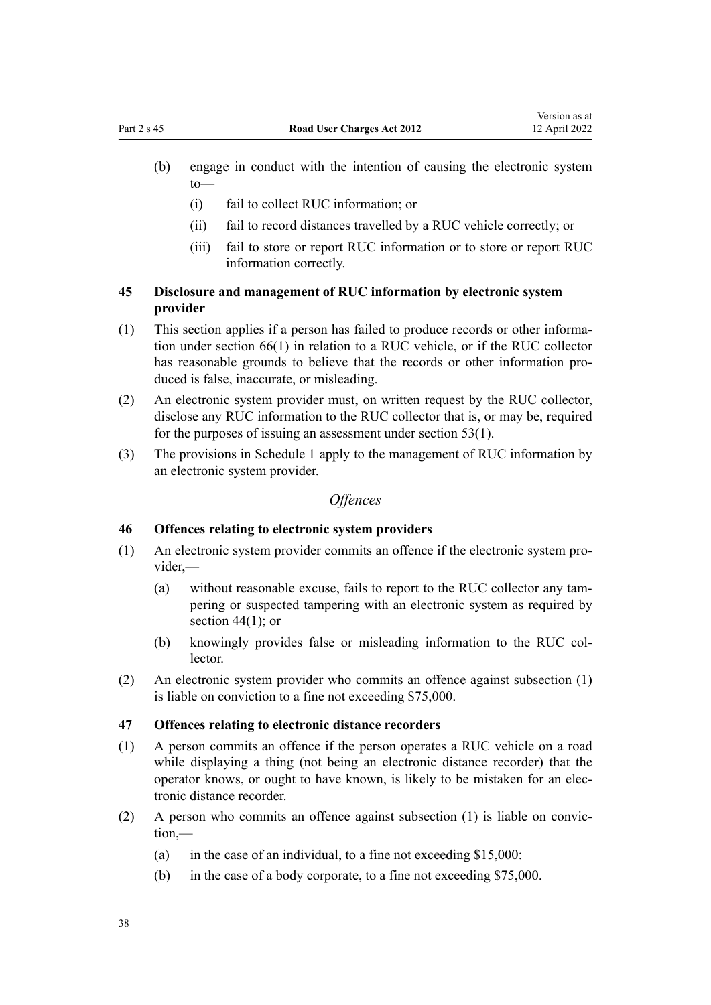- <span id="page-37-0"></span>(b) engage in conduct with the intention of causing the electronic system to—
	- (i) fail to collect RUC information; or
	- (ii) fail to record distances travelled by a RUC vehicle correctly; or
	- (iii) fail to store or report RUC information or to store or report RUC information correctly.

# **45 Disclosure and management of RUC information by electronic system provider**

- (1) This section applies if a person has failed to produce records or other informa‐ tion under [section 66\(1\)](#page-48-0) in relation to a RUC vehicle, or if the RUC collector has reasonable grounds to believe that the records or other information produced is false, inaccurate, or misleading.
- (2) An electronic system provider must, on written request by the RUC collector, disclose any RUC information to the RUC collector that is, or may be, required for the purposes of issuing an assessment under [section 53\(1\)](#page-41-0).
- (3) The provisions in [Schedule 1](#page-67-0) apply to the management of RUC information by an electronic system provider.

### *Offences*

## **46 Offences relating to electronic system providers**

- (1) An electronic system provider commits an offence if the electronic system pro‐ vider,—
	- (a) without reasonable excuse, fails to report to the RUC collector any tam‐ pering or suspected tampering with an electronic system as required by section  $44(1)$ ; or
	- (b) knowingly provides false or misleading information to the RUC col‐ lector.
- (2) An electronic system provider who commits an offence against subsection (1) is liable on conviction to a fine not exceeding \$75,000.

### **47 Offences relating to electronic distance recorders**

- (1) A person commits an offence if the person operates a RUC vehicle on a road while displaying a thing (not being an electronic distance recorder) that the operator knows, or ought to have known, is likely to be mistaken for an elec‐ tronic distance recorder.
- $(2)$  A person who commits an offence against subsection  $(1)$  is liable on conviction,—
	- (a) in the case of an individual, to a fine not exceeding  $$15,000$ :
	- (b) in the case of a body corporate, to a fine not exceeding \$75,000.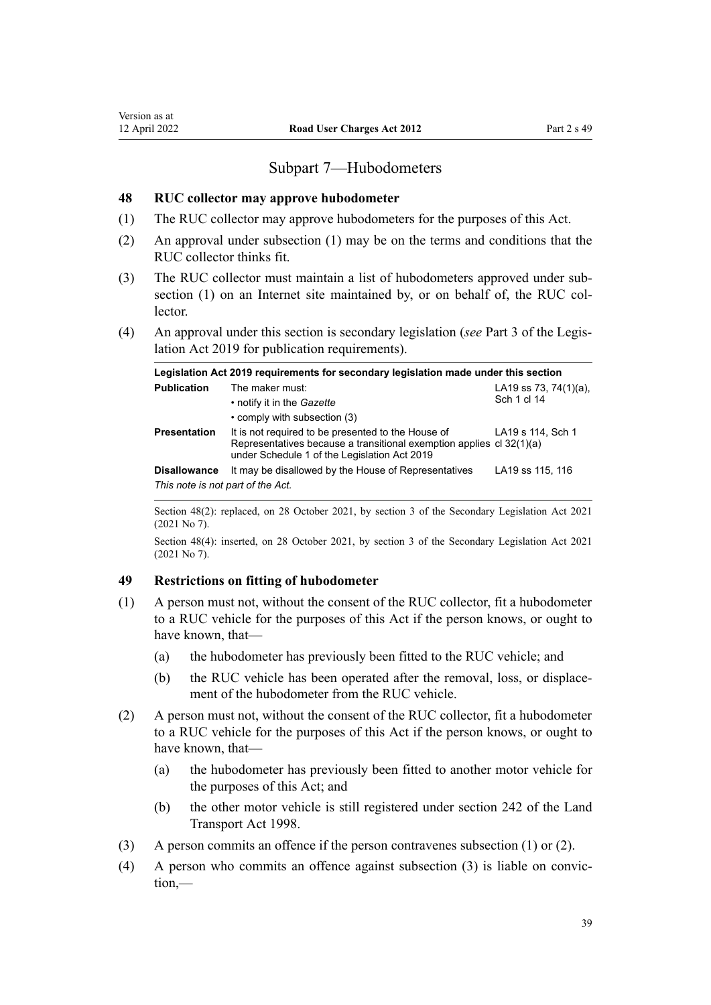# Subpart 7—Hubodometers

### <span id="page-38-0"></span>**48 RUC collector may approve hubodometer**

- (1) The RUC collector may approve hubodometers for the purposes of this Act.
- (2) An approval under subsection (1) may be on the terms and conditions that the RUC collector thinks fit.
- (3) The RUC collector must maintain a list of hubodometers approved under sub‐ section (1) on an Internet site maintained by, or on behalf of, the RUC collector.
- (4) An approval under this section is secondary legislation (*see* [Part 3](http://legislation.govt.nz/pdflink.aspx?id=DLM7298343) of the Legis‐ lation Act 2019 for publication requirements).

| Legislation Act 2019 requirements for secondary legislation made under this section |                                                                                                                                                                            |                                          |  |
|-------------------------------------------------------------------------------------|----------------------------------------------------------------------------------------------------------------------------------------------------------------------------|------------------------------------------|--|
| <b>Publication</b>                                                                  | The maker must:<br>• notify it in the Gazette                                                                                                                              | LA19 ss 73, 74 $(1)(a)$ ,<br>Sch 1 cl 14 |  |
|                                                                                     | • comply with subsection (3)                                                                                                                                               |                                          |  |
| <b>Presentation</b>                                                                 | It is not required to be presented to the House of<br>Representatives because a transitional exemption applies cl 32(1)(a)<br>under Schedule 1 of the Legislation Act 2019 | LA19 s 114, Sch 1                        |  |
| <b>Disallowance</b>                                                                 | It may be disallowed by the House of Representatives                                                                                                                       | LA19 ss 115, 116                         |  |
| This note is not part of the Act.                                                   |                                                                                                                                                                            |                                          |  |

Section 48(2): replaced, on 28 October 2021, by [section 3](http://legislation.govt.nz/pdflink.aspx?id=LMS268932) of the Secondary Legislation Act 2021 (2021 No 7).

Section 48(4): inserted, on 28 October 2021, by [section 3](http://legislation.govt.nz/pdflink.aspx?id=LMS268932) of the Secondary Legislation Act 2021 (2021 No 7).

## **49 Restrictions on fitting of hubodometer**

- (1) A person must not, without the consent of the RUC collector, fit a hubodometer to a RUC vehicle for the purposes of this Act if the person knows, or ought to have known, that—
	- (a) the hubodometer has previously been fitted to the RUC vehicle; and
	- (b) the RUC vehicle has been operated after the removal, loss, or displacement of the hubodometer from the RUC vehicle.
- (2) A person must not, without the consent of the RUC collector, fit a hubodometer to a RUC vehicle for the purposes of this Act if the person knows, or ought to have known, that—
	- (a) the hubodometer has previously been fitted to another motor vehicle for the purposes of this Act; and
	- (b) the other motor vehicle is still registered under [section 242](http://legislation.govt.nz/pdflink.aspx?id=DLM3701427) of the Land Transport Act 1998.
- (3) A person commits an offence if the person contravenes subsection (1) or (2).
- $(4)$  A person who commits an offence against subsection  $(3)$  is liable on conviction,—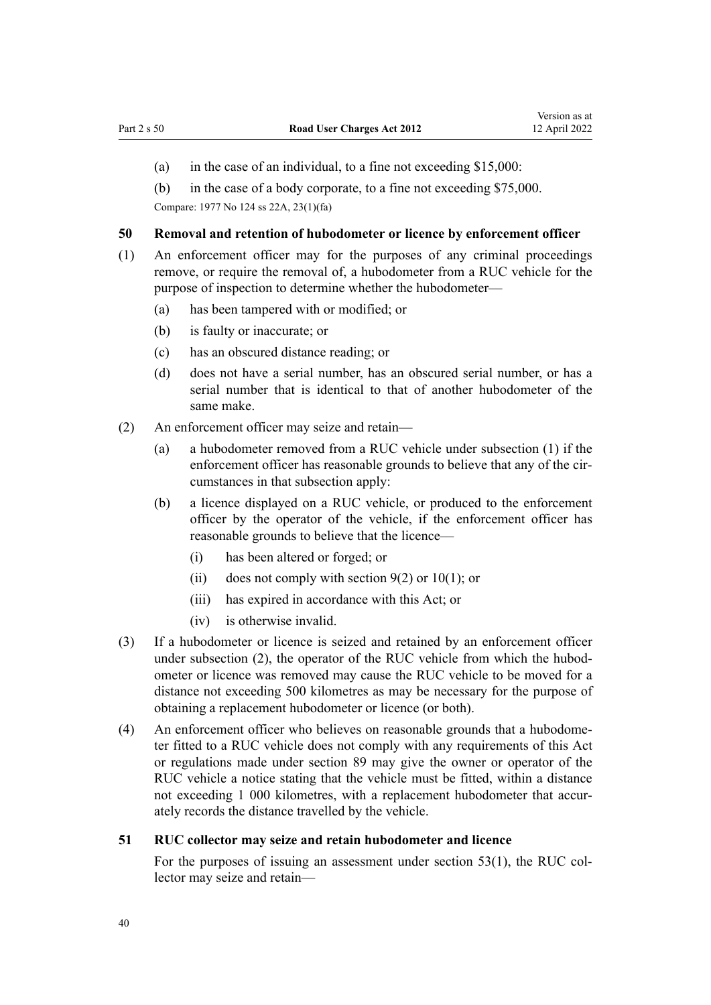- <span id="page-39-0"></span>(a) in the case of an individual, to a fine not exceeding \$15,000:
- (b) in the case of a body corporate, to a fine not exceeding \$75,000.

Compare: 1977 No 124 [ss 22A,](http://legislation.govt.nz/pdflink.aspx?id=DLM19615) [23\(1\)\(fa\)](http://legislation.govt.nz/pdflink.aspx?id=DLM19625)

#### **50 Removal and retention of hubodometer or licence by enforcement officer**

- (1) An enforcement officer may for the purposes of any criminal proceedings remove, or require the removal of, a hubodometer from a RUC vehicle for the purpose of inspection to determine whether the hubodometer—
	- (a) has been tampered with or modified; or
	- (b) is faulty or inaccurate; or
	- (c) has an obscured distance reading; or
	- (d) does not have a serial number, has an obscured serial number, or has a serial number that is identical to that of another hubodometer of the same make.
- (2) An enforcement officer may seize and retain—
	- (a) a hubodometer removed from a RUC vehicle under subsection (1) if the enforcement officer has reasonable grounds to believe that any of the circumstances in that subsection apply:
	- (b) a licence displayed on a RUC vehicle, or produced to the enforcement officer by the operator of the vehicle, if the enforcement officer has reasonable grounds to believe that the licence—
		- (i) has been altered or forged; or
		- (ii) does not comply with section  $9(2)$  or  $10(1)$ ; or
		- (iii) has expired in accordance with this Act; or
		- (iv) is otherwise invalid.
- (3) If a hubodometer or licence is seized and retained by an enforcement officer under subsection (2), the operator of the RUC vehicle from which the hubodometer or licence was removed may cause the RUC vehicle to be moved for a distance not exceeding 500 kilometres as may be necessary for the purpose of obtaining a replacement hubodometer or licence (or both).
- (4) An enforcement officer who believes on reasonable grounds that a hubodome‐ ter fitted to a RUC vehicle does not comply with any requirements of this Act or regulations made under [section 89](#page-59-0) may give the owner or operator of the RUC vehicle a notice stating that the vehicle must be fitted, within a distance not exceeding 1 000 kilometres, with a replacement hubodometer that accurately records the distance travelled by the vehicle.

#### **51 RUC collector may seize and retain hubodometer and licence**

For the purposes of issuing an assessment under [section 53\(1\)](#page-41-0), the RUC collector may seize and retain—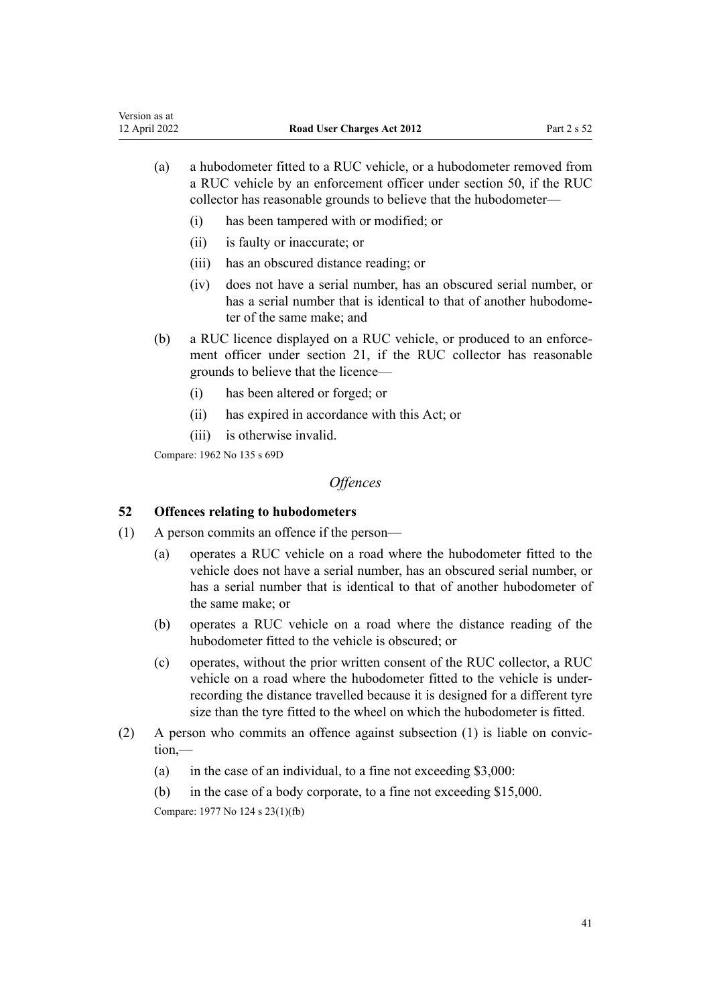- (a) a hubodometer fitted to a RUC vehicle, or a hubodometer removed from a RUC vehicle by an enforcement officer under [section 50,](#page-39-0) if the RUC collector has reasonable grounds to believe that the hubodometer—
	- (i) has been tampered with or modified; or
	- (ii) is faulty or inaccurate; or
	- (iii) has an obscured distance reading; or
	- (iv) does not have a serial number, has an obscured serial number, or has a serial number that is identical to that of another hubodometer of the same make; and
- (b) a RUC licence displayed on a RUC vehicle, or produced to an enforcement officer under [section 21](#page-20-0), if the RUC collector has reasonable grounds to believe that the licence—
	- (i) has been altered or forged; or
	- (ii) has expired in accordance with this Act; or
	- (iii) is otherwise invalid.

Compare: 1962 No 135 [s 69D](http://legislation.govt.nz/pdflink.aspx?id=DLM343725)

# *Offences*

# **52 Offences relating to hubodometers**

- (1) A person commits an offence if the person—
	- (a) operates a RUC vehicle on a road where the hubodometer fitted to the vehicle does not have a serial number, has an obscured serial number, or has a serial number that is identical to that of another hubodometer of the same make; or
	- (b) operates a RUC vehicle on a road where the distance reading of the hubodometer fitted to the vehicle is obscured; or
	- (c) operates, without the prior written consent of the RUC collector, a RUC vehicle on a road where the hubodometer fitted to the vehicle is underrecording the distance travelled because it is designed for a different tyre size than the tyre fitted to the wheel on which the hubodometer is fitted.
- (2) A person who commits an offence against subsection (1) is liable on convic‐ tion,—
	- (a) in the case of an individual, to a fine not exceeding \$3,000:
	- (b) in the case of a body corporate, to a fine not exceeding \$15,000.

Compare: 1977 No 124 [s 23\(1\)\(fb\)](http://legislation.govt.nz/pdflink.aspx?id=DLM19625)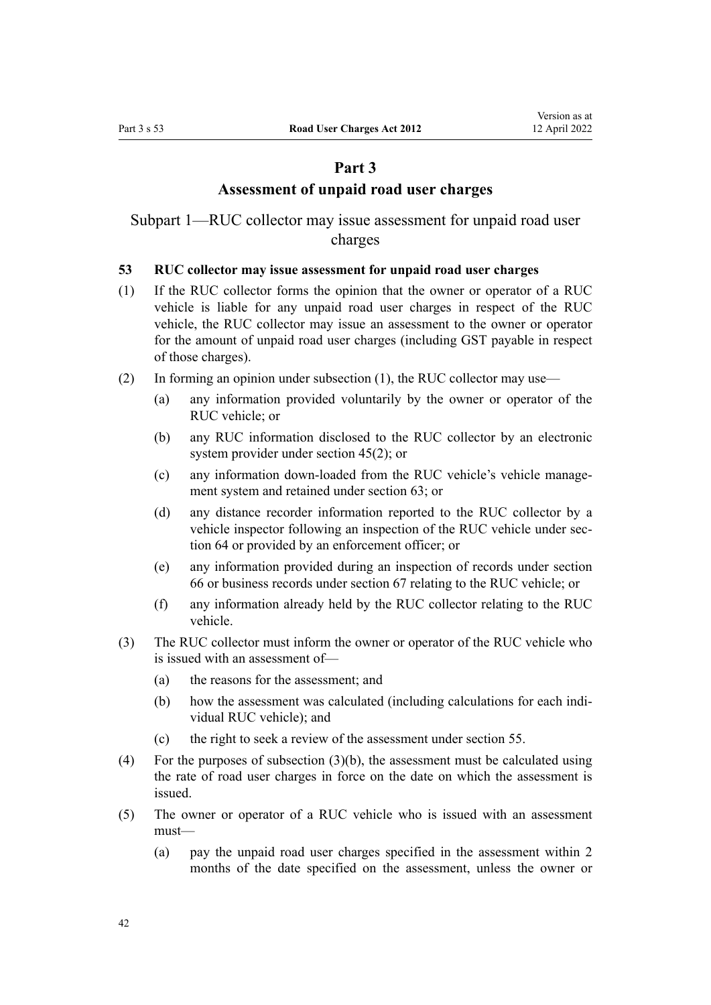# **Part 3**

# **Assessment of unpaid road user charges**

<span id="page-41-0"></span>Subpart 1—RUC collector may issue assessment for unpaid road user charges

# **53 RUC collector may issue assessment for unpaid road user charges**

- (1) If the RUC collector forms the opinion that the owner or operator of a RUC vehicle is liable for any unpaid road user charges in respect of the RUC vehicle, the RUC collector may issue an assessment to the owner or operator for the amount of unpaid road user charges (including GST payable in respect of those charges).
- (2) In forming an opinion under subsection (1), the RUC collector may use—
	- (a) any information provided voluntarily by the owner or operator of the RUC vehicle; or
	- (b) any RUC information disclosed to the RUC collector by an electronic system provider under [section 45\(2\)](#page-37-0); or
	- (c) any information down-loaded from the RUC vehicle's vehicle manage‐ ment system and retained under [section 63](#page-47-0); or
	- (d) any distance recorder information reported to the RUC collector by a vehicle inspector following an inspection of the RUC vehicle under sec[tion 64](#page-47-0) or provided by an enforcement officer; or
	- (e) any information provided during an inspection of records under [section](#page-48-0) [66](#page-48-0) or business records under [section 67](#page-49-0) relating to the RUC vehicle; or
	- (f) any information already held by the RUC collector relating to the RUC vehicle.
- (3) The RUC collector must inform the owner or operator of the RUC vehicle who is issued with an assessment of—
	- (a) the reasons for the assessment; and
	- (b) how the assessment was calculated (including calculations for each individual RUC vehicle); and
	- (c) the right to seek a review of the assessment under [section 55](#page-42-0).
- (4) For the purposes of subsection  $(3)(b)$ , the assessment must be calculated using the rate of road user charges in force on the date on which the assessment is issued.
- (5) The owner or operator of a RUC vehicle who is issued with an assessment must—
	- (a) pay the unpaid road user charges specified in the assessment within 2 months of the date specified on the assessment, unless the owner or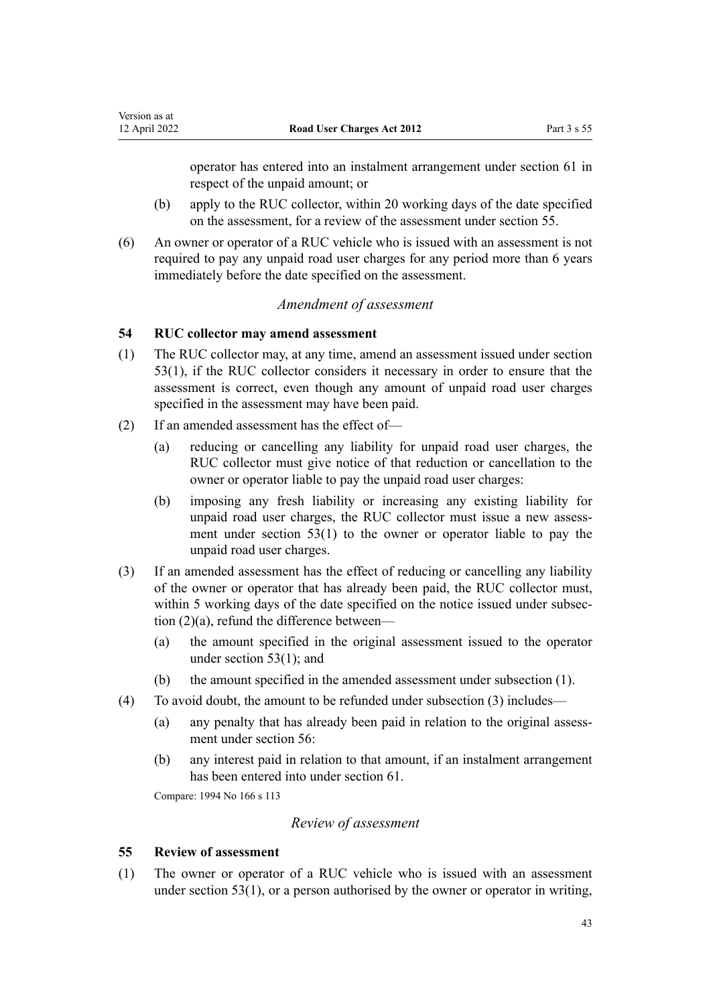operator has entered into an instalment arrangement under [section 61](#page-45-0) in respect of the unpaid amount; or

- (b) apply to the RUC collector, within 20 working days of the date specified on the assessment, for a review of the assessment under section 55.
- (6) An owner or operator of a RUC vehicle who is issued with an assessment is not required to pay any unpaid road user charges for any period more than 6 years immediately before the date specified on the assessment.

## *Amendment of assessment*

### **54 RUC collector may amend assessment**

<span id="page-42-0"></span>Version as at<br>12 April 2022

- (1) The RUC collector may, at any time, amend an assessment issued under [section](#page-41-0) [53\(1\)](#page-41-0), if the RUC collector considers it necessary in order to ensure that the assessment is correct, even though any amount of unpaid road user charges specified in the assessment may have been paid.
- (2) If an amended assessment has the effect of—
	- (a) reducing or cancelling any liability for unpaid road user charges, the RUC collector must give notice of that reduction or cancellation to the owner or operator liable to pay the unpaid road user charges:
	- (b) imposing any fresh liability or increasing any existing liability for unpaid road user charges, the RUC collector must issue a new assessment under [section 53\(1\)](#page-41-0) to the owner or operator liable to pay the unpaid road user charges.
- (3) If an amended assessment has the effect of reducing or cancelling any liability of the owner or operator that has already been paid, the RUC collector must, within 5 working days of the date specified on the notice issued under subsection  $(2)(a)$ , refund the difference between–
	- (a) the amount specified in the original assessment issued to the operator under [section 53\(1\);](#page-41-0) and
	- (b) the amount specified in the amended assessment under subsection (1).
- (4) To avoid doubt, the amount to be refunded under subsection (3) includes—
	- (a) any penalty that has already been paid in relation to the original assess‐ ment under [section 56](#page-43-0):
	- (b) any interest paid in relation to that amount, if an instalment arrangement has been entered into under [section 61](#page-45-0).

Compare: 1994 No 166 [s 113](http://legislation.govt.nz/pdflink.aspx?id=DLM354948)

## *Review of assessment*

#### **55 Review of assessment**

(1) The owner or operator of a RUC vehicle who is issued with an assessment under [section 53\(1\)](#page-41-0), or a person authorised by the owner or operator in writing,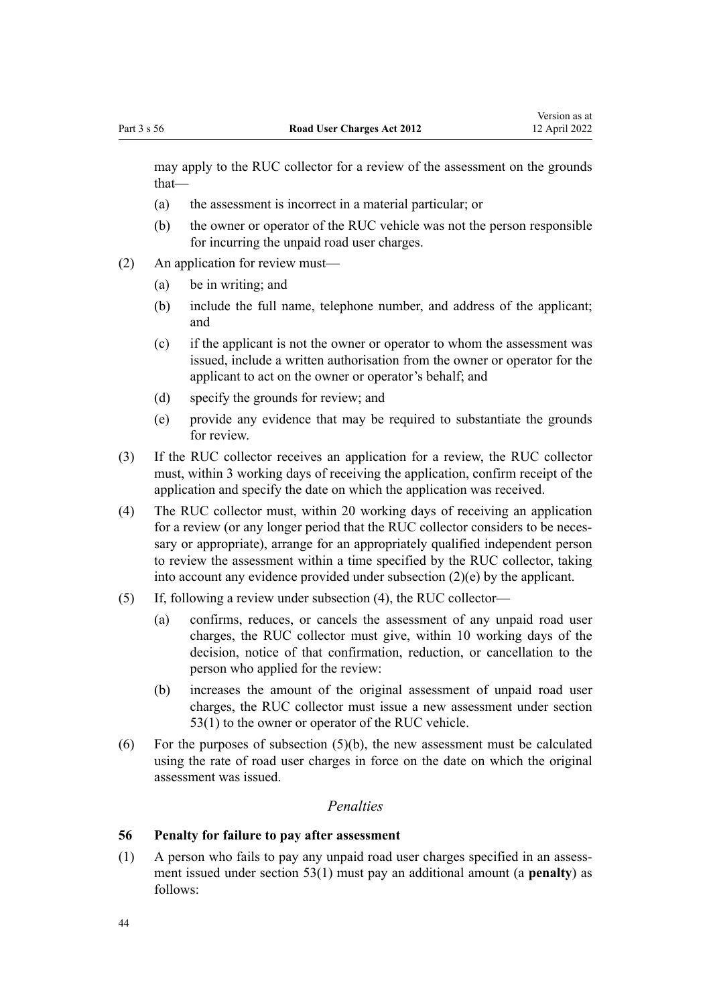<span id="page-43-0"></span>may apply to the RUC collector for a review of the assessment on the grounds that—

- (a) the assessment is incorrect in a material particular; or
- (b) the owner or operator of the RUC vehicle was not the person responsible for incurring the unpaid road user charges.
- (2) An application for review must—
	- (a) be in writing; and
	- (b) include the full name, telephone number, and address of the applicant; and
	- (c) if the applicant is not the owner or operator to whom the assessment was issued, include a written authorisation from the owner or operator for the applicant to act on the owner or operator's behalf; and
	- (d) specify the grounds for review; and
	- (e) provide any evidence that may be required to substantiate the grounds for review.
- (3) If the RUC collector receives an application for a review, the RUC collector must, within 3 working days of receiving the application, confirm receipt of the application and specify the date on which the application was received.
- (4) The RUC collector must, within 20 working days of receiving an application for a review (or any longer period that the RUC collector considers to be necessary or appropriate), arrange for an appropriately qualified independent person to review the assessment within a time specified by the RUC collector, taking into account any evidence provided under subsection (2)(e) by the applicant.
- (5) If, following a review under subsection (4), the RUC collector—
	- (a) confirms, reduces, or cancels the assessment of any unpaid road user charges, the RUC collector must give, within 10 working days of the decision, notice of that confirmation, reduction, or cancellation to the person who applied for the review:
	- (b) increases the amount of the original assessment of unpaid road user charges, the RUC collector must issue a new assessment under [section](#page-41-0) [53\(1\)](#page-41-0) to the owner or operator of the RUC vehicle.
- (6) For the purposes of subsection  $(5)(b)$ , the new assessment must be calculated using the rate of road user charges in force on the date on which the original assessment was issued.

# *Penalties*

# **56 Penalty for failure to pay after assessment**

 $(1)$  A person who fails to pay any unpaid road user charges specified in an assessment issued under [section 53\(1\)](#page-41-0) must pay an additional amount (a **penalty**) as follows: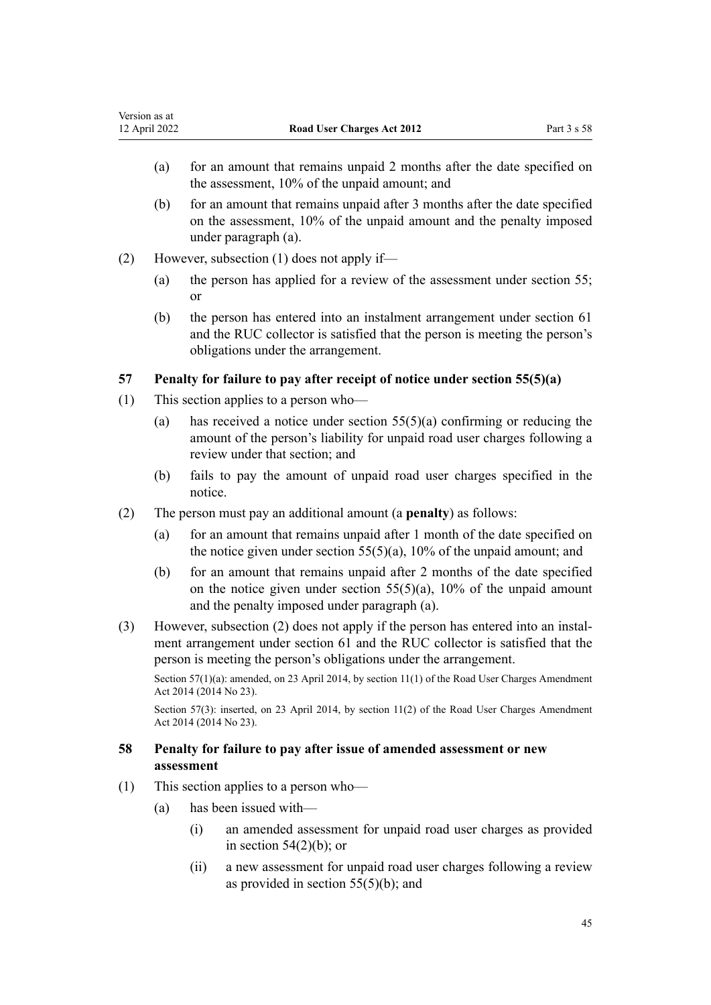- <span id="page-44-0"></span>(a) for an amount that remains unpaid 2 months after the date specified on the assessment, 10% of the unpaid amount; and
- (b) for an amount that remains unpaid after 3 months after the date specified on the assessment, 10% of the unpaid amount and the penalty imposed under paragraph (a).
- (2) However, subsection (1) does not apply if—
	- (a) the person has applied for a review of the assessment under [section 55;](#page-42-0) or
	- (b) the person has entered into an instalment arrangement under [section 61](#page-45-0) and the RUC collector is satisfied that the person is meeting the person's obligations under the arrangement.

# **57 Penalty for failure to pay after receipt of notice under section 55(5)(a)**

- (1) This section applies to a person who—
	- (a) has received a notice under section  $55(5)(a)$  confirming or reducing the amount of the person's liability for unpaid road user charges following a review under that section; and
	- (b) fails to pay the amount of unpaid road user charges specified in the notice.
- (2) The person must pay an additional amount (a **penalty**) as follows:
	- (a) for an amount that remains unpaid after 1 month of the date specified on the notice given under section  $55(5)(a)$ ,  $10\%$  of the unpaid amount; and
	- (b) for an amount that remains unpaid after 2 months of the date specified on the notice given under section  $55(5)(a)$ ,  $10\%$  of the unpaid amount and the penalty imposed under paragraph (a).
- (3) However, subsection (2) does not apply if the person has entered into an instal‐ ment arrangement under [section 61](#page-45-0) and the RUC collector is satisfied that the person is meeting the person's obligations under the arrangement.

Section 57(1)(a): amended, on 23 April 2014, by [section 11\(1\)](http://legislation.govt.nz/pdflink.aspx?id=DLM6040517) of the Road User Charges Amendment Act 2014 (2014 No 23).

Section 57(3): inserted, on 23 April 2014, by [section 11\(2\)](http://legislation.govt.nz/pdflink.aspx?id=DLM6040517) of the Road User Charges Amendment Act 2014 (2014 No 23).

# **58 Penalty for failure to pay after issue of amended assessment or new assessment**

- (1) This section applies to a person who—
	- (a) has been issued with—
		- (i) an amended assessment for unpaid road user charges as provided in section  $54(2)(b)$ ; or
		- (ii) a new assessment for unpaid road user charges following a review as provided in [section 55\(5\)\(b\)](#page-42-0); and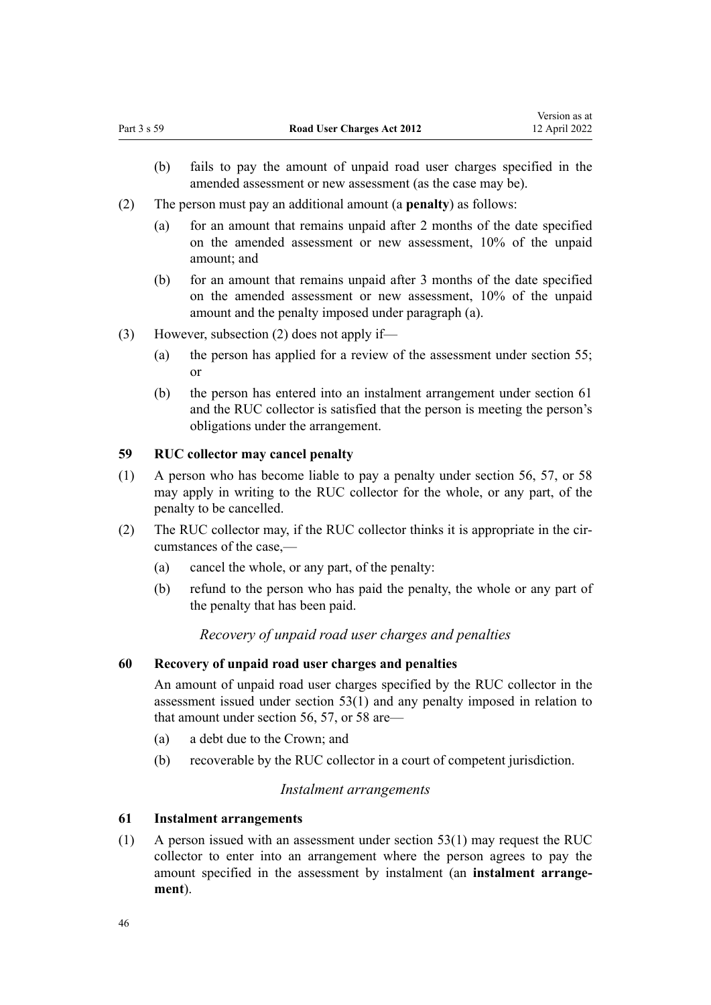- <span id="page-45-0"></span>(b) fails to pay the amount of unpaid road user charges specified in the amended assessment or new assessment (as the case may be).
- (2) The person must pay an additional amount (a **penalty**) as follows:
	- (a) for an amount that remains unpaid after 2 months of the date specified on the amended assessment or new assessment, 10% of the unpaid amount; and
	- (b) for an amount that remains unpaid after 3 months of the date specified on the amended assessment or new assessment, 10% of the unpaid amount and the penalty imposed under paragraph (a).
- (3) However, subsection (2) does not apply if—
	- (a) the person has applied for a review of the assessment under [section 55;](#page-42-0) or
	- (b) the person has entered into an instalment arrangement under section 61 and the RUC collector is satisfied that the person is meeting the person's obligations under the arrangement.

# **59 RUC collector may cancel penalty**

- (1) A person who has become liable to pay a penalty under [section 56](#page-43-0), [57](#page-44-0), or [58](#page-44-0) may apply in writing to the RUC collector for the whole, or any part, of the penalty to be cancelled.
- (2) The RUC collector may, if the RUC collector thinks it is appropriate in the circumstances of the case,—
	- (a) cancel the whole, or any part, of the penalty:
	- (b) refund to the person who has paid the penalty, the whole or any part of the penalty that has been paid.

# *Recovery of unpaid road user charges and penalties*

# **60 Recovery of unpaid road user charges and penalties**

An amount of unpaid road user charges specified by the RUC collector in the assessment issued under [section 53\(1\)](#page-41-0) and any penalty imposed in relation to that amount under [section 56,](#page-43-0) [57,](#page-44-0) or [58](#page-44-0) are—

- (a) a debt due to the Crown; and
- (b) recoverable by the RUC collector in a court of competent jurisdiction.

# *Instalment arrangements*

## **61 Instalment arrangements**

(1) A person issued with an assessment under [section 53\(1\)](#page-41-0) may request the RUC collector to enter into an arrangement where the person agrees to pay the amount specified in the assessment by instalment (an **instalment arrange‐ ment**).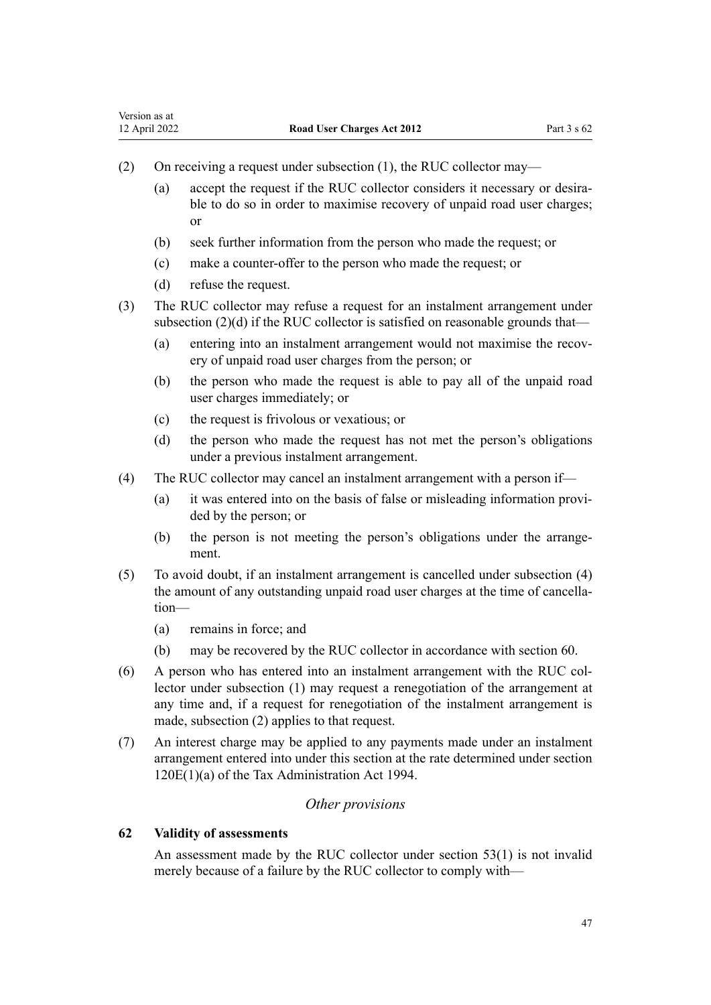- (2) On receiving a request under subsection (1), the RUC collector may—
	- (a) accept the request if the RUC collector considers it necessary or desirable to do so in order to maximise recovery of unpaid road user charges; or
	- (b) seek further information from the person who made the request; or
	- (c) make a counter-offer to the person who made the request; or
	- (d) refuse the request.
- (3) The RUC collector may refuse a request for an instalment arrangement under subsection (2)(d) if the RUC collector is satisfied on reasonable grounds that—
	- (a) entering into an instalment arrangement would not maximise the recovery of unpaid road user charges from the person; or
	- (b) the person who made the request is able to pay all of the unpaid road user charges immediately; or
	- (c) the request is frivolous or vexatious; or
	- (d) the person who made the request has not met the person's obligations under a previous instalment arrangement.
- (4) The RUC collector may cancel an instalment arrangement with a person if—
	- (a) it was entered into on the basis of false or misleading information provi‐ ded by the person; or
	- (b) the person is not meeting the person's obligations under the arrangement.
- (5) To avoid doubt, if an instalment arrangement is cancelled under subsection (4) the amount of any outstanding unpaid road user charges at the time of cancellation—
	- (a) remains in force; and
	- (b) may be recovered by the RUC collector in accordance with [section 60](#page-45-0).
- (6) A person who has entered into an instalment arrangement with the RUC col‐ lector under subsection (1) may request a renegotiation of the arrangement at any time and, if a request for renegotiation of the instalment arrangement is made, subsection (2) applies to that request.
- (7) An interest charge may be applied to any payments made under an instalment arrangement entered into under this section at the rate determined under [section](http://legislation.govt.nz/pdflink.aspx?id=DLM355143) [120E\(1\)\(a\)](http://legislation.govt.nz/pdflink.aspx?id=DLM355143) of the Tax Administration Act 1994.

# *Other provisions*

# **62 Validity of assessments**

An assessment made by the RUC collector under [section 53\(1\)](#page-41-0) is not invalid merely because of a failure by the RUC collector to comply with—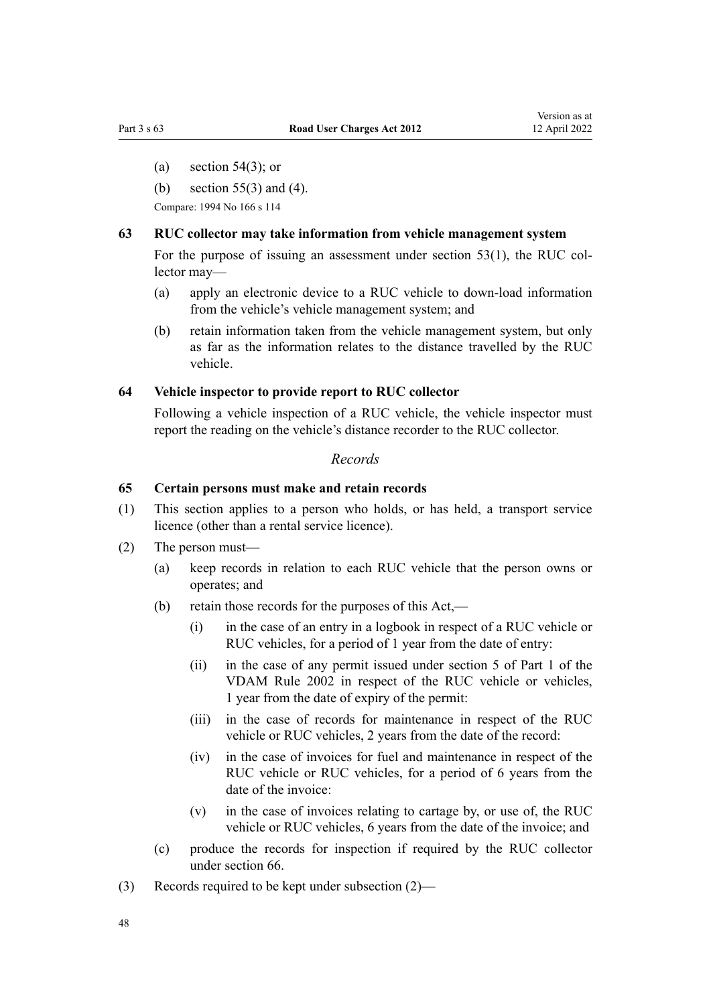- <span id="page-47-0"></span>(a) section  $54(3)$ ; or
- (b) [section 55\(3\) and \(4\)](#page-42-0).

Compare: 1994 No 166 [s 114](http://legislation.govt.nz/pdflink.aspx?id=DLM354955)

### **63 RUC collector may take information from vehicle management system**

For the purpose of issuing an assessment under [section 53\(1\)](#page-41-0), the RUC collector may—

- (a) apply an electronic device to a RUC vehicle to down-load information from the vehicle's vehicle management system; and
- (b) retain information taken from the vehicle management system, but only as far as the information relates to the distance travelled by the RUC vehicle.

#### **64 Vehicle inspector to provide report to RUC collector**

Following a vehicle inspection of a RUC vehicle, the vehicle inspector must report the reading on the vehicle's distance recorder to the RUC collector.

### *Records*

### **65 Certain persons must make and retain records**

- (1) This section applies to a person who holds, or has held, a transport service licence (other than a rental service licence).
- (2) The person must—
	- (a) keep records in relation to each RUC vehicle that the person owns or operates; and
	- (b) retain those records for the purposes of this Act,—
		- (i) in the case of an entry in a logbook in respect of a RUC vehicle or RUC vehicles, for a period of 1 year from the date of entry:
		- (ii) in the case of any permit issued under section 5 of Part 1 of the VDAM Rule 2002 in respect of the RUC vehicle or vehicles, 1 year from the date of expiry of the permit:
		- (iii) in the case of records for maintenance in respect of the RUC vehicle or RUC vehicles, 2 years from the date of the record:
		- (iv) in the case of invoices for fuel and maintenance in respect of the RUC vehicle or RUC vehicles, for a period of 6 years from the date of the invoice:
		- (v) in the case of invoices relating to cartage by, or use of, the RUC vehicle or RUC vehicles, 6 years from the date of the invoice; and
	- (c) produce the records for inspection if required by the RUC collector under [section 66](#page-48-0).
- (3) Records required to be kept under subsection (2)—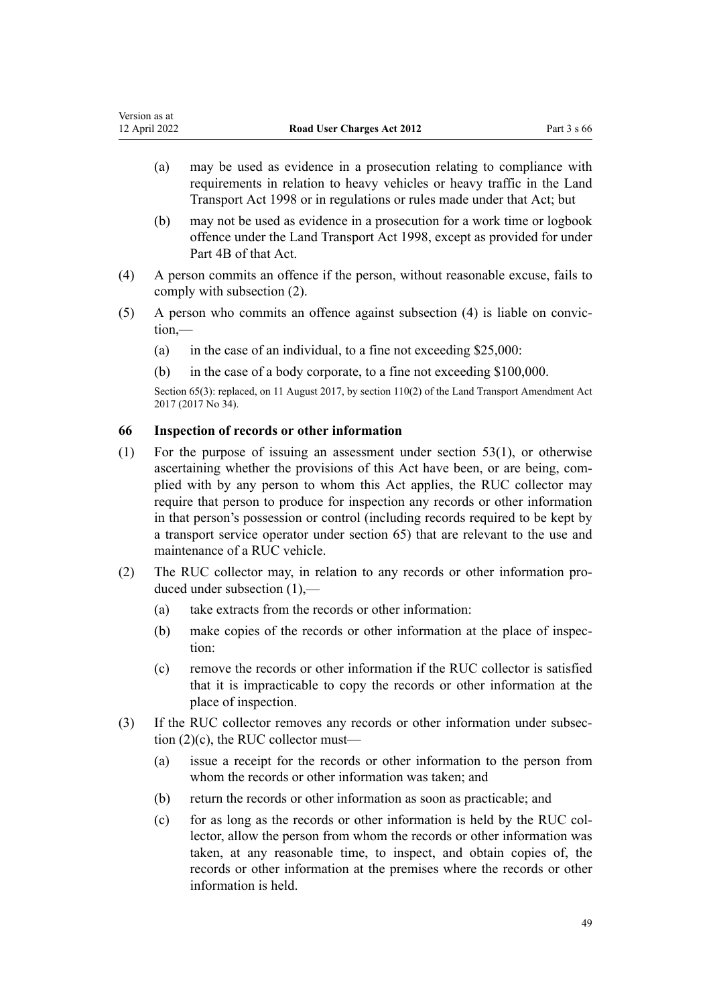- <span id="page-48-0"></span>(a) may be used as evidence in a prosecution relating to compliance with requirements in relation to heavy vehicles or heavy traffic in the [Land](http://legislation.govt.nz/pdflink.aspx?id=DLM433612) [Transport Act 1998](http://legislation.govt.nz/pdflink.aspx?id=DLM433612) or in regulations or rules made under that Act; but
- (b) may not be used as evidence in a prosecution for a work time or logbook offence under the [Land Transport Act 1998,](http://legislation.govt.nz/pdflink.aspx?id=DLM433612) except as provided for under [Part 4B](http://legislation.govt.nz/pdflink.aspx?id=DLM434620) of that Act.
- (4) A person commits an offence if the person, without reasonable excuse, fails to comply with subsection (2).
- (5) A person who commits an offence against subsection (4) is liable on convic‐ tion,—
	- (a) in the case of an individual, to a fine not exceeding  $$25,000$ :
	- (b) in the case of a body corporate, to a fine not exceeding \$100,000.

Section 65(3): replaced, on 11 August 2017, by [section 110\(2\)](http://legislation.govt.nz/pdflink.aspx?id=DLM6960929) of the Land Transport Amendment Act 2017 (2017 No 34).

# **66 Inspection of records or other information**

- (1) For the purpose of issuing an assessment under [section 53\(1\),](#page-41-0) or otherwise ascertaining whether the provisions of this Act have been, or are being, complied with by any person to whom this Act applies, the RUC collector may require that person to produce for inspection any records or other information in that person's possession or control (including records required to be kept by a transport service operator under [section 65\)](#page-47-0) that are relevant to the use and maintenance of a RUC vehicle.
- (2) The RUC collector may, in relation to any records or other information pro‐ duced under subsection (1),—
	- (a) take extracts from the records or other information:
	- (b) make copies of the records or other information at the place of inspection:
	- (c) remove the records or other information if the RUC collector is satisfied that it is impracticable to copy the records or other information at the place of inspection.
- (3) If the RUC collector removes any records or other information under subsec‐ tion (2)(c), the RUC collector must—
	- (a) issue a receipt for the records or other information to the person from whom the records or other information was taken; and
	- (b) return the records or other information as soon as practicable; and
	- (c) for as long as the records or other information is held by the RUC collector, allow the person from whom the records or other information was taken, at any reasonable time, to inspect, and obtain copies of, the records or other information at the premises where the records or other information is held.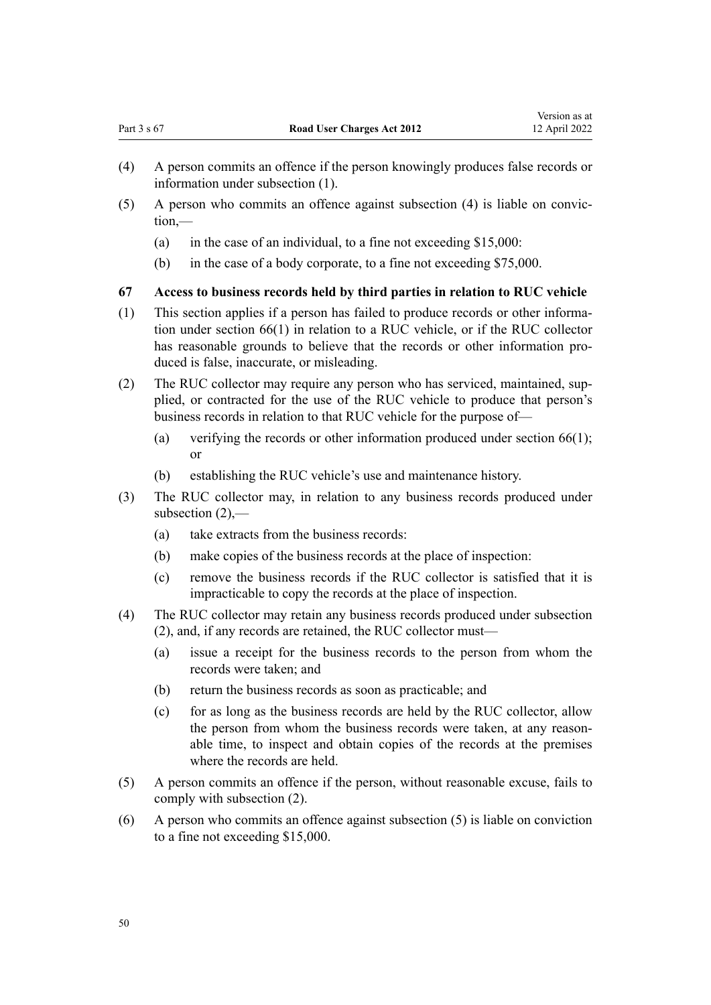- <span id="page-49-0"></span>(4) A person commits an offence if the person knowingly produces false records or information under subsection (1).
- (5) A person who commits an offence against subsection (4) is liable on convic‐ tion,—
	- (a) in the case of an individual, to a fine not exceeding  $$15,000$ :
	- (b) in the case of a body corporate, to a fine not exceeding \$75,000.

#### **67 Access to business records held by third parties in relation to RUC vehicle**

- (1) This section applies if a person has failed to produce records or other informa‐ tion under [section 66\(1\)](#page-48-0) in relation to a RUC vehicle, or if the RUC collector has reasonable grounds to believe that the records or other information produced is false, inaccurate, or misleading.
- (2) The RUC collector may require any person who has serviced, maintained, sup‐ plied, or contracted for the use of the RUC vehicle to produce that person's business records in relation to that RUC vehicle for the purpose of—
	- (a) verifying the records or other information produced under [section 66\(1\);](#page-48-0) or
	- (b) establishing the RUC vehicle's use and maintenance history.
- (3) The RUC collector may, in relation to any business records produced under subsection  $(2)$ ,—
	- (a) take extracts from the business records:
	- (b) make copies of the business records at the place of inspection:
	- (c) remove the business records if the RUC collector is satisfied that it is impracticable to copy the records at the place of inspection.
- (4) The RUC collector may retain any business records produced under subsection (2), and, if any records are retained, the RUC collector must—
	- (a) issue a receipt for the business records to the person from whom the records were taken; and
	- (b) return the business records as soon as practicable; and
	- (c) for as long as the business records are held by the RUC collector, allow the person from whom the business records were taken, at any reasonable time, to inspect and obtain copies of the records at the premises where the records are held.
- (5) A person commits an offence if the person, without reasonable excuse, fails to comply with subsection (2).
- (6) A person who commits an offence against subsection (5) is liable on conviction to a fine not exceeding \$15,000.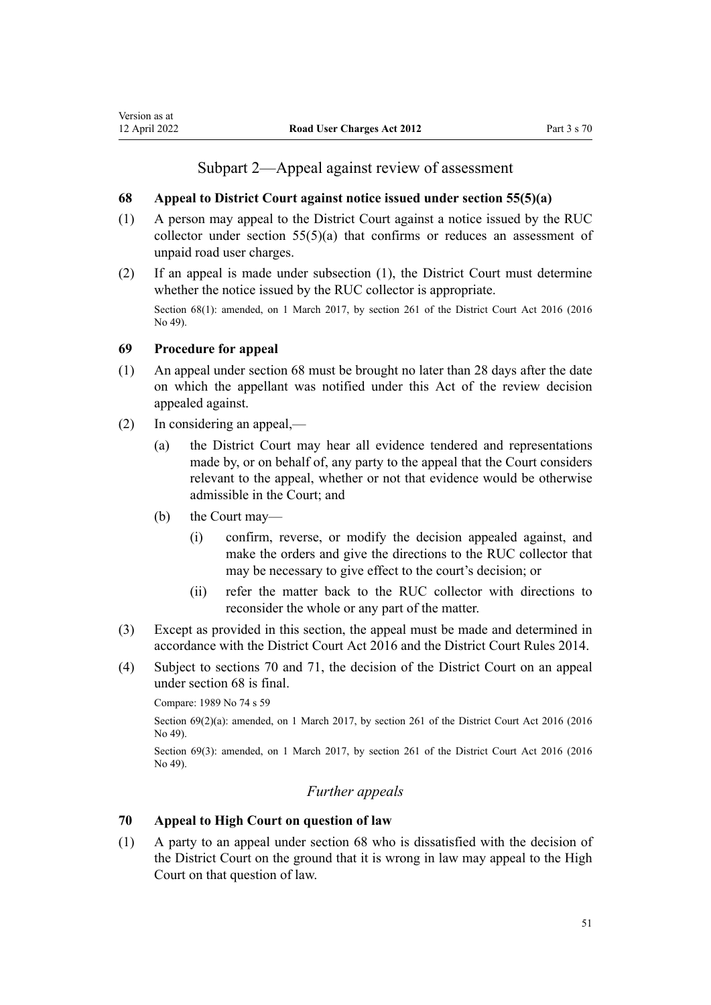# Subpart 2—Appeal against review of assessment

# <span id="page-50-0"></span>**68 Appeal to District Court against notice issued under section 55(5)(a)**

- (1) A person may appeal to the District Court against a notice issued by the RUC collector under section  $55(5)(a)$  that confirms or reduces an assessment of unpaid road user charges.
- (2) If an appeal is made under subsection (1), the District Court must determine whether the notice issued by the RUC collector is appropriate.

Section 68(1): amended, on 1 March 2017, by [section 261](http://legislation.govt.nz/pdflink.aspx?id=DLM6942680) of the District Court Act 2016 (2016) No 49).

## **69 Procedure for appeal**

- (1) An appeal under section 68 must be brought no later than 28 days after the date on which the appellant was notified under this Act of the review decision appealed against.
- (2) In considering an appeal,—
	- (a) the District Court may hear all evidence tendered and representations made by, or on behalf of, any party to the appeal that the Court considers relevant to the appeal, whether or not that evidence would be otherwise admissible in the Court; and
	- (b) the Court may—
		- (i) confirm, reverse, or modify the decision appealed against, and make the orders and give the directions to the RUC collector that may be necessary to give effect to the court's decision; or
		- (ii) refer the matter back to the RUC collector with directions to reconsider the whole or any part of the matter.
- (3) Except as provided in this section, the appeal must be made and determined in accordance with the [District Court Act 2016](http://legislation.govt.nz/pdflink.aspx?id=DLM6942200) and the [District Court Rules 2014.](http://legislation.govt.nz/pdflink.aspx?id=DLM6129566)
- (4) Subject to sections 70 and [71,](#page-51-0) the decision of the District Court on an appeal under section 68 is final.

```
Compare: 1989 No 74 s 59
```
Section 69(2)(a): amended, on 1 March 2017, by [section 261](http://legislation.govt.nz/pdflink.aspx?id=DLM6942680) of the District Court Act 2016 (2016) No 49).

Section 69(3): amended, on 1 March 2017, by [section 261](http://legislation.govt.nz/pdflink.aspx?id=DLM6942680) of the District Court Act 2016 (2016) No 49).

# *Further appeals*

# **70 Appeal to High Court on question of law**

(1) A party to an appeal under section 68 who is dissatisfied with the decision of the District Court on the ground that it is wrong in law may appeal to the High Court on that question of law.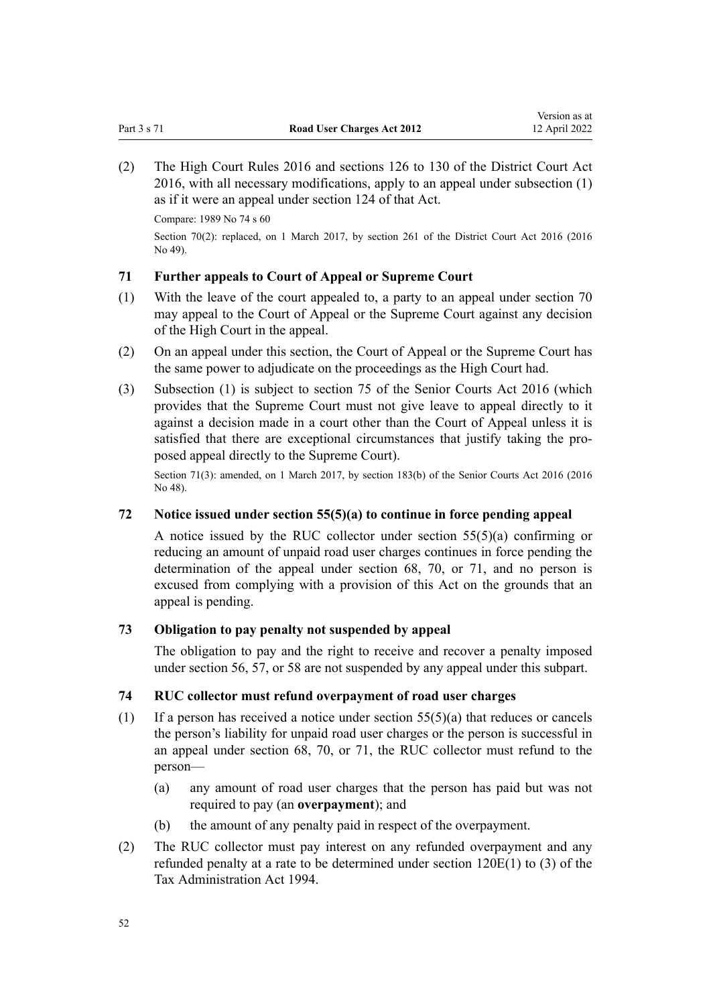<span id="page-51-0"></span>(2) The [High Court Rules 2016](http://legislation.govt.nz/pdflink.aspx?id=DLM6959800) and [sections 126 to 130](http://legislation.govt.nz/pdflink.aspx?id=DLM6942449) of the District Court Act 2016, with all necessary modifications, apply to an appeal under subsection (1) as if it were an appeal under [section 124](http://legislation.govt.nz/pdflink.aspx?id=DLM6942447) of that Act.

Compare: 1989 No 74 [s 60](http://legislation.govt.nz/pdflink.aspx?id=DLM172694)

Section 70(2): replaced, on 1 March 2017, by [section 261](http://legislation.govt.nz/pdflink.aspx?id=DLM6942680) of the District Court Act 2016 (2016 No 49).

# **71 Further appeals to Court of Appeal or Supreme Court**

- (1) With the leave of the court appealed to, a party to an appeal under [section 70](#page-50-0) may appeal to the Court of Appeal or the Supreme Court against any decision of the High Court in the appeal.
- (2) On an appeal under this section, the Court of Appeal or the Supreme Court has the same power to adjudicate on the proceedings as the High Court had.
- (3) Subsection (1) is subject to [section 75](http://legislation.govt.nz/pdflink.aspx?id=DLM5759414) of the Senior Courts Act 2016 (which provides that the Supreme Court must not give leave to appeal directly to it against a decision made in a court other than the Court of Appeal unless it is satisfied that there are exceptional circumstances that justify taking the proposed appeal directly to the Supreme Court).

Section 71(3): amended, on 1 March 2017, by [section 183\(b\)](http://legislation.govt.nz/pdflink.aspx?id=DLM5759564) of the Senior Courts Act 2016 (2016 No 48).

## **72 Notice issued under section 55(5)(a) to continue in force pending appeal**

A notice issued by the RUC collector under [section 55\(5\)\(a\)](#page-42-0) confirming or reducing an amount of unpaid road user charges continues in force pending the determination of the appeal under [section 68,](#page-50-0) [70,](#page-50-0) or 71, and no person is excused from complying with a provision of this Act on the grounds that an appeal is pending.

## **73 Obligation to pay penalty not suspended by appeal**

The obligation to pay and the right to receive and recover a penalty imposed under [section 56](#page-43-0), [57](#page-44-0), or [58](#page-44-0) are not suspended by any appeal under this subpart.

# **74 RUC collector must refund overpayment of road user charges**

- (1) If a person has received a notice under section  $55(5)(a)$  that reduces or cancels the person's liability for unpaid road user charges or the person is successful in an appeal under [section 68,](#page-50-0) [70,](#page-50-0) or 71, the RUC collector must refund to the person—
	- (a) any amount of road user charges that the person has paid but was not required to pay (an **overpayment**); and
	- (b) the amount of any penalty paid in respect of the overpayment.
- (2) The RUC collector must pay interest on any refunded overpayment and any refunded penalty at a rate to be determined under [section 120E\(1\) to \(3\)](http://legislation.govt.nz/pdflink.aspx?id=DLM355143) of the Tax Administration Act 1994.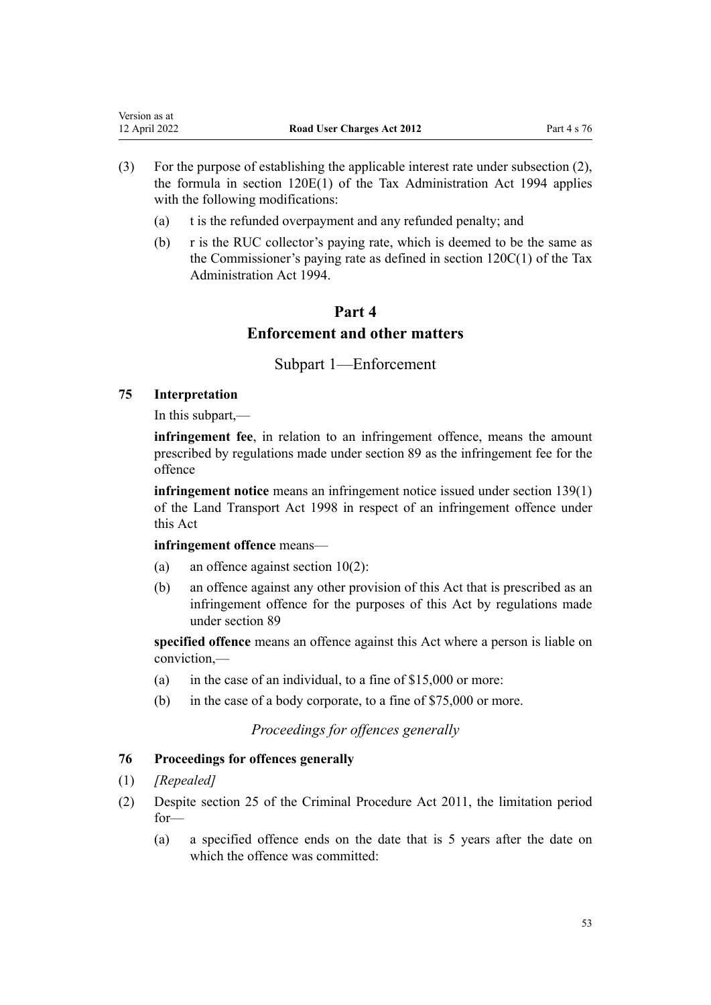| Version as at |                                   |             |
|---------------|-----------------------------------|-------------|
| 12 April 2022 | <b>Road User Charges Act 2012</b> | Part 4 s 76 |

- (3) For the purpose of establishing the applicable interest rate under subsection (2), the formula in [section 120E\(1\)](http://legislation.govt.nz/pdflink.aspx?id=DLM355143) of the Tax Administration Act 1994 applies with the following modifications:
	- (a) t is the refunded overpayment and any refunded penalty; and
	- (b) r is the RUC collector's paying rate, which is deemed to be the same as the Commissioner's paying rate as defined in [section 120C\(1\)](http://legislation.govt.nz/pdflink.aspx?id=DLM354996) of the Tax Administration Act 1994.

# **Part 4 Enforcement and other matters**

Subpart 1—Enforcement

# **75 Interpretation**

In this subpart,—

**infringement fee**, in relation to an infringement offence, means the amount prescribed by regulations made under [section 89](#page-59-0) as the infringement fee for the offence

**infringement notice** means an infringement notice issued under [section 139\(1\)](http://legislation.govt.nz/pdflink.aspx?id=DLM435155) of the Land Transport Act 1998 in respect of an infringement offence under this Act

## **infringement offence** means—

- (a) an offence against section  $10(2)$ :
- (b) an offence against any other provision of this Act that is prescribed as an infringement offence for the purposes of this Act by regulations made under [section 89](#page-59-0)

**specified offence** means an offence against this Act where a person is liable on conviction,—

- (a) in the case of an individual, to a fine of \$15,000 or more:
- (b) in the case of a body corporate, to a fine of \$75,000 or more.

*Proceedings for offences generally*

# **76 Proceedings for offences generally**

- (1) *[Repealed]*
- (2) Despite [section 25](http://legislation.govt.nz/pdflink.aspx?id=DLM3360067) of the Criminal Procedure Act 2011, the limitation period for—
	- (a) a specified offence ends on the date that is 5 years after the date on which the offence was committed: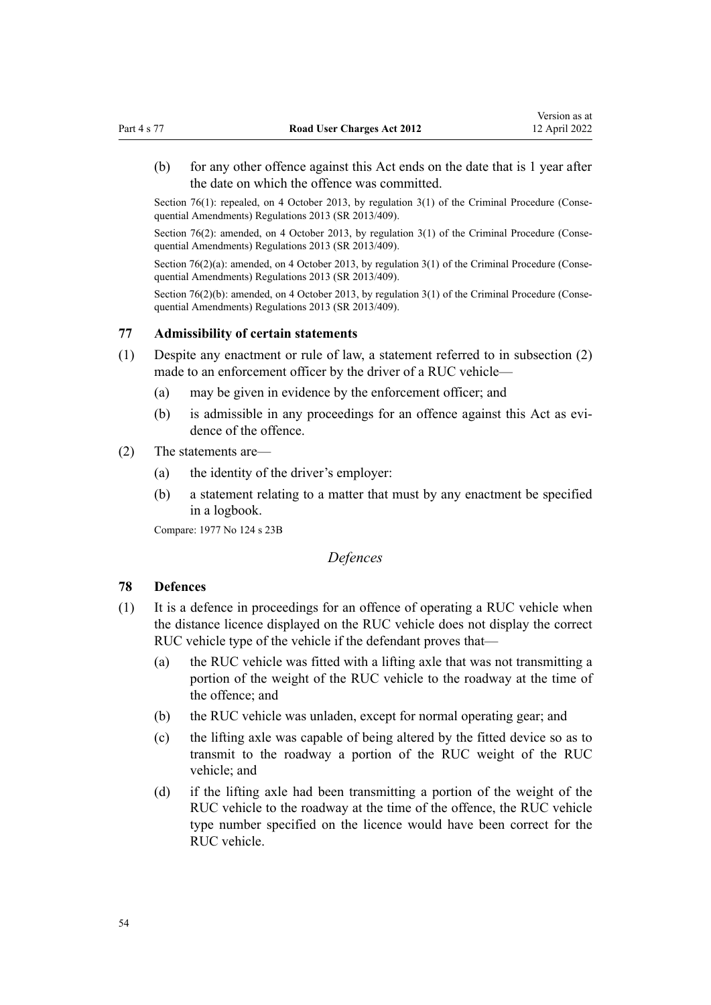(b) for any other offence against this Act ends on the date that is 1 year after the date on which the offence was committed.

Section 76(1): repealed, on 4 October 2013, by regulation  $3(1)$  of the Criminal Procedure (Consequential Amendments) Regulations 2013 (SR 2013/409).

Section 76(2): amended, on 4 October 2013, by [regulation 3\(1\)](http://legislation.govt.nz/pdflink.aspx?id=DLM5642106) of the Criminal Procedure (Consequential Amendments) Regulations 2013 (SR 2013/409).

Section  $76(2)(a)$ : amended, on 4 October 2013, by regulation  $3(1)$  of the Criminal Procedure (Consequential Amendments) Regulations 2013 (SR 2013/409).

Section 76(2)(b): amended, on 4 October 2013, by [regulation 3\(1\)](http://legislation.govt.nz/pdflink.aspx?id=DLM5642106) of the Criminal Procedure (Consequential Amendments) Regulations 2013 (SR 2013/409).

#### **77 Admissibility of certain statements**

- (1) Despite any enactment or rule of law, a statement referred to in subsection (2) made to an enforcement officer by the driver of a RUC vehicle—
	- (a) may be given in evidence by the enforcement officer; and
	- (b) is admissible in any proceedings for an offence against this Act as evidence of the offence.

#### (2) The statements are—

- (a) the identity of the driver's employer:
- (b) a statement relating to a matter that must by any enactment be specified in a logbook.

Compare: 1977 No 124 [s 23B](http://legislation.govt.nz/pdflink.aspx?id=DLM19654)

# *Defences*

#### **78 Defences**

- (1) It is a defence in proceedings for an offence of operating a RUC vehicle when the distance licence displayed on the RUC vehicle does not display the correct RUC vehicle type of the vehicle if the defendant proves that—
	- (a) the RUC vehicle was fitted with a lifting axle that was not transmitting a portion of the weight of the RUC vehicle to the roadway at the time of the offence; and
	- (b) the RUC vehicle was unladen, except for normal operating gear; and
	- (c) the lifting axle was capable of being altered by the fitted device so as to transmit to the roadway a portion of the RUC weight of the RUC vehicle; and
	- (d) if the lifting axle had been transmitting a portion of the weight of the RUC vehicle to the roadway at the time of the offence, the RUC vehicle type number specified on the licence would have been correct for the RUC vehicle.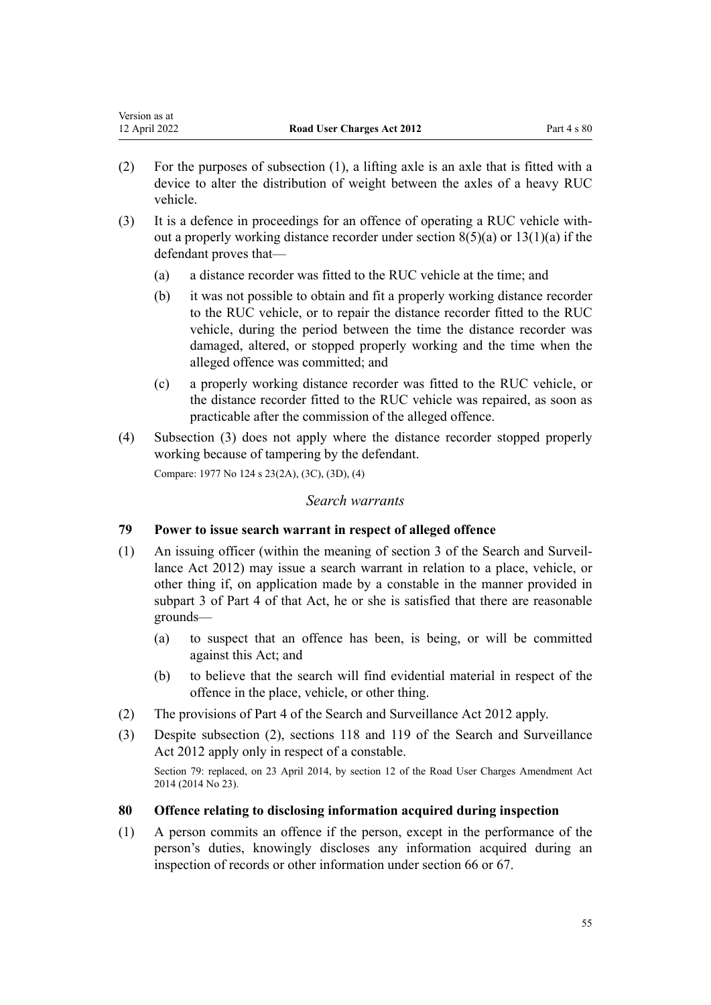| Version as at |                            |                    |
|---------------|----------------------------|--------------------|
| 12 April 2022 | Road User Charges Act 2012 | Part $4 \times 80$ |

- (2) For the purposes of subsection (1), a lifting axle is an axle that is fitted with a device to alter the distribution of weight between the axles of a heavy RUC vehicle.
- (3) It is a defence in proceedings for an offence of operating a RUC vehicle with‐ out a properly working distance recorder under section  $8(5)(a)$  or  $13(1)(a)$  if the defendant proves that—
	- (a) a distance recorder was fitted to the RUC vehicle at the time; and
	- (b) it was not possible to obtain and fit a properly working distance recorder to the RUC vehicle, or to repair the distance recorder fitted to the RUC vehicle, during the period between the time the distance recorder was damaged, altered, or stopped properly working and the time when the alleged offence was committed; and
	- (c) a properly working distance recorder was fitted to the RUC vehicle, or the distance recorder fitted to the RUC vehicle was repaired, as soon as practicable after the commission of the alleged offence.
- (4) Subsection (3) does not apply where the distance recorder stopped properly working because of tampering by the defendant.

Compare: 1977 No 124 [s 23\(2A\), \(3C\), \(3D\), \(4\)](http://legislation.govt.nz/pdflink.aspx?id=DLM19625)

#### *Search warrants*

## **79 Power to issue search warrant in respect of alleged offence**

- (1) An issuing officer (within the meaning of [section 3](http://legislation.govt.nz/pdflink.aspx?id=DLM2136542) of the Search and Surveil‐ lance Act 2012) may issue a search warrant in relation to a place, vehicle, or other thing if, on application made by a constable in the manner provided in [subpart 3](http://legislation.govt.nz/pdflink.aspx?id=DLM2136781) of Part 4 of that Act, he or she is satisfied that there are reasonable grounds—
	- (a) to suspect that an offence has been, is being, or will be committed against this Act; and
	- (b) to believe that the search will find evidential material in respect of the offence in the place, vehicle, or other thing.
- (2) The provisions of [Part 4](http://legislation.govt.nz/pdflink.aspx?id=DLM2136770) of the Search and Surveillance Act 2012 apply.
- (3) Despite subsection (2), [sections 118](http://legislation.govt.nz/pdflink.aspx?id=DLM2136813) and [119](http://legislation.govt.nz/pdflink.aspx?id=DLM2136815) of the Search and Surveillance Act 2012 apply only in respect of a constable.

Section 79: replaced, on 23 April 2014, by [section 12](http://legislation.govt.nz/pdflink.aspx?id=DLM6040518) of the Road User Charges Amendment Act 2014 (2014 No 23).

#### **80 Offence relating to disclosing information acquired during inspection**

(1) A person commits an offence if the person, except in the performance of the person's duties, knowingly discloses any information acquired during an inspection of records or other information under [section 66](#page-48-0) or [67](#page-49-0).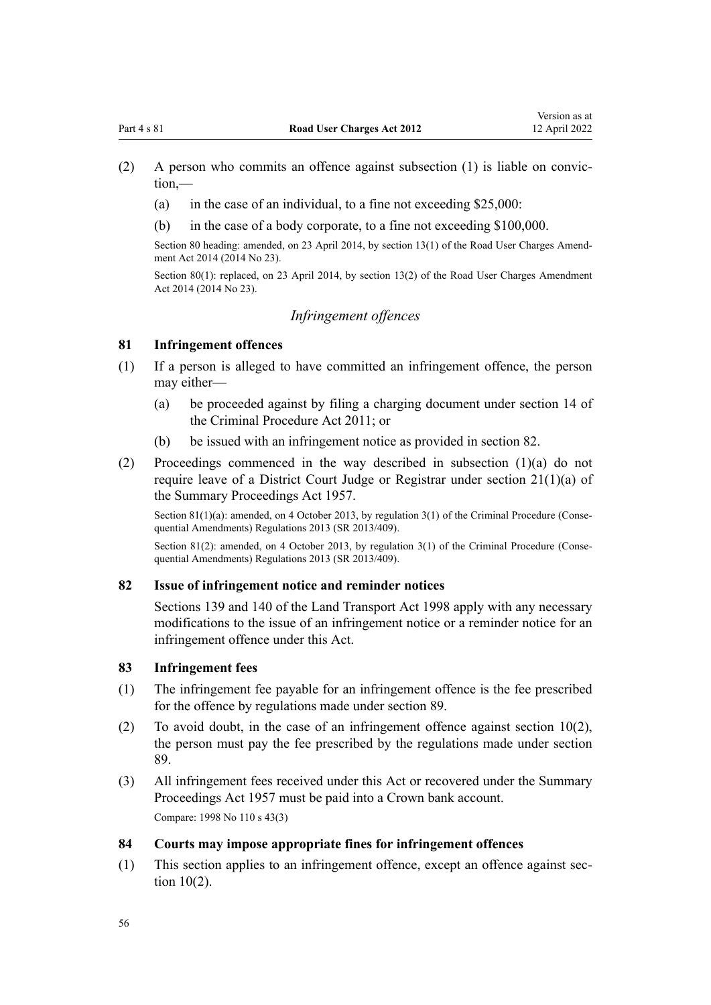- (2) A person who commits an offence against subsection (1) is liable on convic‐ tion,—
	- (a) in the case of an individual, to a fine not exceeding \$25,000:
	- (b) in the case of a body corporate, to a fine not exceeding \$100,000.

Section 80 heading: amended, on 23 April 2014, by [section 13\(1\)](http://legislation.govt.nz/pdflink.aspx?id=DLM6040520) of the Road User Charges Amendment Act 2014 (2014 No 23).

Section 80(1): replaced, on 23 April 2014, by [section 13\(2\)](http://legislation.govt.nz/pdflink.aspx?id=DLM6040520) of the Road User Charges Amendment Act 2014 (2014 No 23).

# *Infringement offences*

# **81 Infringement offences**

- (1) If a person is alleged to have committed an infringement offence, the person may either—
	- (a) be proceeded against by filing a charging document under [section 14](http://legislation.govt.nz/pdflink.aspx?id=DLM3360057) of the Criminal Procedure Act 2011; or
	- (b) be issued with an infringement notice as provided in section 82.
- (2) Proceedings commenced in the way described in subsection (1)(a) do not require leave of a District Court Judge or Registrar under [section 21\(1\)\(a\)](http://legislation.govt.nz/pdflink.aspx?id=DLM311346) of the Summary Proceedings Act 1957.

Section 81(1)(a): amended, on 4 October 2013, by [regulation 3\(1\)](http://legislation.govt.nz/pdflink.aspx?id=DLM5642106) of the Criminal Procedure (Consequential Amendments) Regulations 2013 (SR 2013/409).

Section 81(2): amended, on 4 October 2013, by regulation  $3(1)$  of the Criminal Procedure (Consequential Amendments) Regulations 2013 (SR 2013/409).

## **82 Issue of infringement notice and reminder notices**

[Sections 139](http://legislation.govt.nz/pdflink.aspx?id=DLM435155) and [140](http://legislation.govt.nz/pdflink.aspx?id=DLM435156) of the Land Transport Act 1998 apply with any necessary modifications to the issue of an infringement notice or a reminder notice for an infringement offence under this Act.

#### **83 Infringement fees**

- (1) The infringement fee payable for an infringement offence is the fee prescribed for the offence by regulations made under [section 89.](#page-59-0)
- (2) To avoid doubt, in the case of an infringement offence against section  $10(2)$ , the person must pay the fee prescribed by the regulations made under section 89.
- (3) All infringement fees received under this Act or recovered under the [Summary](http://legislation.govt.nz/pdflink.aspx?id=DLM310742) [Proceedings Act 1957](http://legislation.govt.nz/pdflink.aspx?id=DLM310742) must be paid into a Crown bank account. Compare: 1998 No 110 [s 43\(3\)](http://legislation.govt.nz/pdflink.aspx?id=DLM434669)

#### **84 Courts may impose appropriate fines for infringement offences**

(1) This section applies to an infringement offence, except an offence against [sec‐](#page-15-0) [tion 10\(2\).](#page-15-0)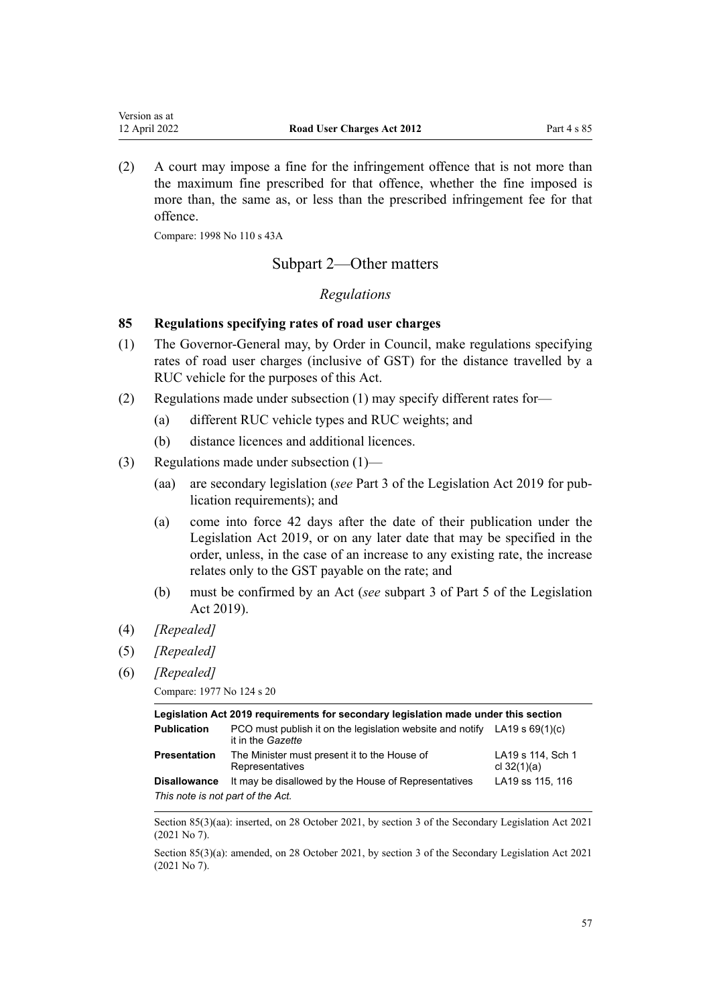<span id="page-56-0"></span>(2) A court may impose a fine for the infringement offence that is not more than the maximum fine prescribed for that offence, whether the fine imposed is more than, the same as, or less than the prescribed infringement fee for that offence.

Compare: 1998 No 110 [s 43A](http://legislation.govt.nz/pdflink.aspx?id=DLM434670)

# Subpart 2—Other matters

# *Regulations*

## **85 Regulations specifying rates of road user charges**

- (1) The Governor-General may, by Order in Council, make regulations specifying rates of road user charges (inclusive of GST) for the distance travelled by a RUC vehicle for the purposes of this Act.
- (2) Regulations made under subsection (1) may specify different rates for—
	- (a) different RUC vehicle types and RUC weights; and
	- (b) distance licences and additional licences.
- (3) Regulations made under subsection (1)—
	- (aa) are secondary legislation (*see* [Part 3](http://legislation.govt.nz/pdflink.aspx?id=DLM7298343) of the Legislation Act 2019 for pub‐ lication requirements); and
	- (a) come into force 42 days after the date of their publication under the [Legislation Act 2019,](http://legislation.govt.nz/pdflink.aspx?id=DLM7298104) or on any later date that may be specified in the order, unless, in the case of an increase to any existing rate, the increase relates only to the GST payable on the rate; and
	- (b) must be confirmed by an Act (*see* [subpart 3](http://legislation.govt.nz/pdflink.aspx?id=DLM7298438) of Part 5 of the Legislation Act 2019).
- (4) *[Repealed]*
- (5) *[Repealed]*
- (6) *[Repealed]*

```
Compare: 1977 No 124 s 20
```

| Legislation Act 2019 requirements for secondary legislation made under this section |                                                                                                  |                                    |  |
|-------------------------------------------------------------------------------------|--------------------------------------------------------------------------------------------------|------------------------------------|--|
| <b>Publication</b>                                                                  | PCO must publish it on the legislation website and notify LA19 s $69(1)(c)$<br>it in the Gazette |                                    |  |
| <b>Presentation</b>                                                                 | The Minister must present it to the House of<br>Representatives                                  | LA19 s 114, Sch 1<br>cl $32(1)(a)$ |  |
| <b>Disallowance</b>                                                                 | It may be disallowed by the House of Representatives                                             | LA19 ss 115, 116                   |  |
| This note is not part of the Act.                                                   |                                                                                                  |                                    |  |

Section 85(3)(aa): inserted, on 28 October 2021, by [section 3](http://legislation.govt.nz/pdflink.aspx?id=LMS268932) of the Secondary Legislation Act 2021 (2021 No 7).

Section 85(3)(a): amended, on 28 October 2021, by [section 3](http://legislation.govt.nz/pdflink.aspx?id=LMS268932) of the Secondary Legislation Act 2021 (2021 No 7).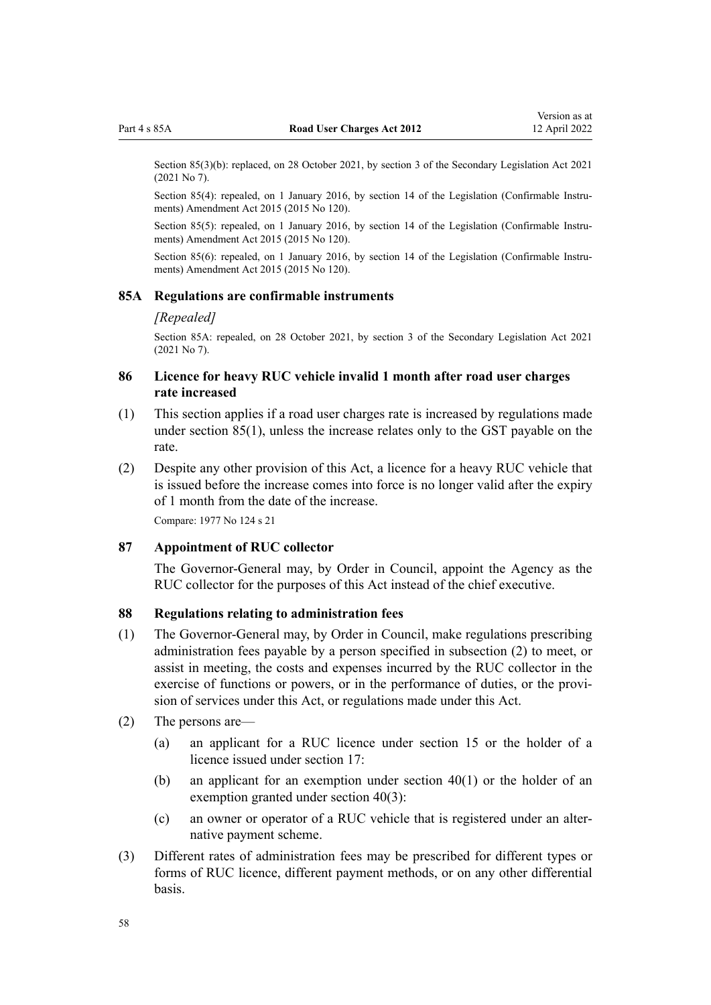Section 85(3)(b): replaced, on 28 October 2021, by [section 3](http://legislation.govt.nz/pdflink.aspx?id=LMS268932) of the Secondary Legislation Act 2021 (2021 No 7).

Section 85(4): repealed, on 1 January 2016, by [section 14](http://legislation.govt.nz/pdflink.aspx?id=DLM6681248) of the Legislation (Confirmable Instruments) Amendment Act 2015 (2015 No 120).

Section 85(5): repealed, on 1 January 2016, by [section 14](http://legislation.govt.nz/pdflink.aspx?id=DLM6681248) of the Legislation (Confirmable Instruments) Amendment Act 2015 (2015 No 120).

Section 85(6): repealed, on 1 January 2016, by [section 14](http://legislation.govt.nz/pdflink.aspx?id=DLM6681248) of the Legislation (Confirmable Instruments) Amendment Act 2015 (2015 No 120).

#### **85A Regulations are confirmable instruments**

#### *[Repealed]*

Section 85A: repealed, on 28 October 2021, by [section 3](http://legislation.govt.nz/pdflink.aspx?id=LMS268932) of the Secondary Legislation Act 2021 (2021 No 7).

# **86 Licence for heavy RUC vehicle invalid 1 month after road user charges rate increased**

- (1) This section applies if a road user charges rate is increased by regulations made under [section 85\(1\),](#page-56-0) unless the increase relates only to the GST payable on the rate.
- (2) Despite any other provision of this Act, a licence for a heavy RUC vehicle that is issued before the increase comes into force is no longer valid after the expiry of 1 month from the date of the increase.

Compare: 1977 No 124 [s 21](http://legislation.govt.nz/pdflink.aspx?id=DLM19196)

### **87 Appointment of RUC collector**

The Governor-General may, by Order in Council, appoint the Agency as the RUC collector for the purposes of this Act instead of the chief executive.

### **88 Regulations relating to administration fees**

- (1) The Governor-General may, by Order in Council, make regulations prescribing administration fees payable by a person specified in subsection (2) to meet, or assist in meeting, the costs and expenses incurred by the RUC collector in the exercise of functions or powers, or in the performance of duties, or the provision of services under this Act, or regulations made under this Act.
- (2) The persons are—
	- (a) an applicant for a RUC licence under [section 15](#page-18-0) or the holder of a licence issued under [section 17](#page-19-0):
	- (b) an applicant for an exemption under [section 40\(1\)](#page-30-0) or the holder of an exemption granted under [section 40\(3\)](#page-30-0):
	- (c) an owner or operator of a RUC vehicle that is registered under an alter‐ native payment scheme.
- (3) Different rates of administration fees may be prescribed for different types or forms of RUC licence, different payment methods, or on any other differential basis.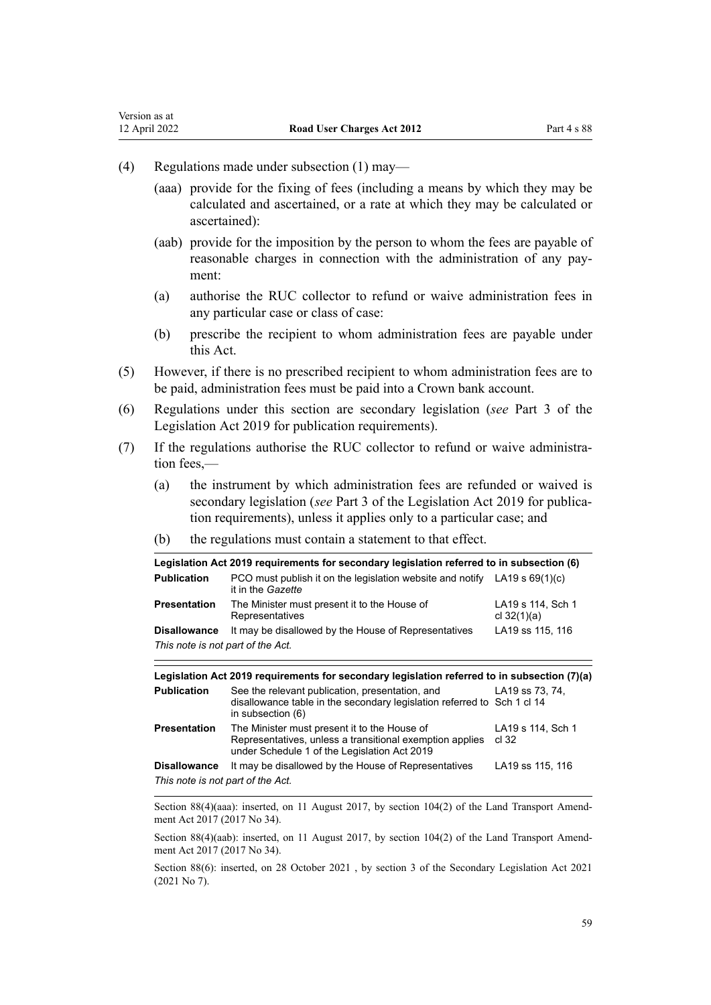(4) Regulations made under subsection (1) may—

Version as at<br>12 April 2022

- (aaa) provide for the fixing of fees (including a means by which they may be calculated and ascertained, or a rate at which they may be calculated or ascertained):
- (aab) provide for the imposition by the person to whom the fees are payable of reasonable charges in connection with the administration of any payment:
- (a) authorise the RUC collector to refund or waive administration fees in any particular case or class of case:
- (b) prescribe the recipient to whom administration fees are payable under this Act.
- (5) However, if there is no prescribed recipient to whom administration fees are to be paid, administration fees must be paid into a Crown bank account.
- (6) Regulations under this section are secondary legislation (*see* [Part 3](http://legislation.govt.nz/pdflink.aspx?id=DLM7298343) of the Legislation Act 2019 for publication requirements).
- (7) If the regulations authorise the RUC collector to refund or waive administra‐ tion fees,—
	- (a) the instrument by which administration fees are refunded or waived is secondary legislation (*see* [Part 3](http://legislation.govt.nz/pdflink.aspx?id=DLM7298343) of the Legislation Act 2019 for publication requirements), unless it applies only to a particular case; and
	- (b) the regulations must contain a statement to that effect.

| Legislation Act 2019 requirements for secondary legislation referred to in subsection (6) |                                                                                                         |                                    |  |
|-------------------------------------------------------------------------------------------|---------------------------------------------------------------------------------------------------------|------------------------------------|--|
| <b>Publication</b>                                                                        | PCO must publish it on the legislation website and notify LA19 s $69(1)(c)$<br>it in the <i>Gazette</i> |                                    |  |
| Presentation                                                                              | The Minister must present it to the House of<br>Representatives                                         | LA19 s 114, Sch 1<br>cl $32(1)(a)$ |  |
| <b>Disallowance</b>                                                                       | It may be disallowed by the House of Representatives                                                    | LA19 ss 115, 116                   |  |
| This note is not part of the Act.                                                         |                                                                                                         |                                    |  |

| Legislation Act 2019 requirements for secondary legislation referred to in subsection (7)(a) |                                                                                                                                                          |                            |
|----------------------------------------------------------------------------------------------|----------------------------------------------------------------------------------------------------------------------------------------------------------|----------------------------|
| <b>Publication</b>                                                                           | See the relevant publication, presentation, and<br>disallowance table in the secondary legislation referred to Sch 1 cl 14<br>in subsection (6)          | LA19 ss 73, 74.            |
| <b>Presentation</b>                                                                          | The Minister must present it to the House of<br>Representatives, unless a transitional exemption applies<br>under Schedule 1 of the Legislation Act 2019 | LA19 s 114, Sch 1<br>cl 32 |
| <b>Disallowance</b>                                                                          | It may be disallowed by the House of Representatives                                                                                                     | LA19 ss 115, 116           |
| This note is not part of the Act.                                                            |                                                                                                                                                          |                            |

Section 88(4)(aaa): inserted, on 11 August 2017, by [section 104\(2\)](http://legislation.govt.nz/pdflink.aspx?id=DLM6960912) of the Land Transport Amendment Act 2017 (2017 No 34).

Section 88(4)(aab): inserted, on 11 August 2017, by [section 104\(2\)](http://legislation.govt.nz/pdflink.aspx?id=DLM6960912) of the Land Transport Amendment Act 2017 (2017 No 34).

Section 88(6): inserted, on 28 October 2021 , by [section 3](http://legislation.govt.nz/pdflink.aspx?id=LMS268932) of the Secondary Legislation Act 2021 (2021 No 7).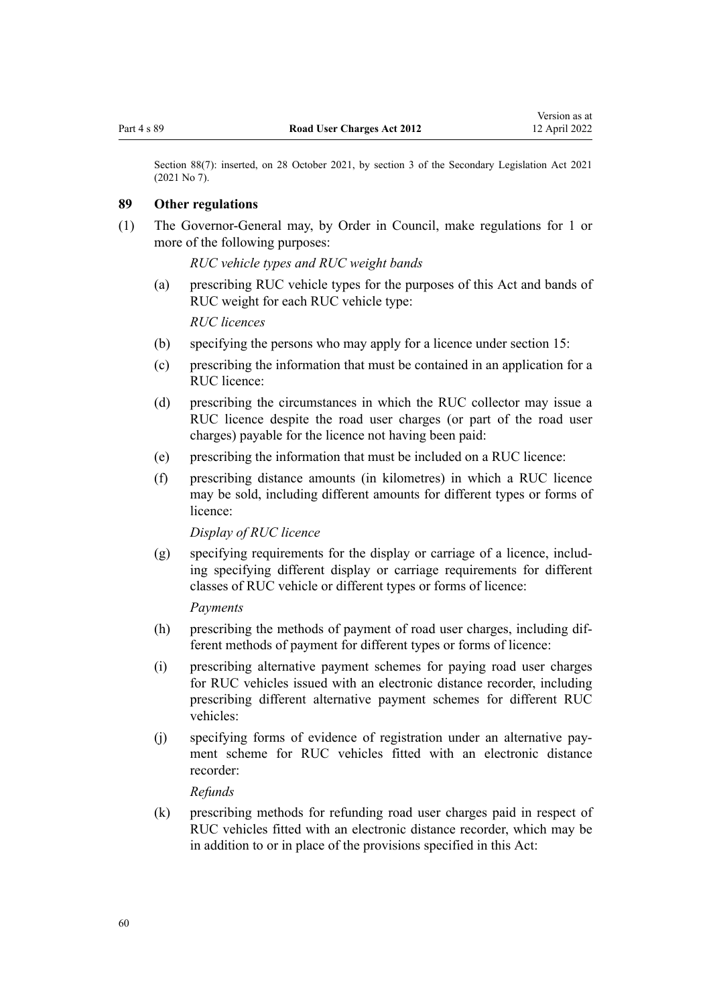<span id="page-59-0"></span>Section 88(7): inserted, on 28 October 2021, by [section 3](http://legislation.govt.nz/pdflink.aspx?id=LMS268932) of the Secondary Legislation Act 2021 (2021 No 7).

# **89 Other regulations**

(1) The Governor-General may, by Order in Council, make regulations for 1 or more of the following purposes:

*RUC vehicle types and RUC weight bands*

(a) prescribing RUC vehicle types for the purposes of this Act and bands of RUC weight for each RUC vehicle type:

*RUC licences*

- (b) specifying the persons who may apply for a licence under [section 15](#page-18-0):
- (c) prescribing the information that must be contained in an application for a RUC licence:
- (d) prescribing the circumstances in which the RUC collector may issue a RUC licence despite the road user charges (or part of the road user charges) payable for the licence not having been paid:
- (e) prescribing the information that must be included on a RUC licence:
- (f) prescribing distance amounts (in kilometres) in which a RUC licence may be sold, including different amounts for different types or forms of licence:

*Display of RUC licence*

(g) specifying requirements for the display or carriage of a licence, includ‐ ing specifying different display or carriage requirements for different classes of RUC vehicle or different types or forms of licence:

*Payments*

- (h) prescribing the methods of payment of road user charges, including different methods of payment for different types or forms of licence:
- (i) prescribing alternative payment schemes for paying road user charges for RUC vehicles issued with an electronic distance recorder, including prescribing different alternative payment schemes for different RUC vehicles:
- (j) specifying forms of evidence of registration under an alternative pay‐ ment scheme for RUC vehicles fitted with an electronic distance recorder:

*Refunds*

(k) prescribing methods for refunding road user charges paid in respect of RUC vehicles fitted with an electronic distance recorder, which may be in addition to or in place of the provisions specified in this Act: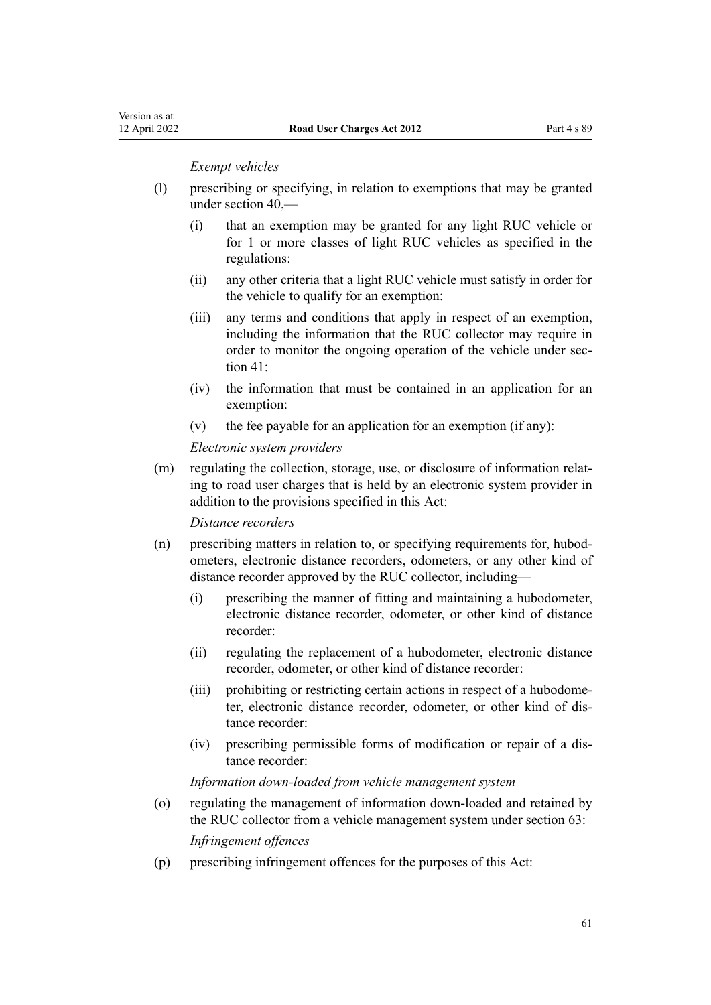#### *Exempt vehicles*

- (l) prescribing or specifying, in relation to exemptions that may be granted under [section 40](#page-30-0),—
	- (i) that an exemption may be granted for any light RUC vehicle or for 1 or more classes of light RUC vehicles as specified in the regulations:
	- (ii) any other criteria that a light RUC vehicle must satisfy in order for the vehicle to qualify for an exemption:
	- (iii) any terms and conditions that apply in respect of an exemption, including the information that the RUC collector may require in order to monitor the ongoing operation of the vehicle under sec[tion 41](#page-31-0):
	- (iv) the information that must be contained in an application for an exemption:
	- (v) the fee payable for an application for an exemption (if any):

#### *Electronic system providers*

(m) regulating the collection, storage, use, or disclosure of information relating to road user charges that is held by an electronic system provider in addition to the provisions specified in this Act:

*Distance recorders*

- (n) prescribing matters in relation to, or specifying requirements for, hubod‐ ometers, electronic distance recorders, odometers, or any other kind of distance recorder approved by the RUC collector, including—
	- (i) prescribing the manner of fitting and maintaining a hubodometer, electronic distance recorder, odometer, or other kind of distance recorder:
	- (ii) regulating the replacement of a hubodometer, electronic distance recorder, odometer, or other kind of distance recorder:
	- (iii) prohibiting or restricting certain actions in respect of a hubodome‐ ter, electronic distance recorder, odometer, or other kind of dis‐ tance recorder:
	- (iv) prescribing permissible forms of modification or repair of a dis‐ tance recorder:

### *Information down-loaded from vehicle management system*

(o) regulating the management of information down-loaded and retained by the RUC collector from a vehicle management system under [section 63:](#page-47-0)

*Infringement offences*

(p) prescribing infringement offences for the purposes of this Act: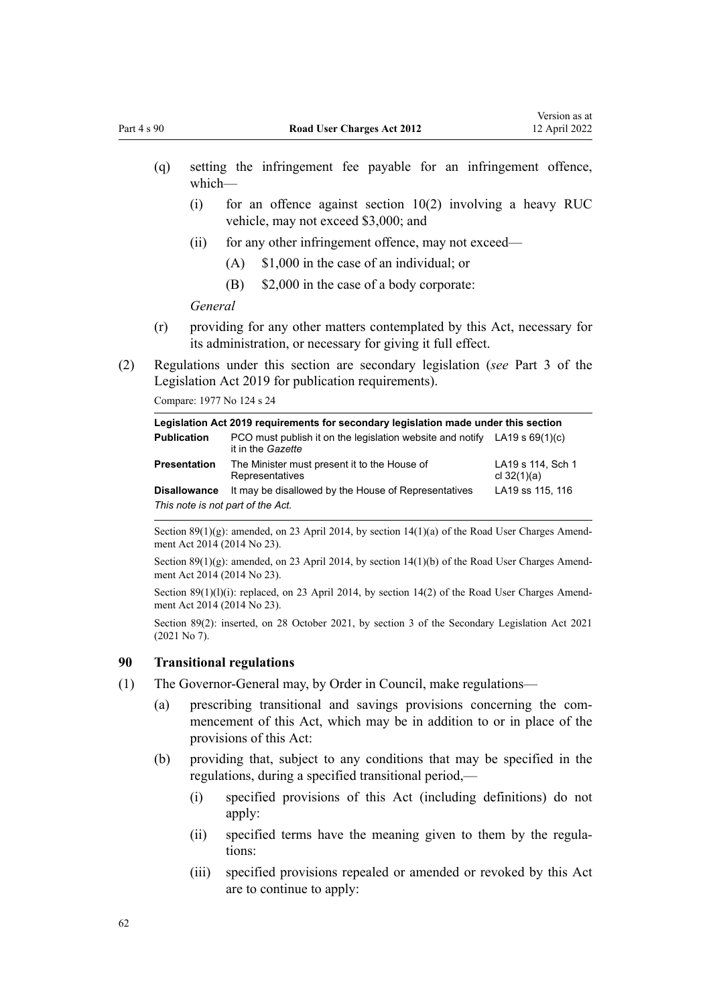- (q) setting the infringement fee payable for an infringement offence, which—
	- (i) for an offence against [section 10\(2\)](#page-15-0) involving a heavy RUC vehicle, may not exceed \$3,000; and
	- (ii) for any other infringement offence, may not exceed—
		- (A) \$1,000 in the case of an individual; or
		- (B) \$2,000 in the case of a body corporate:

*General*

- (r) providing for any other matters contemplated by this Act, necessary for its administration, or necessary for giving it full effect.
- (2) Regulations under this section are secondary legislation (*see* [Part 3](http://legislation.govt.nz/pdflink.aspx?id=DLM7298343) of the Legislation Act 2019 for publication requirements).

Compare: 1977 No 124 [s 24](http://legislation.govt.nz/pdflink.aspx?id=DLM19667)

| Legislation Act 2019 requirements for secondary legislation made under this section |                                                                                                         |                                    |  |
|-------------------------------------------------------------------------------------|---------------------------------------------------------------------------------------------------------|------------------------------------|--|
| <b>Publication</b>                                                                  | PCO must publish it on the legislation website and notify LA19 s $69(1)(c)$<br>it in the <i>Gazette</i> |                                    |  |
| <b>Presentation</b>                                                                 | The Minister must present it to the House of<br>Representatives                                         | LA19 s 114, Sch 1<br>cl $32(1)(a)$ |  |
| <b>Disallowance</b>                                                                 | It may be disallowed by the House of Representatives                                                    | LA19 ss 115, 116                   |  |
| This note is not part of the Act.                                                   |                                                                                                         |                                    |  |

Section 89(1)(g): amended, on 23 April 2014, by [section 14\(1\)\(a\)](http://legislation.govt.nz/pdflink.aspx?id=DLM6040521) of the Road User Charges Amendment Act 2014 (2014 No 23).

Section 89(1)(g): amended, on 23 April 2014, by [section 14\(1\)\(b\)](http://legislation.govt.nz/pdflink.aspx?id=DLM6040521) of the Road User Charges Amendment Act 2014 (2014 No 23).

Section 89(1)(l)(i): replaced, on 23 April 2014, by [section 14\(2\)](http://legislation.govt.nz/pdflink.aspx?id=DLM6040521) of the Road User Charges Amendment Act 2014 (2014 No 23).

Section 89(2): inserted, on 28 October 2021, by [section 3](http://legislation.govt.nz/pdflink.aspx?id=LMS268932) of the Secondary Legislation Act 2021 (2021 No 7).

# **90 Transitional regulations**

- (1) The Governor-General may, by Order in Council, make regulations—
	- (a) prescribing transitional and savings provisions concerning the com‐ mencement of this Act, which may be in addition to or in place of the provisions of this Act:
	- (b) providing that, subject to any conditions that may be specified in the regulations, during a specified transitional period,—
		- (i) specified provisions of this Act (including definitions) do not apply:
		- (ii) specified terms have the meaning given to them by the regulations:
		- (iii) specified provisions repealed or amended or revoked by this Act are to continue to apply: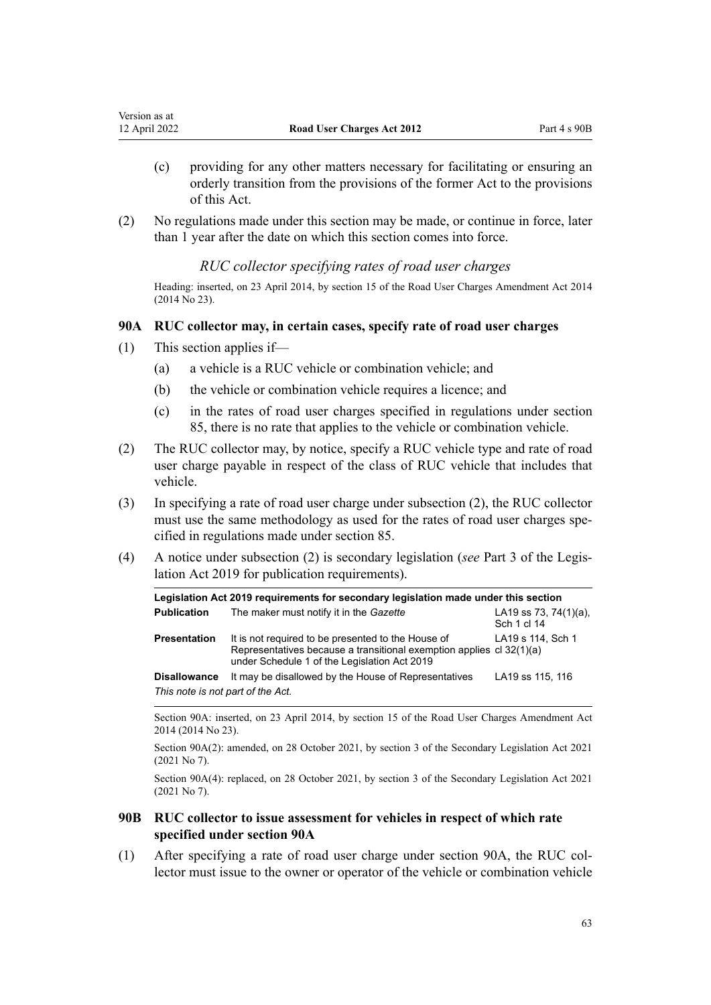- (c) providing for any other matters necessary for facilitating or ensuring an orderly transition from the provisions of the former Act to the provisions of this Act.
- (2) No regulations made under this section may be made, or continue in force, later than 1 year after the date on which this section comes into force.

# *RUC collector specifying rates of road user charges*

Heading: inserted, on 23 April 2014, by [section 15](http://legislation.govt.nz/pdflink.aspx?id=DLM6040522) of the Road User Charges Amendment Act 2014 (2014 No 23).

## **90A RUC collector may, in certain cases, specify rate of road user charges**

- (1) This section applies if—
	- (a) a vehicle is a RUC vehicle or combination vehicle; and
	- (b) the vehicle or combination vehicle requires a licence; and
	- (c) in the rates of road user charges specified in regulations under section 85, there is no rate that applies to the vehicle or combination vehicle.
- (2) The RUC collector may, by notice, specify a RUC vehicle type and rate of road user charge payable in respect of the class of RUC vehicle that includes that vehicle.
- (3) In specifying a rate of road user charge under subsection (2), the RUC collector must use the same methodology as used for the rates of road user charges specified in regulations made under [section 85.](#page-56-0)
- (4) A notice under subsection (2) is secondary legislation (*see* [Part 3](http://legislation.govt.nz/pdflink.aspx?id=DLM7298343) of the Legis‐ lation Act 2019 for publication requirements).

| Legislation Act 2019 requirements for secondary legislation made under this section |                                                                                                                                                                            |                                          |  |
|-------------------------------------------------------------------------------------|----------------------------------------------------------------------------------------------------------------------------------------------------------------------------|------------------------------------------|--|
| <b>Publication</b>                                                                  | The maker must notify it in the Gazette                                                                                                                                    | LA19 ss 73, 74 $(1)(a)$ ,<br>Sch 1 cl 14 |  |
| <b>Presentation</b>                                                                 | It is not required to be presented to the House of<br>Representatives because a transitional exemption applies cl 32(1)(a)<br>under Schedule 1 of the Legislation Act 2019 | LA19 s 114, Sch 1                        |  |
| <b>Disallowance</b><br>This note is not part of the Act.                            | It may be disallowed by the House of Representatives                                                                                                                       | LA19 ss 115, 116                         |  |

Section 90A: inserted, on 23 April 2014, by [section 15](http://legislation.govt.nz/pdflink.aspx?id=DLM6040522) of the Road User Charges Amendment Act 2014 (2014 No 23).

Section 90A(2): amended, on 28 October 2021, by [section 3](http://legislation.govt.nz/pdflink.aspx?id=LMS268932) of the Secondary Legislation Act 2021 (2021 No 7).

Section 90A(4): replaced, on 28 October 2021, by [section 3](http://legislation.govt.nz/pdflink.aspx?id=LMS268932) of the Secondary Legislation Act 2021 (2021 No 7).

# **90B RUC collector to issue assessment for vehicles in respect of which rate specified under section 90A**

(1) After specifying a rate of road user charge under section 90A, the RUC col‐ lector must issue to the owner or operator of the vehicle or combination vehicle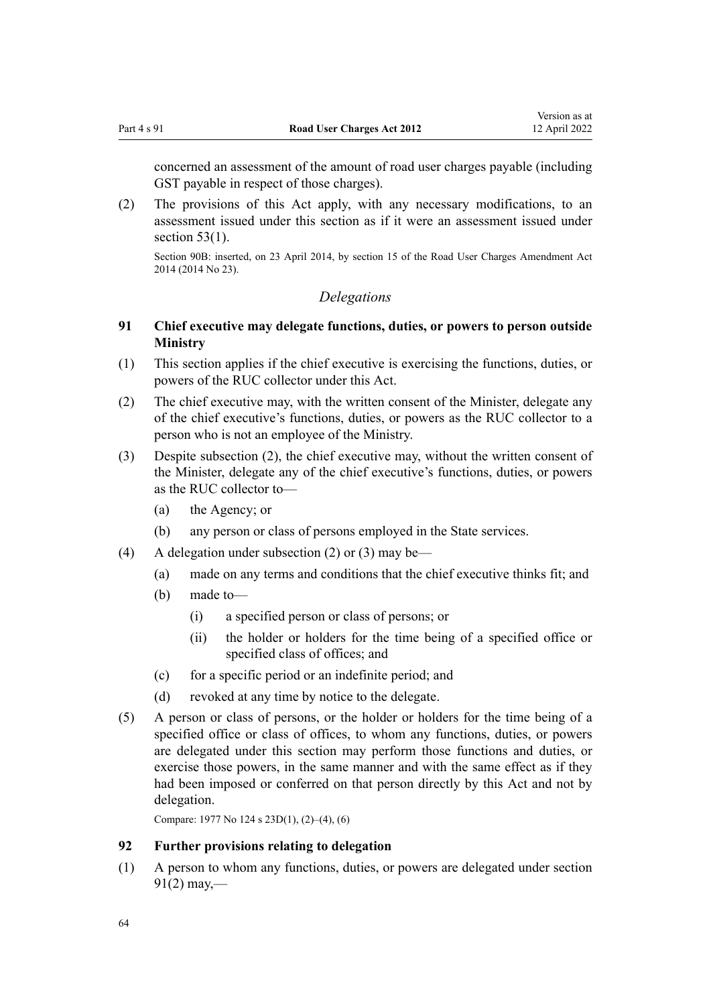<span id="page-63-0"></span>concerned an assessment of the amount of road user charges payable (including GST payable in respect of those charges).

(2) The provisions of this Act apply, with any necessary modifications, to an assessment issued under this section as if it were an assessment issued under section  $53(1)$ .

Section 90B: inserted, on 23 April 2014, by [section 15](http://legislation.govt.nz/pdflink.aspx?id=DLM6040522) of the Road User Charges Amendment Act 2014 (2014 No 23).

# *Delegations*

# **91 Chief executive may delegate functions, duties, or powers to person outside Ministry**

- (1) This section applies if the chief executive is exercising the functions, duties, or powers of the RUC collector under this Act.
- (2) The chief executive may, with the written consent of the Minister, delegate any of the chief executive's functions, duties, or powers as the RUC collector to a person who is not an employee of the Ministry.
- (3) Despite subsection (2), the chief executive may, without the written consent of the Minister, delegate any of the chief executive's functions, duties, or powers as the RUC collector to—
	- (a) the Agency; or
	- (b) any person or class of persons employed in the State services.
- (4) A delegation under subsection (2) or (3) may be—
	- (a) made on any terms and conditions that the chief executive thinks fit; and
	- (b) made to—
		- (i) a specified person or class of persons; or
		- (ii) the holder or holders for the time being of a specified office or specified class of offices; and
	- (c) for a specific period or an indefinite period; and
	- (d) revoked at any time by notice to the delegate.
- (5) A person or class of persons, or the holder or holders for the time being of a specified office or class of offices, to whom any functions, duties, or powers are delegated under this section may perform those functions and duties, or exercise those powers, in the same manner and with the same effect as if they had been imposed or conferred on that person directly by this Act and not by delegation.

Compare: 1977 No 124 [s 23D\(1\), \(2\)–\(4\), \(6\)](http://legislation.govt.nz/pdflink.aspx?id=DLM19662)

# **92 Further provisions relating to delegation**

(1) A person to whom any functions, duties, or powers are delegated under section  $91(2)$  may,—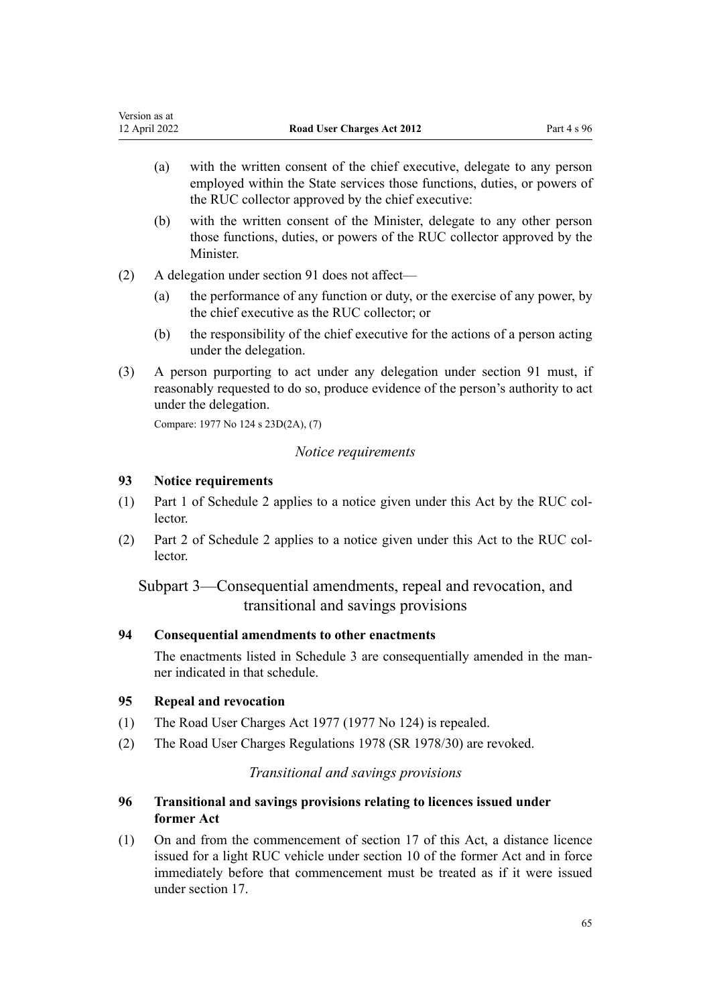- <span id="page-64-0"></span>(a) with the written consent of the chief executive, delegate to any person employed within the State services those functions, duties, or powers of the RUC collector approved by the chief executive:
- (b) with the written consent of the Minister, delegate to any other person those functions, duties, or powers of the RUC collector approved by the Minister.
- (2) A delegation under [section 91](#page-63-0) does not affect—
	- (a) the performance of any function or duty, or the exercise of any power, by the chief executive as the RUC collector; or
	- (b) the responsibility of the chief executive for the actions of a person acting under the delegation.
- (3) A person purporting to act under any delegation under [section 91](#page-63-0) must, if reasonably requested to do so, produce evidence of the person's authority to act under the delegation.

Compare: 1977 No 124 [s 23D\(2A\), \(7\)](http://legislation.govt.nz/pdflink.aspx?id=DLM19662)

## *Notice requirements*

### **93 Notice requirements**

- (1) [Part 1](#page-69-0) of Schedule 2 applies to a notice given under this Act by the RUC col‐ lector.
- (2) [Part 2](#page-70-0) of Schedule 2 applies to a notice given under this Act to the RUC col‐ lector.

Subpart 3—Consequential amendments, repeal and revocation, and transitional and savings provisions

# **94 Consequential amendments to other enactments**

The enactments listed in [Schedule 3](#page-71-0) are consequentially amended in the manner indicated in that schedule.

# **95 Repeal and revocation**

- (1) The [Road User Charges Act 1977](http://legislation.govt.nz/pdflink.aspx?id=DLM18599) (1977 No 124) is repealed.
- (2) The [Road User Charges Regulations 1978](http://legislation.govt.nz/pdflink.aspx?id=DLM61045) (SR 1978/30) are revoked.

## *Transitional and savings provisions*

# **96 Transitional and savings provisions relating to licences issued under former Act**

(1) On and from the commencement of [section 17](#page-19-0) of this Act, a distance licence issued for a light RUC vehicle under [section 10](http://legislation.govt.nz/pdflink.aspx?id=DLM19126) of the former Act and in force immediately before that commencement must be treated as if it were issued under section 17.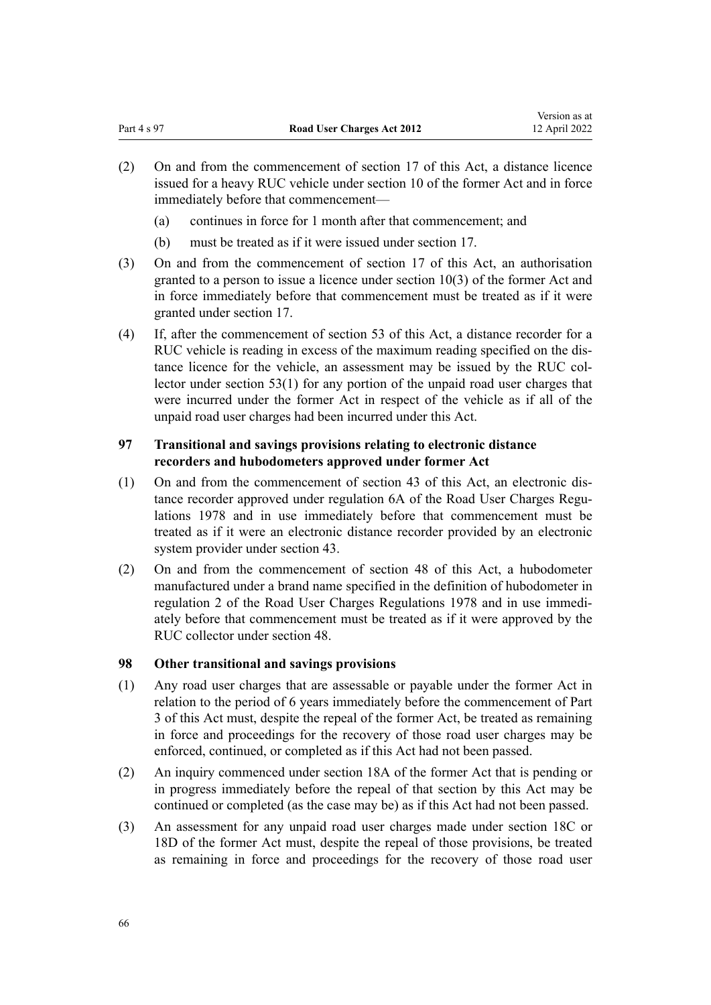- (2) On and from the commencement of [section 17](#page-19-0) of this Act, a distance licence issued for a heavy RUC vehicle under [section 10](http://legislation.govt.nz/pdflink.aspx?id=DLM19126) of the former Act and in force immediately before that commencement—
	- (a) continues in force for 1 month after that commencement; and
	- (b) must be treated as if it were issued under [section 17.](#page-19-0)
- (3) On and from the commencement of [section 17](#page-19-0) of this Act, an authorisation granted to a person to issue a licence under [section 10\(3\)](http://legislation.govt.nz/pdflink.aspx?id=DLM19126) of the former Act and in force immediately before that commencement must be treated as if it were granted under [section 17.](#page-19-0)
- (4) If, after the commencement of [section 53](#page-41-0) of this Act, a distance recorder for a RUC vehicle is reading in excess of the maximum reading specified on the dis‐ tance licence for the vehicle, an assessment may be issued by the RUC collector under section 53(1) for any portion of the unpaid road user charges that were incurred under the former Act in respect of the vehicle as if all of the unpaid road user charges had been incurred under this Act.

# **97 Transitional and savings provisions relating to electronic distance recorders and hubodometers approved under former Act**

- (1) On and from the commencement of [section 43](#page-35-0) of this Act, an electronic dis‐ tance recorder approved under [regulation 6A](http://legislation.govt.nz/pdflink.aspx?id=DLM61080) of the Road User Charges Regulations 1978 and in use immediately before that commencement must be treated as if it were an electronic distance recorder provided by an electronic system provider under [section 43.](#page-35-0)
- (2) On and from the commencement of [section 48](#page-38-0) of this Act, a hubodometer manufactured under a brand name specified in the definition of hubodometer in [regulation 2](http://legislation.govt.nz/pdflink.aspx?id=DLM61050) of the Road User Charges Regulations 1978 and in use immedi‐ ately before that commencement must be treated as if it were approved by the RUC collector under section 48.

# **98 Other transitional and savings provisions**

- (1) Any road user charges that are assessable or payable under the former Act in relation to the period of 6 years immediately before the commencement of [Part](#page-41-0) [3](#page-41-0) of this Act must, despite the repeal of the former Act, be treated as remaining in force and proceedings for the recovery of those road user charges may be enforced, continued, or completed as if this Act had not been passed.
- (2) An inquiry commenced under [section 18A](http://legislation.govt.nz/pdflink.aspx?id=DLM19170) of the former Act that is pending or in progress immediately before the repeal of that section by this Act may be continued or completed (as the case may be) as if this Act had not been passed.
- (3) An assessment for any unpaid road user charges made under [section 18C](http://legislation.govt.nz/pdflink.aspx?id=DLM19177) or [18D](http://legislation.govt.nz/pdflink.aspx?id=DLM19180) of the former Act must, despite the repeal of those provisions, be treated as remaining in force and proceedings for the recovery of those road user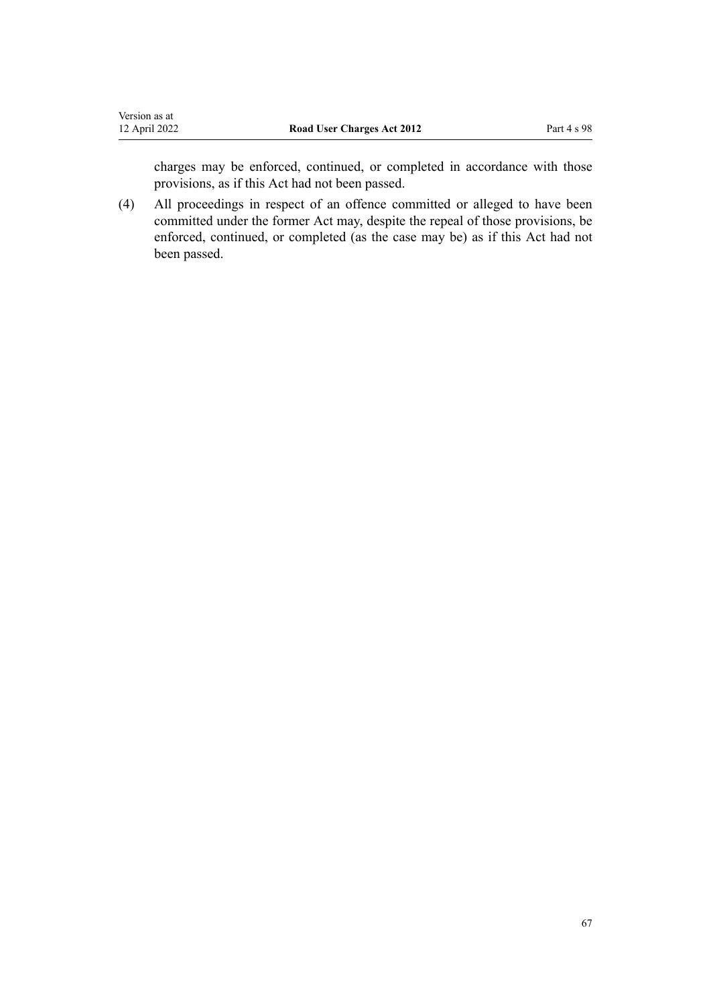charges may be enforced, continued, or completed in accordance with those provisions, as if this Act had not been passed.

(4) All proceedings in respect of an offence committed or alleged to have been committed under the former Act may, despite the repeal of those provisions, be enforced, continued, or completed (as the case may be) as if this Act had not been passed.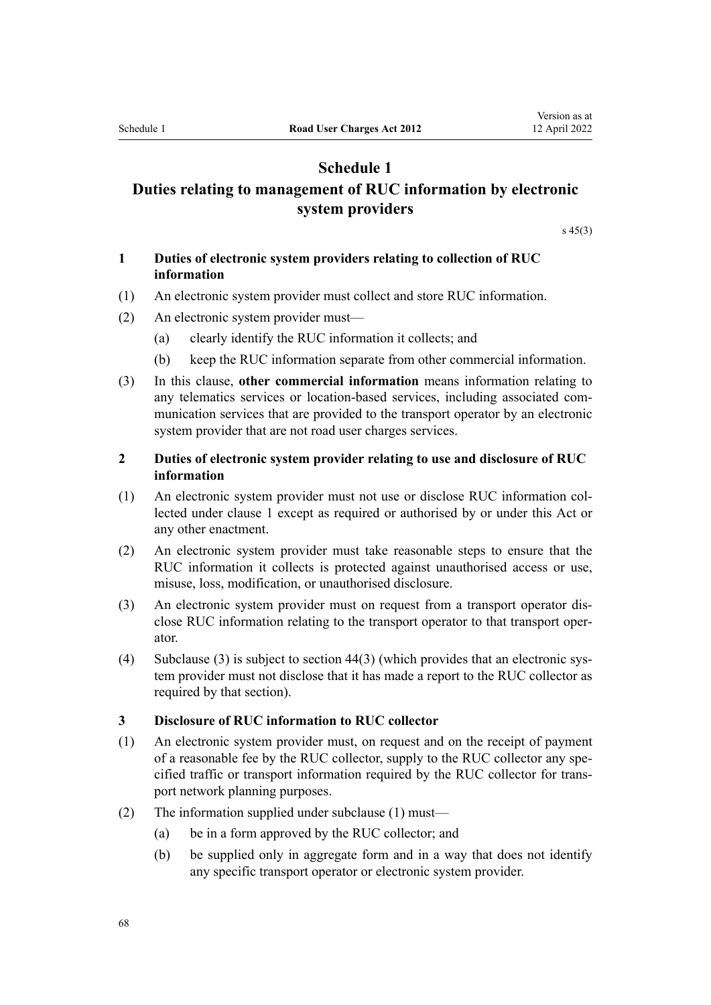# **Schedule 1**

# <span id="page-67-0"></span>**Duties relating to management of RUC information by electronic system providers**

[s 45\(3\)](#page-37-0)

# **1 Duties of electronic system providers relating to collection of RUC information**

- (1) An electronic system provider must collect and store RUC information.
- (2) An electronic system provider must—
	- (a) clearly identify the RUC information it collects; and
	- (b) keep the RUC information separate from other commercial information.
- (3) In this clause, **other commercial information** means information relating to any telematics services or location-based services, including associated com‐ munication services that are provided to the transport operator by an electronic system provider that are not road user charges services.

# **2 Duties of electronic system provider relating to use and disclosure of RUC information**

- (1) An electronic system provider must not use or disclose RUC information col‐ lected under clause 1 except as required or authorised by or under this Act or any other enactment.
- (2) An electronic system provider must take reasonable steps to ensure that the RUC information it collects is protected against unauthorised access or use, misuse, loss, modification, or unauthorised disclosure.
- (3) An electronic system provider must on request from a transport operator dis‐ close RUC information relating to the transport operator to that transport oper‐ ator.
- (4) Subclause (3) is subject to section  $44(3)$  (which provides that an electronic system provider must not disclose that it has made a report to the RUC collector as required by that section).

#### **3 Disclosure of RUC information to RUC collector**

- (1) An electronic system provider must, on request and on the receipt of payment of a reasonable fee by the RUC collector, supply to the RUC collector any spe‐ cified traffic or transport information required by the RUC collector for trans‐ port network planning purposes.
- (2) The information supplied under subclause (1) must—
	- (a) be in a form approved by the RUC collector; and
	- (b) be supplied only in aggregate form and in a way that does not identify any specific transport operator or electronic system provider.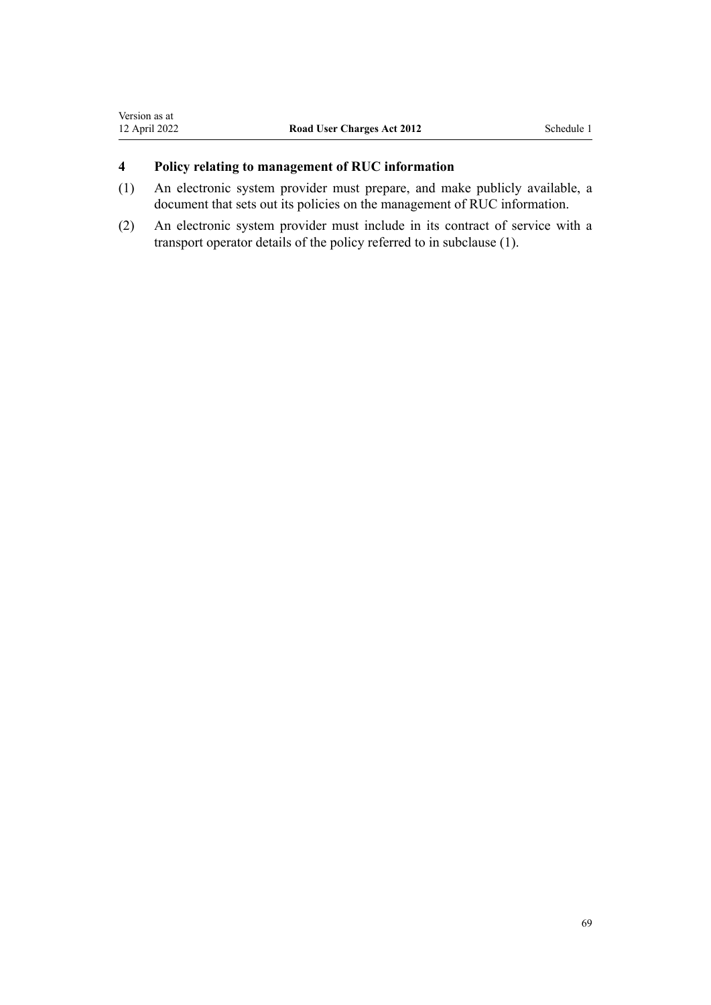# **4 Policy relating to management of RUC information**

- (1) An electronic system provider must prepare, and make publicly available, a document that sets out its policies on the management of RUC information.
- (2) An electronic system provider must include in its contract of service with a transport operator details of the policy referred to in subclause (1).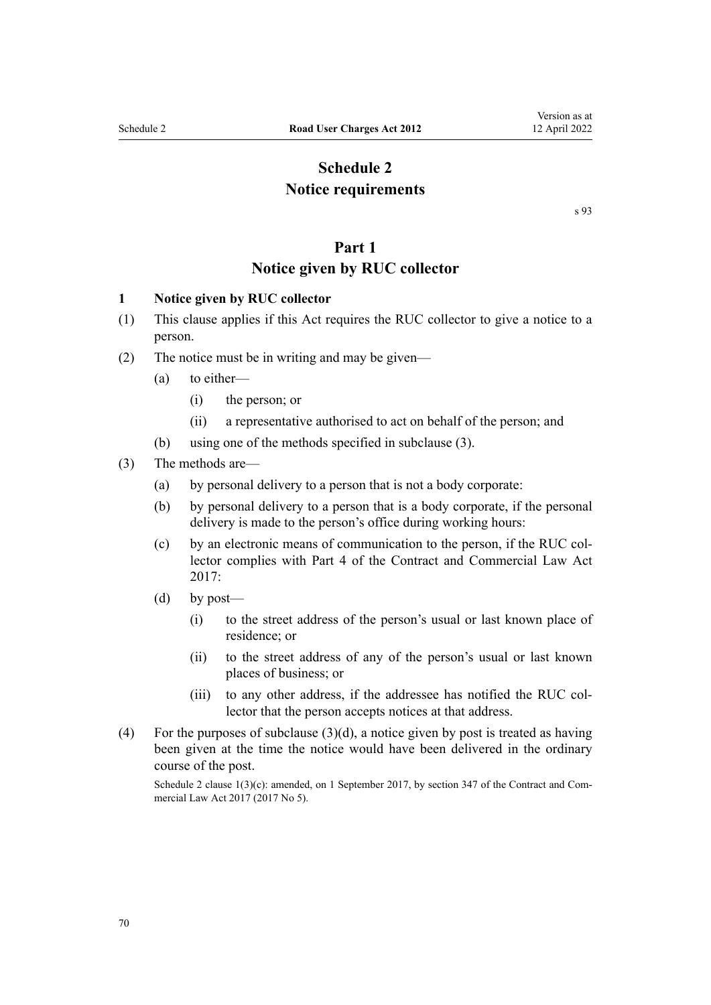# **Schedule 2 Notice requirements**

[s 93](#page-64-0)

# **Part 1 Notice given by RUC collector**

# <span id="page-69-0"></span>**1 Notice given by RUC collector**

- (1) This clause applies if this Act requires the RUC collector to give a notice to a person.
- (2) The notice must be in writing and may be given—
	- (a) to either—
		- (i) the person; or
		- (ii) a representative authorised to act on behalf of the person; and
	- (b) using one of the methods specified in subclause (3).

# (3) The methods are—

- (a) by personal delivery to a person that is not a body corporate:
- (b) by personal delivery to a person that is a body corporate, if the personal delivery is made to the person's office during working hours:
- (c) by an electronic means of communication to the person, if the RUC col‐ lector complies with [Part 4](http://legislation.govt.nz/pdflink.aspx?id=DLM6844429) of the Contract and Commercial Law Act 2017:
- (d) by post—
	- (i) to the street address of the person's usual or last known place of residence; or
	- (ii) to the street address of any of the person's usual or last known places of business; or
	- (iii) to any other address, if the addressee has notified the RUC collector that the person accepts notices at that address.
- (4) For the purposes of subclause  $(3)(d)$ , a notice given by post is treated as having been given at the time the notice would have been delivered in the ordinary course of the post.

Schedule 2 clause  $1(3)(c)$ : amended, on 1 September 2017, by [section 347](http://legislation.govt.nz/pdflink.aspx?id=DLM6844761) of the Contract and Commercial Law Act 2017 (2017 No 5).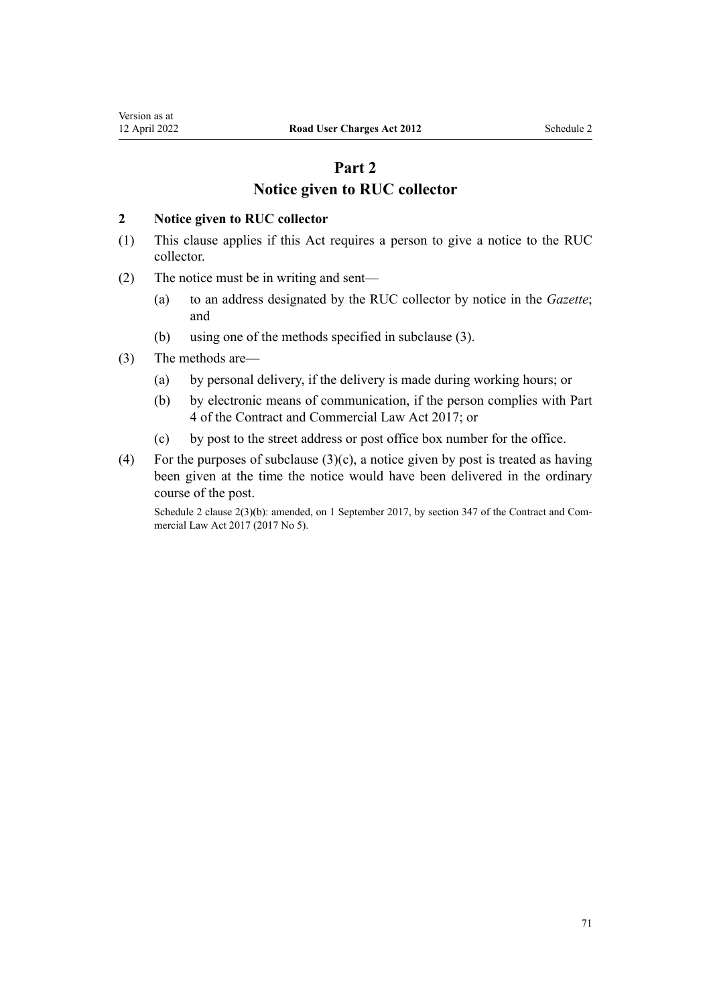# **Part 2 Notice given to RUC collector**

### <span id="page-70-0"></span>**2 Notice given to RUC collector**

- (1) This clause applies if this Act requires a person to give a notice to the RUC collector.
- (2) The notice must be in writing and sent—
	- (a) to an address designated by the RUC collector by notice in the *Gazette*; and
	- (b) using one of the methods specified in subclause (3).
- (3) The methods are—
	- (a) by personal delivery, if the delivery is made during working hours; or
	- (b) by electronic means of communication, if the person complies with [Part](http://legislation.govt.nz/pdflink.aspx?id=DLM6844429) [4](http://legislation.govt.nz/pdflink.aspx?id=DLM6844429) of the Contract and Commercial Law Act 2017; or
	- (c) by post to the street address or post office box number for the office.
- (4) For the purposes of subclause  $(3)(c)$ , a notice given by post is treated as having been given at the time the notice would have been delivered in the ordinary course of the post.

Schedule 2 clause 2(3)(b): amended, on 1 September 2017, by [section 347](http://legislation.govt.nz/pdflink.aspx?id=DLM6844761) of the Contract and Commercial Law Act 2017 (2017 No 5).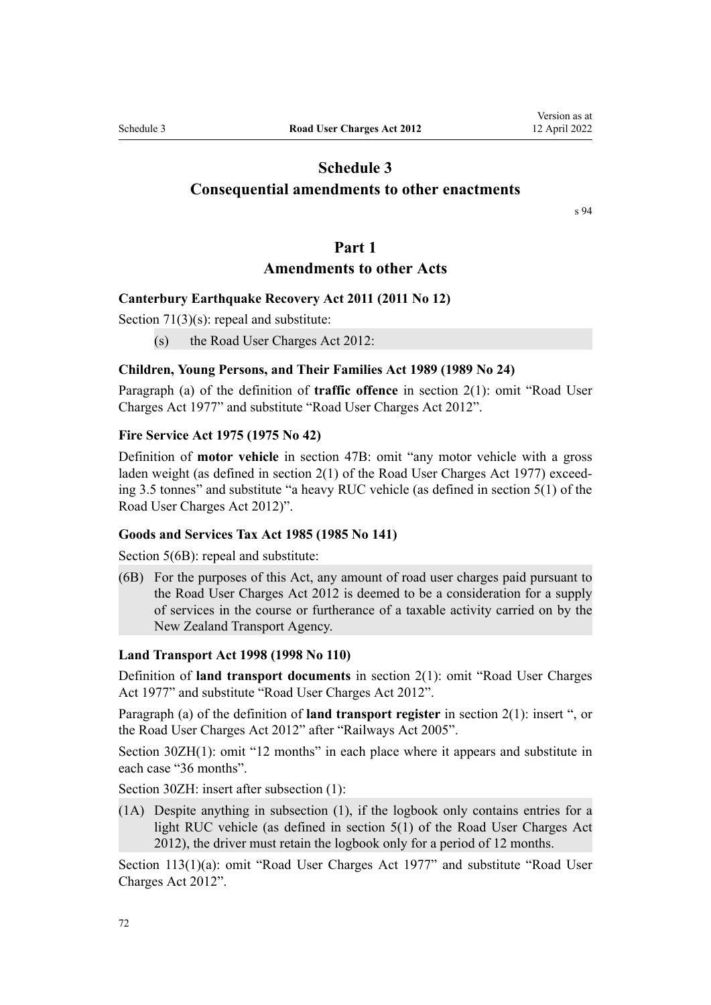# <span id="page-71-0"></span>**Schedule 3 Consequential amendments to other enactments**

[s 94](#page-64-0)

## **Part 1**

# **Amendments to other Acts**

# **Canterbury Earthquake Recovery Act 2011 (2011 No 12)**

[Section 71\(3\)\(s\):](http://legislation.govt.nz/pdflink.aspx?id=DLM3570826) repeal and substitute:

(s) the Road User Charges Act 2012:

#### **Children, Young Persons, and Their Families Act 1989 (1989 No 24)**

Paragraph (a) of the definition of **traffic offence** in [section 2\(1\)](http://legislation.govt.nz/pdflink.aspx?id=DLM147094): omit "Road User Charges Act 1977" and substitute "Road User Charges Act 2012".

#### **Fire Service Act 1975 (1975 No 42)**

Definition of **motor vehicle** in [section 47B:](http://legislation.govt.nz/pdflink.aspx?id=DLM433722) omit "any motor vehicle with a gross laden weight (as defined in section 2(1) of the Road User Charges Act 1977) exceeding 3.5 tonnes" and substitute "a heavy RUC vehicle (as defined in section 5(1) of the Road User Charges Act 2012)".

## **Goods and Services Tax Act 1985 (1985 No 141)**

[Section 5\(6B\)](http://legislation.govt.nz/pdflink.aspx?id=DLM81877): repeal and substitute:

(6B) For the purposes of this Act, any amount of road user charges paid pursuant to the Road User Charges Act 2012 is deemed to be a consideration for a supply of services in the course or furtherance of a taxable activity carried on by the New Zealand Transport Agency.

#### **Land Transport Act 1998 (1998 No 110)**

Definition of **land transport documents** in [section 2\(1\):](http://legislation.govt.nz/pdflink.aspx?id=DLM433619) omit "Road User Charges Act 1977" and substitute "Road User Charges Act 2012".

Paragraph (a) of the definition of **land transport register** in [section 2\(1\):](http://legislation.govt.nz/pdflink.aspx?id=DLM433619) insert ", or the Road User Charges Act 2012" after "Railways Act 2005".

[Section 30ZH\(1\):](http://legislation.govt.nz/pdflink.aspx?id=DLM434631) omit "12 months" in each place where it appears and substitute in each case "36 months".

[Section 30ZH](http://legislation.govt.nz/pdflink.aspx?id=DLM434631): insert after subsection (1):

(1A) Despite anything in subsection (1), if the logbook only contains entries for a light RUC vehicle (as defined in section 5(1) of the Road User Charges Act 2012), the driver must retain the logbook only for a period of 12 months.

[Section 113\(1\)\(a\)](http://legislation.govt.nz/pdflink.aspx?id=DLM435099): omit "Road User Charges Act 1977" and substitute "Road User Charges Act 2012".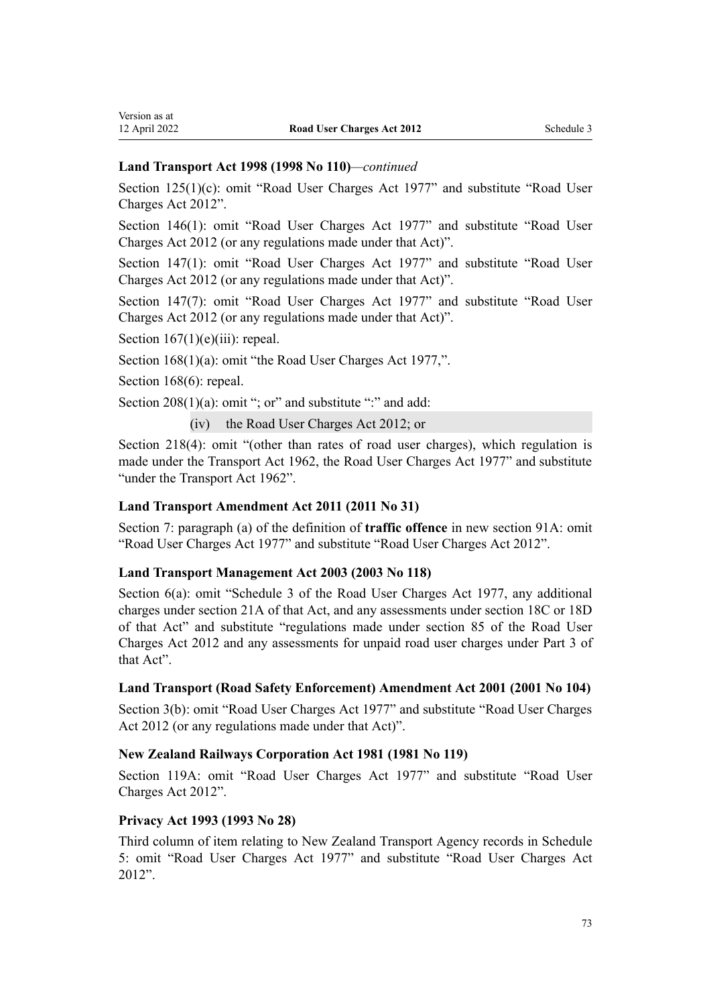# **Land Transport Act 1998 (1998 No 110)***—continued*

[Section 125\(1\)\(c\):](http://legislation.govt.nz/pdflink.aspx?id=DLM435125) omit "Road User Charges Act 1977" and substitute "Road User Charges Act 2012".

[Section 146\(1\)](http://legislation.govt.nz/pdflink.aspx?id=DLM435167): omit "Road User Charges Act 1977" and substitute "Road User Charges Act 2012 (or any regulations made under that Act)".

[Section 147\(1\)](http://legislation.govt.nz/pdflink.aspx?id=DLM435170): omit "Road User Charges Act 1977" and substitute "Road User Charges Act 2012 (or any regulations made under that Act)".

[Section 147\(7\)](http://legislation.govt.nz/pdflink.aspx?id=DLM435170): omit "Road User Charges Act 1977" and substitute "Road User Charges Act 2012 (or any regulations made under that Act)".

Section  $167(1)(e)(iii)$ : repeal.

[Section 168\(1\)\(a\)](http://legislation.govt.nz/pdflink.aspx?id=DLM435411): omit "the Road User Charges Act 1977,".

[Section 168\(6\)](http://legislation.govt.nz/pdflink.aspx?id=DLM435411): repeal.

[Section 208\(1\)\(a\)](http://legislation.govt.nz/pdflink.aspx?id=DLM435637): omit "; or" and substitute ":" and add:

```
(iv) the Road User Charges Act 2012; or
```
[Section 218\(4\)](http://legislation.govt.nz/pdflink.aspx?id=DLM435661): omit "(other than rates of road user charges), which regulation is made under the Transport Act 1962, the Road User Charges Act 1977" and substitute "under the Transport Act 1962".

# **Land Transport Amendment Act 2011 (2011 No 31)**

[Section 7:](http://legislation.govt.nz/pdflink.aspx?id=DLM3556212) paragraph (a) of the definition of **traffic offence** in new [section 91A](http://legislation.govt.nz/pdflink.aspx?id=DLM3556214): omit "Road User Charges Act 1977" and substitute "Road User Charges Act 2012".

# **Land Transport Management Act 2003 (2003 No 118)**

[Section 6\(a\)](http://legislation.govt.nz/pdflink.aspx?id=DLM227124): omit "Schedule 3 of the Road User Charges Act 1977, any additional charges under section 21A of that Act, and any assessments under section 18C or 18D of that Act" and substitute "regulations made under section 85 of the Road User Charges Act 2012 and any assessments for unpaid road user charges under Part 3 of that Act".

# **Land Transport (Road Safety Enforcement) Amendment Act 2001 (2001 No 104)**

[Section 3\(b\):](http://legislation.govt.nz/pdflink.aspx?id=DLM128652) omit "Road User Charges Act 1977" and substitute "Road User Charges Act 2012 (or any regulations made under that Act)".

# **New Zealand Railways Corporation Act 1981 (1981 No 119)**

[Section 119A](http://legislation.govt.nz/pdflink.aspx?id=DLM58271): omit "Road User Charges Act 1977" and substitute "Road User Charges Act 2012".

# **Privacy Act 1993 (1993 No 28)**

Third column of item relating to New Zealand Transport Agency records in [Schedule](http://legislation.govt.nz/pdflink.aspx?id=DLM298798) [5:](http://legislation.govt.nz/pdflink.aspx?id=DLM298798) omit "Road User Charges Act 1977" and substitute "Road User Charges Act 2012".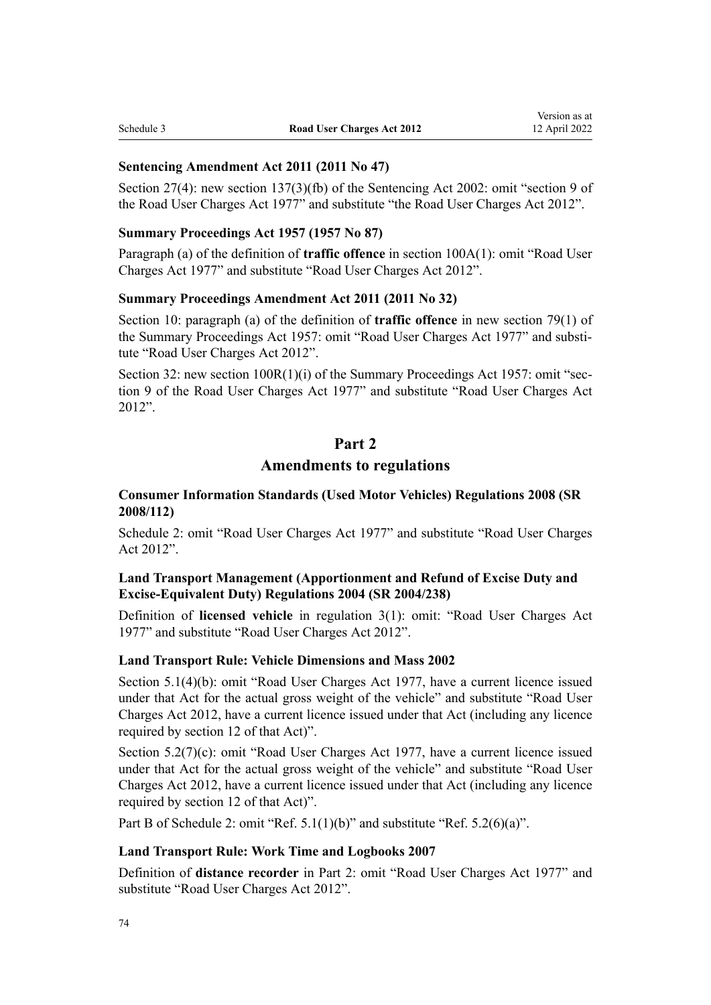# **Sentencing Amendment Act 2011 (2011 No 47)**

[Section 27\(4\):](http://legislation.govt.nz/pdflink.aspx?id=DLM3558569) new [section 137\(3\)\(fb\)](http://legislation.govt.nz/pdflink.aspx?id=DLM136866) of the Sentencing Act 2002: omit "section 9 of the Road User Charges Act 1977" and substitute "the Road User Charges Act 2012".

#### **Summary Proceedings Act 1957 (1957 No 87)**

Paragraph (a) of the definition of **traffic offence** in [section 100A\(1\):](http://legislation.govt.nz/pdflink.aspx?id=DLM2603807) omit "Road User Charges Act 1977" and substitute "Road User Charges Act 2012".

# **Summary Proceedings Amendment Act 2011 (2011 No 32)**

[Section 10:](http://legislation.govt.nz/pdflink.aspx?id=DLM3557960) paragraph (a) of the definition of **traffic offence** in new [section 79\(1\)](http://legislation.govt.nz/pdflink.aspx?id=DLM311866) of the Summary Proceedings Act 1957: omit "Road User Charges Act 1977" and substitute "Road User Charges Act 2012".

[Section 32](http://legislation.govt.nz/pdflink.aspx?id=DLM3558667): new section  $100R(1)(i)$  of the Summary Proceedings Act 1957: omit "section 9 of the Road User Charges Act 1977" and substitute "Road User Charges Act 2012".

# **Part 2**

# **Amendments to regulations**

# **Consumer Information Standards (Used Motor Vehicles) Regulations 2008 (SR 2008/112)**

[Schedule 2:](http://legislation.govt.nz/pdflink.aspx?id=DLM1271232) omit "Road User Charges Act 1977" and substitute "Road User Charges Act 2012".

# **Land Transport Management (Apportionment and Refund of Excise Duty and Excise-Equivalent Duty) Regulations 2004 (SR 2004/238)**

Definition of **licensed vehicle** in [regulation 3\(1\)](http://legislation.govt.nz/pdflink.aspx?id=DLM276777): omit: "Road User Charges Act 1977" and substitute "Road User Charges Act 2012".

# **Land Transport Rule: Vehicle Dimensions and Mass 2002**

Section 5.1(4)(b): omit "Road User Charges Act 1977, have a current licence issued under that Act for the actual gross weight of the vehicle" and substitute "Road User Charges Act 2012, have a current licence issued under that Act (including any licence required by section 12 of that Act)".

Section 5.2(7)(c): omit "Road User Charges Act 1977, have a current licence issued under that Act for the actual gross weight of the vehicle" and substitute "Road User Charges Act 2012, have a current licence issued under that Act (including any licence required by section 12 of that Act)".

Part B of Schedule 2: omit "Ref. 5.1(1)(b)" and substitute "Ref. 5.2(6)(a)".

# **Land Transport Rule: Work Time and Logbooks 2007**

Definition of **distance recorder** in Part 2: omit "Road User Charges Act 1977" and substitute "Road User Charges Act 2012".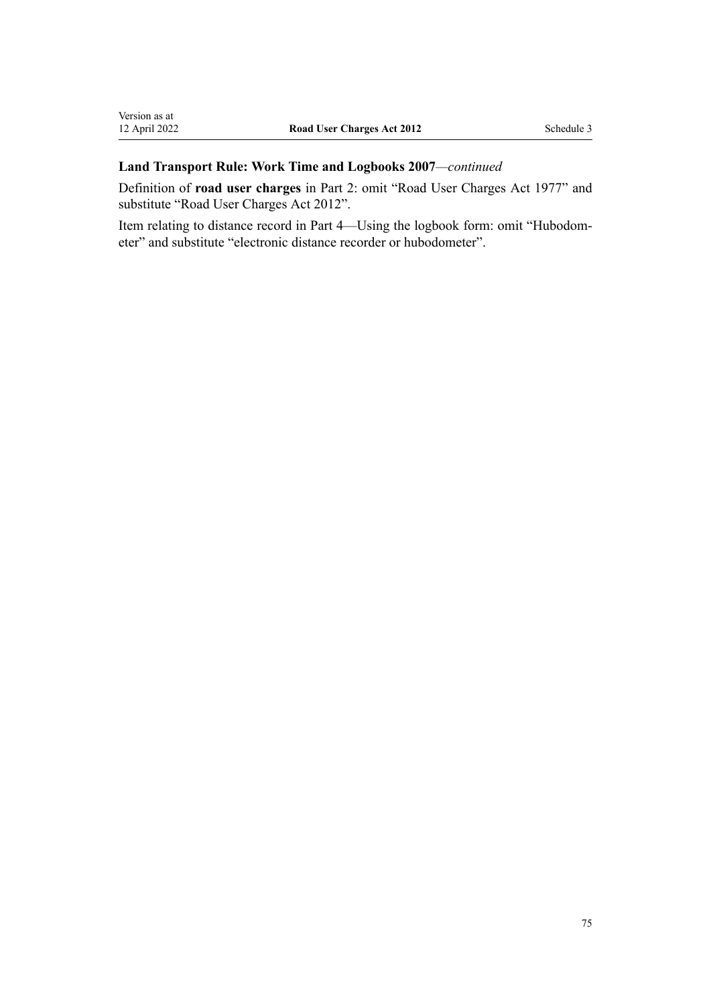# **Land Transport Rule: Work Time and Logbooks 2007***—continued*

Definition of **road user charges** in Part 2: omit "Road User Charges Act 1977" and substitute "Road User Charges Act 2012".

Item relating to distance record in Part 4—Using the logbook form: omit "Hubodom‐ eter" and substitute "electronic distance recorder or hubodometer".